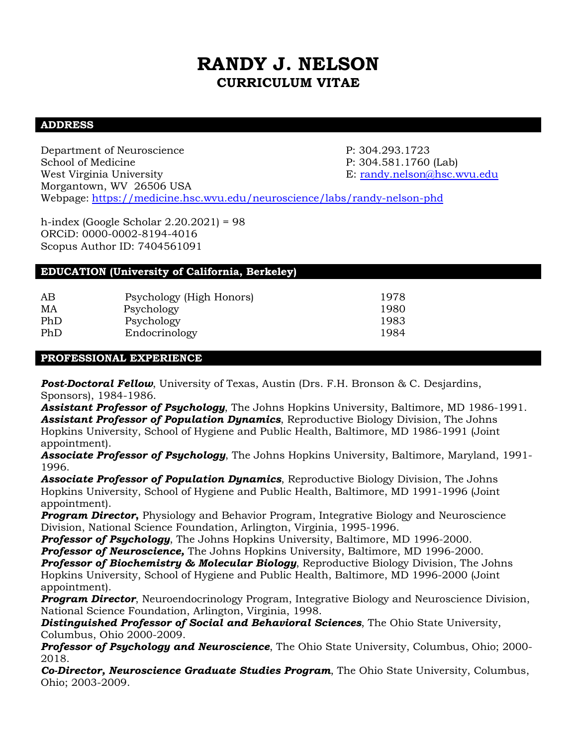# **RANDY J. NELSON CURRICULUM VITAE**

## **ADDRESS**

Department of Neuroscience P: 304.293.1723 School of Medicine **P:** 304.581.1760 (Lab) West Virginia University E: randy.nelson@hsc.wvu.edu Morgantown, WV 26506 USA Webpage: https://medicine.hsc.wvu.edu/neuroscience/labs/randy-nelson-phd

h-index (Google Scholar 2.20.2021) = 98 ORCiD: 0000-0002-8194-4016 Scopus Author ID: 7404561091

# **EDUCATION (University of California, Berkeley)**

| AB  | Psychology (High Honors) | 1978 |
|-----|--------------------------|------|
| MA  | Psychology               | 1980 |
| PhD | Psychology               | 1983 |
| PhD | Endocrinology            | 1984 |

## **PROFESSIONAL EXPERIENCE**

**Post-Doctoral Fellow**, University of Texas, Austin (Drs. F.H. Bronson & C. Desjardins, Sponsors), 1984-1986.

*Assistant Professor of Psychology*, The Johns Hopkins University, Baltimore, MD 1986-1991. *Assistant Professor of Population Dynamics*, Reproductive Biology Division, The Johns Hopkins University, School of Hygiene and Public Health, Baltimore, MD 1986-1991 (Joint appointment).

*Associate Professor of Psychology*, The Johns Hopkins University, Baltimore, Maryland, 1991- 1996.

*Associate Professor of Population Dynamics*, Reproductive Biology Division, The Johns Hopkins University, School of Hygiene and Public Health, Baltimore, MD 1991-1996 (Joint appointment).

*Program Director*, Physiology and Behavior Program, Integrative Biology and Neuroscience Division, National Science Foundation, Arlington, Virginia, 1995-1996.

*Professor of Psychology*, The Johns Hopkins University, Baltimore, MD 1996-2000.

*Professor of Neuroscience,* The Johns Hopkins University, Baltimore, MD 1996-2000.

*Professor of Biochemistry & Molecular Biology*, Reproductive Biology Division, The Johns Hopkins University, School of Hygiene and Public Health, Baltimore, MD 1996-2000 (Joint appointment).

*Program Director*, Neuroendocrinology Program, Integrative Biology and Neuroscience Division, National Science Foundation, Arlington, Virginia, 1998.

*Distinguished Professor of Social and Behavioral Sciences*, The Ohio State University, Columbus, Ohio 2000-2009.

*Professor of Psychology and Neuroscience*, The Ohio State University, Columbus, Ohio; 2000- 2018.

*Co-Director, Neuroscience Graduate Studies Program*, The Ohio State University, Columbus, Ohio; 2003-2009.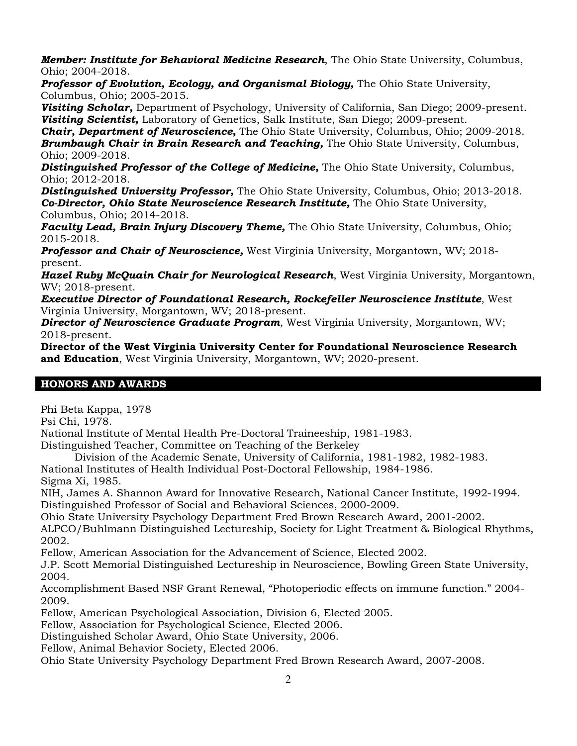*Member: Institute for Behavioral Medicine Research*, The Ohio State University, Columbus, Ohio; 2004-2018.

**Professor of Evolution, Ecology, and Organismal Biology,** The Ohio State University, Columbus, Ohio; 2005-2015.

*Visiting Scholar,* Department of Psychology, University of California, San Diego; 2009-present. *Visiting Scientist,* Laboratory of Genetics, Salk Institute, San Diego; 2009-present.

*Chair, Department of Neuroscience,* The Ohio State University, Columbus, Ohio; 2009-2018. *Brumbaugh Chair in Brain Research and Teaching, The Ohio State University, Columbus,* Ohio; 2009-2018.

*Distinguished Professor of the College of Medicine,* The Ohio State University, Columbus, Ohio; 2012-2018.

*Distinguished University Professor,* The Ohio State University, Columbus, Ohio; 2013-2018. *Co-Director, Ohio State Neuroscience Research Institute,* The Ohio State University, Columbus, Ohio; 2014-2018.

**Faculty Lead, Brain Injury Discovery Theme,** The Ohio State University, Columbus, Ohio; 2015-2018.

*Professor and Chair of Neuroscience,* West Virginia University, Morgantown, WV; 2018 present.

*Hazel Ruby McQuain Chair for Neurological Research*, West Virginia University, Morgantown, WV; 2018-present.

*Executive Director of Foundational Research, Rockefeller Neuroscience Institute*, West Virginia University, Morgantown, WV; 2018-present.

*Director of Neuroscience Graduate Program*, West Virginia University, Morgantown, WV; 2018-present.

**Director of the West Virginia University Center for Foundational Neuroscience Research and Education**, West Virginia University, Morgantown, WV; 2020-present.

# **HONORS AND AWARDS**

Phi Beta Kappa, 1978

Psi Chi, 1978.

National Institute of Mental Health Pre-Doctoral Traineeship, 1981-1983.

Distinguished Teacher, Committee on Teaching of the Berkeley

Division of the Academic Senate, University of California, 1981-1982, 1982-1983.

National Institutes of Health Individual Post-Doctoral Fellowship, 1984-1986.

Sigma Xi, 1985.

NIH, James A. Shannon Award for Innovative Research, National Cancer Institute, 1992-1994. Distinguished Professor of Social and Behavioral Sciences, 2000-2009.

Ohio State University Psychology Department Fred Brown Research Award, 2001-2002.

ALPCO/Buhlmann Distinguished Lectureship, Society for Light Treatment & Biological Rhythms, 2002.

Fellow, American Association for the Advancement of Science, Elected 2002.

J.P. Scott Memorial Distinguished Lectureship in Neuroscience, Bowling Green State University, 2004.

Accomplishment Based NSF Grant Renewal, "Photoperiodic effects on immune function." 2004- 2009.

Fellow, American Psychological Association, Division 6, Elected 2005.

Fellow, Association for Psychological Science, Elected 2006.

Distinguished Scholar Award, Ohio State University, 2006.

Fellow, Animal Behavior Society, Elected 2006.

Ohio State University Psychology Department Fred Brown Research Award, 2007-2008.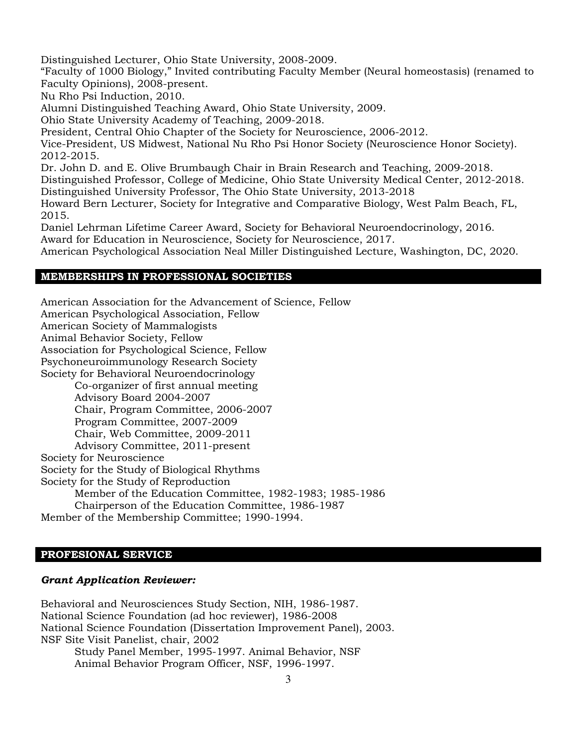Distinguished Lecturer, Ohio State University, 2008-2009.

"Faculty of 1000 Biology," Invited contributing Faculty Member (Neural homeostasis) (renamed to Faculty Opinions), 2008-present.

Nu Rho Psi Induction, 2010.

Alumni Distinguished Teaching Award, Ohio State University, 2009.

Ohio State University Academy of Teaching, 2009-2018.

President, Central Ohio Chapter of the Society for Neuroscience, 2006-2012.

Vice-President, US Midwest, National Nu Rho Psi Honor Society (Neuroscience Honor Society). 2012-2015.

Dr. John D. and E. Olive Brumbaugh Chair in Brain Research and Teaching, 2009-2018. Distinguished Professor, College of Medicine, Ohio State University Medical Center, 2012-2018. Distinguished University Professor, The Ohio State University, 2013-2018

Howard Bern Lecturer, Society for Integrative and Comparative Biology, West Palm Beach, FL, 2015.

Daniel Lehrman Lifetime Career Award, Society for Behavioral Neuroendocrinology, 2016. Award for Education in Neuroscience, Society for Neuroscience, 2017.

American Psychological Association Neal Miller Distinguished Lecture, Washington, DC, 2020.

## **MEMBERSHIPS IN PROFESSIONAL SOCIETIES**

American Association for the Advancement of Science, Fellow American Psychological Association, Fellow American Society of Mammalogists Animal Behavior Society, Fellow Association for Psychological Science, Fellow Psychoneuroimmunology Research Society Society for Behavioral Neuroendocrinology Co-organizer of first annual meeting

Advisory Board 2004-2007 Chair, Program Committee, 2006-2007 Program Committee, 2007-2009 Chair, Web Committee, 2009-2011

Advisory Committee, 2011-present

Society for Neuroscience

Society for the Study of Biological Rhythms

Society for the Study of Reproduction

Member of the Education Committee, 1982-1983; 1985-1986

Chairperson of the Education Committee, 1986-1987

Member of the Membership Committee; 1990-1994.

## **PROFESIONAL SERVICE**

## *Grant Application Reviewer:*

Behavioral and Neurosciences Study Section, NIH, 1986-1987. National Science Foundation (ad hoc reviewer), 1986-2008 National Science Foundation (Dissertation Improvement Panel), 2003. NSF Site Visit Panelist, chair, 2002 Study Panel Member, 1995-1997. Animal Behavior, NSF Animal Behavior Program Officer, NSF, 1996-1997.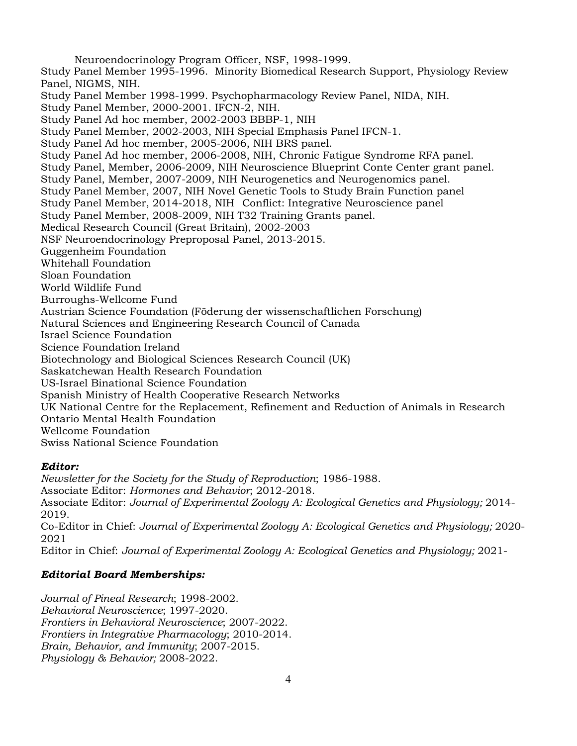Neuroendocrinology Program Officer, NSF, 1998-1999. Study Panel Member 1995-1996. Minority Biomedical Research Support, Physiology Review Panel, NIGMS, NIH. Study Panel Member 1998-1999. Psychopharmacology Review Panel, NIDA, NIH. Study Panel Member, 2000-2001. IFCN-2, NIH. Study Panel Ad hoc member, 2002-2003 BBBP-1, NIH Study Panel Member, 2002-2003, NIH Special Emphasis Panel IFCN-1. Study Panel Ad hoc member, 2005-2006, NIH BRS panel. Study Panel Ad hoc member, 2006-2008, NIH, Chronic Fatigue Syndrome RFA panel. Study Panel, Member, 2006-2009, NIH Neuroscience Blueprint Conte Center grant panel. Study Panel, Member, 2007-2009, NIH Neurogenetics and Neurogenomics panel. Study Panel Member, 2007, NIH Novel Genetic Tools to Study Brain Function panel Study Panel Member, 2014-2018, NIH Conflict: Integrative Neuroscience panel Study Panel Member, 2008-2009, NIH T32 Training Grants panel. Medical Research Council (Great Britain), 2002-2003 NSF Neuroendocrinology Preproposal Panel, 2013-2015. Guggenheim Foundation Whitehall Foundation Sloan Foundation World Wildlife Fund Burroughs-Wellcome Fund Austrian Science Foundation (Föderung der wissenschaftlichen Forschung) Natural Sciences and Engineering Research Council of Canada Israel Science Foundation Science Foundation Ireland Biotechnology and Biological Sciences Research Council (UK) Saskatchewan Health Research Foundation US-Israel Binational Science Foundation Spanish Ministry of Health Cooperative Research Networks UK National Centre for the Replacement, Refinement and Reduction of Animals in Research Ontario Mental Health Foundation Wellcome Foundation Swiss National Science Foundation

# *Editor:*

*Newsletter for the Society for the Study of Reproduction*; 1986-1988. Associate Editor: *Hormones and Behavior*; 2012-2018. Associate Editor: *Journal of Experimental Zoology A: Ecological Genetics and Physiology;* 2014- 2019. Co-Editor in Chief: *Journal of Experimental Zoology A: Ecological Genetics and Physiology;* 2020- 2021 Editor in Chief: *Journal of Experimental Zoology A: Ecological Genetics and Physiology;* 2021-

# *Editorial Board Memberships:*

*Journal of Pineal Research*; 1998-2002. *Behavioral Neuroscience*; 1997-2020. *Frontiers in Behavioral Neuroscience*; 2007-2022. *Frontiers in Integrative Pharmacology*; 2010-2014. *Brain, Behavior, and Immunity*; 2007-2015. *Physiology & Behavior;* 2008-2022.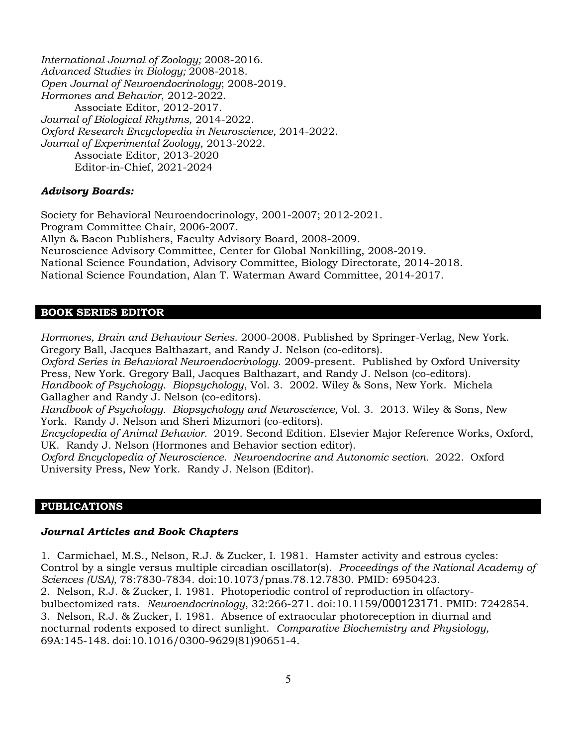*International Journal of Zoology;* 2008-2016. *Advanced Studies in Biology;* 2008-2018. *Open Journal of Neuroendocrinology*; 2008-2019. *Hormones and Behavior*, 2012-2022. Associate Editor, 2012-2017. *Journal of Biological Rhythms*, 2014-2022. *Oxford Research Encyclopedia in Neuroscience,* 2014-2022. *Journal of Experimental Zoology*, 2013-2022. Associate Editor, 2013-2020 Editor-in-Chief, 2021-2024

#### *Advisory Boards:*

Society for Behavioral Neuroendocrinology, 2001-2007; 2012-2021. Program Committee Chair, 2006-2007. Allyn & Bacon Publishers, Faculty Advisory Board, 2008-2009. Neuroscience Advisory Committee, Center for Global Nonkilling, 2008-2019. National Science Foundation, Advisory Committee, Biology Directorate, 2014-2018. National Science Foundation, Alan T. Waterman Award Committee, 2014-2017.

#### **BOOK SERIES EDITOR**

*Hormones, Brain and Behaviour Series*. 2000-2008. Published by Springer-Verlag, New York. Gregory Ball, Jacques Balthazart, and Randy J. Nelson (co-editors).

*Oxford Series in Behavioral Neuroendocrinology*. 2009-present. Published by Oxford University Press, New York. Gregory Ball, Jacques Balthazart, and Randy J. Nelson (co-editors). *Handbook of Psychology. Biopsychology*, Vol. 3. 2002. Wiley & Sons, New York. Michela Gallagher and Randy J. Nelson (co-editors).

*Handbook of Psychology. Biopsychology and Neuroscience,* Vol. 3. 2013. Wiley & Sons, New York. Randy J. Nelson and Sheri Mizumori (co-editors).

*Encyclopedia of Animal Behavior.* 2019. Second Edition. Elsevier Major Reference Works, Oxford, UK. Randy J. Nelson (Hormones and Behavior section editor).

*Oxford Encyclopedia of Neuroscience. Neuroendocrine and Autonomic section.* 2022.Oxford University Press, New York. Randy J. Nelson (Editor).

#### **PUBLICATIONS**

#### *Journal Articles and Book Chapters*

1. Carmichael, M.S., Nelson, R.J. & Zucker, I. 1981. Hamster activity and estrous cycles: Control by a single versus multiple circadian oscillator(s). *Proceedings of the National Academy of Sciences (USA),* 78:7830-7834. doi:10.1073/pnas.78.12.7830. PMID: 6950423. 2. Nelson, R.J. & Zucker, I. 1981. Photoperiodic control of reproduction in olfactorybulbectomized rats. *Neuroendocrinology*, 32:266-271. doi:10.1159/000123171. PMID: 7242854. 3. Nelson, R.J. & Zucker, I. 1981. Absence of extraocular photoreception in diurnal and nocturnal rodents exposed to direct sunlight. *Comparative Biochemistry and Physiology,*  69A:145-148. doi:10.1016/0300-9629(81)90651-4.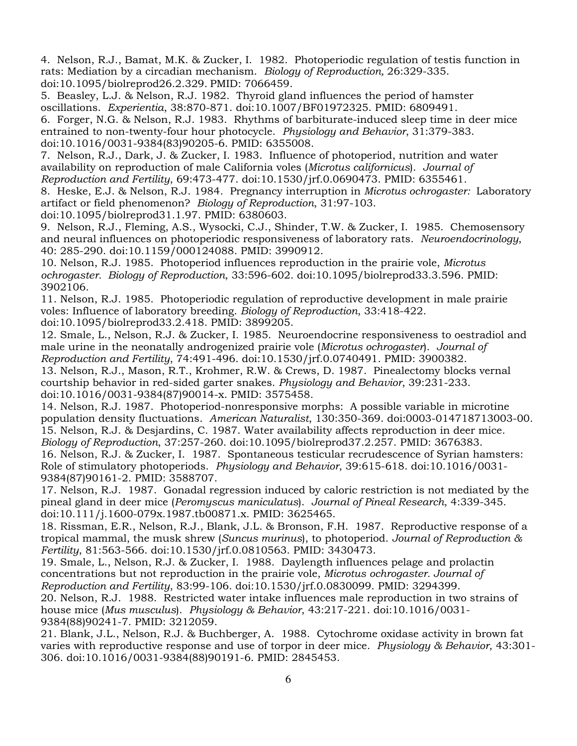4. Nelson, R.J., Bamat, M.K. & Zucker, I. 1982. Photoperiodic regulation of testis function in rats: Mediation by a circadian mechanism. *Biology of Reproduction,* 26:329-335. doi:10.1095/biolreprod26.2.329. PMID: 7066459.

5. Beasley, L.J. & Nelson, R.J. 1982. Thyroid gland influences the period of hamster oscillations. *Experientia*, 38:870-871. doi:10.1007/BF01972325. PMID: 6809491. 6. Forger, N.G. & Nelson, R.J. 1983. Rhythms of barbiturate-induced sleep time in deer mice entrained to non-twenty-four hour photocycle. *Physiology and Behavior*, 31:379-383. doi:10.1016/0031-9384(83)90205-6. PMID: 6355008.

7. Nelson, R.J., Dark, J. & Zucker, I. 1983. Influence of photoperiod, nutrition and water availability on reproduction of male California voles (*Microtus californicus*). *Journal of Reproduction and Fertility*, 69:473-477. doi:10.1530/jrf.0.0690473. PMID: 6355461.

8. Heske, E.J. & Nelson, R.J. 1984. Pregnancy interruption in *Microtus ochrogaster:* Laboratory artifact or field phenomenon? *Biology of Reproduction*, 31:97-103.

doi:10.1095/biolreprod31.1.97. PMID: 6380603.

9. Nelson, R.J., Fleming, A.S., Wysocki, C.J., Shinder, T.W. & Zucker, I. 1985. Chemosensory and neural influences on photoperiodic responsiveness of laboratory rats. *Neuroendocrinology*, 40: 285-290. doi:10.1159/000124088. PMID: 3990912.

10. Nelson, R.J. 1985. Photoperiod influences reproduction in the prairie vole, *Microtus ochrogaster. Biology of Reproduction*, 33:596-602. doi:10.1095/biolreprod33.3.596. PMID: 3902106.

11. Nelson, R.J. 1985. Photoperiodic regulation of reproductive development in male prairie voles: Influence of laboratory breeding. *Biology of Reproduction*, 33:418-422. doi:10.1095/biolreprod33.2.418. PMID: 3899205.

12. Smale, L., Nelson, R.J. & Zucker, I. 1985. Neuroendocrine responsiveness to oestradiol and male urine in the neonatally androgenized prairie vole (*Microtus ochrogaster*). *Journal of Reproduction and Fertility*, 74:491-496. doi:10.1530/jrf.0.0740491. PMID: 3900382.

13. Nelson, R.J., Mason, R.T., Krohmer, R.W. & Crews, D. 1987. Pinealectomy blocks vernal courtship behavior in red-sided garter snakes. *Physiology and Behavior*, 39:231-233. doi:10.1016/0031-9384(87)90014-x. PMID: 3575458.

14. Nelson, R.J. 1987. Photoperiod-nonresponsive morphs: A possible variable in microtine population density fluctuations. *American Naturalist*, 130:350-369. doi:0003-014718713003-00. 15. Nelson, R.J. & Desjardins, C. 1987. Water availability affects reproduction in deer mice. *Biology of Reproduction*, 37:257-260. doi:10.1095/biolreprod37.2.257. PMID: 3676383.

16. Nelson, R.J. & Zucker, I. 1987. Spontaneous testicular recrudescence of Syrian hamsters: Role of stimulatory photoperiods. *Physiology and Behavior*, 39:615-618. doi:10.1016/0031- 9384(87)90161-2. PMID: 3588707.

17. Nelson, R.J. 1987. Gonadal regression induced by caloric restriction is not mediated by the pineal gland in deer mice (*Peromyscus maniculatus*). *Journal of Pineal Research*, 4:339-345. doi:10.111/j.1600-079x.1987.tb00871.x. PMID: 3625465.

18. Rissman, E.R., Nelson, R.J., Blank, J.L. & Bronson, F.H. 1987. Reproductive response of a tropical mammal, the musk shrew (*Suncus murinus*), to photoperiod. *Journal of Reproduction & Fertility*, 81:563-566. doi:10.1530/jrf.0.0810563. PMID: 3430473.

19. Smale, L., Nelson, R.J. & Zucker, I. 1988. Daylength influences pelage and prolactin concentrations but not reproduction in the prairie vole, *Microtus ochrogaster. Journal of Reproduction and Fertility*, 83:99-106. doi:10.1530/jrf.0.0830099. PMID: 3294399.

20. Nelson, R.J. 1988. Restricted water intake influences male reproduction in two strains of house mice (*Mus musculus*). *Physiology & Behavior*, 43:217-221. doi:10.1016/0031- 9384(88)90241-7. PMID: 3212059.

21. Blank, J.L., Nelson, R.J. & Buchberger, A. 1988. Cytochrome oxidase activity in brown fat varies with reproductive response and use of torpor in deer mice. *Physiology & Behavior*, 43:301- 306. doi:10.1016/0031-9384(88)90191-6. PMID: 2845453.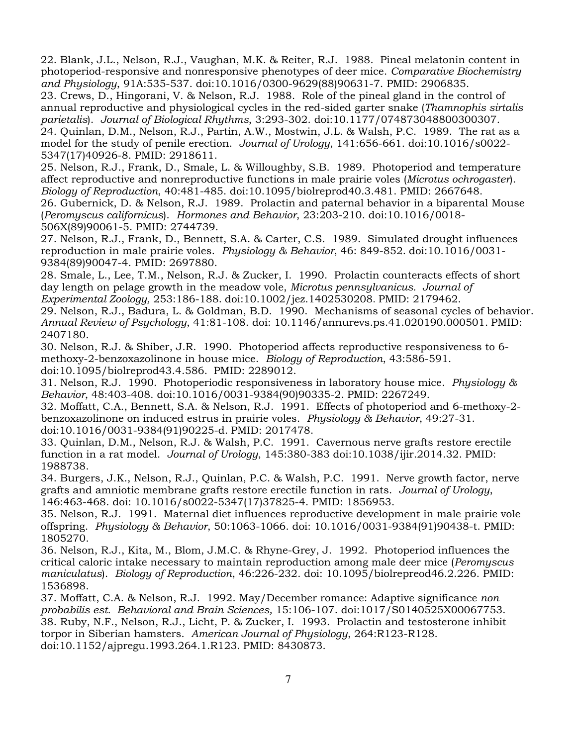22. Blank, J.L., Nelson, R.J., Vaughan, M.K. & Reiter, R.J. 1988. Pineal melatonin content in photoperiod-responsive and nonresponsive phenotypes of deer mice. *Comparative Biochemistry and Physiology*, 91A:535-537. doi:10.1016/0300-9629(88)90631-7. PMID: 2906835.

23. Crews, D., Hingorani, V. & Nelson, R.J. 1988. Role of the pineal gland in the control of annual reproductive and physiological cycles in the red-sided garter snake (*Thamnophis sirtalis parietalis*). *Journal of Biological Rhythms*, 3:293-302. doi:10.1177/074873048800300307.

24. Quinlan, D.M., Nelson, R.J., Partin, A.W., Mostwin, J.L. & Walsh, P.C. 1989. The rat as a model for the study of penile erection. *Journal of Urology*, 141:656-661. doi:10.1016/s0022- 5347(17)40926-8. PMID: 2918611.

25. Nelson, R.J., Frank, D., Smale, L. & Willoughby, S.B. 1989. Photoperiod and temperature affect reproductive and nonreproductive functions in male prairie voles (*Microtus ochrogaster*). *Biology of Reproduction*, 40:481-485. doi:10.1095/biolreprod40.3.481. PMID: 2667648. 26. Gubernick, D. & Nelson, R.J. 1989. Prolactin and paternal behavior in a biparental Mouse (*Peromyscus californicus*). *Hormones and Behavior*, 23:203-210. doi:10.1016/0018- 506X(89)90061-5. PMID: 2744739.

27. Nelson, R.J., Frank, D., Bennett, S.A. & Carter, C.S. 1989. Simulated drought influences reproduction in male prairie voles. *Physiology & Behavior*, 46: 849-852. doi:10.1016/0031- 9384(89)90047-4. PMID: 2697880.

28. Smale, L., Lee, T.M., Nelson, R.J. & Zucker, I. 1990. Prolactin counteracts effects of short day length on pelage growth in the meadow vole, *Microtus pennsylvanicus. Journal of Experimental Zoology,* 253:186-188. doi:10.1002/jez.1402530208. PMID: 2179462.

29. Nelson, R.J., Badura, L. & Goldman, B.D. 1990. Mechanisms of seasonal cycles of behavior. *Annual Review of Psychology*, 41:81-108. doi: 10.1146/annurevs.ps.41.020190.000501. PMID: 2407180.

30. Nelson, R.J. & Shiber, J.R. 1990. Photoperiod affects reproductive responsiveness to 6 methoxy-2-benzoxazolinone in house mice. *Biology of Reproduction*, 43:586-591. doi:10.1095/biolreprod43.4.586. PMID: 2289012.

31. Nelson, R.J. 1990. Photoperiodic responsiveness in laboratory house mice. *Physiology & Behavior*, 48:403-408. doi:10.1016/0031-9384(90)90335-2. PMID: 2267249.

32. Moffatt, C.A., Bennett, S.A. & Nelson, R.J. 1991. Effects of photoperiod and 6-methoxy-2 benzoxazolinone on induced estrus in prairie voles. *Physiology & Behavior*, 49:27-31. doi:10.1016/0031-9384(91)90225-d. PMID: 2017478.

33. Quinlan, D.M., Nelson, R.J. & Walsh, P.C. 1991. Cavernous nerve grafts restore erectile function in a rat model. *Journal of Urology*, 145:380-383 doi:10.1038/ijir.2014.32. PMID: 1988738.

34. Burgers, J.K., Nelson, R.J., Quinlan, P.C. & Walsh, P.C. 1991. Nerve growth factor, nerve grafts and amniotic membrane grafts restore erectile function in rats. *Journal of Urology*, 146:463-468. doi: 10.1016/s0022-5347(17)37825-4. PMID: 1856953.

35. Nelson, R.J. 1991. Maternal diet influences reproductive development in male prairie vole offspring. *Physiology & Behavior*, 50:1063-1066. doi: 10.1016/0031-9384(91)90438-t. PMID: 1805270.

36. Nelson, R.J., Kita, M., Blom, J.M.C. & Rhyne-Grey, J. 1992. Photoperiod influences the critical caloric intake necessary to maintain reproduction among male deer mice (*Peromyscus maniculatus*). *Biology of Reproduction*, 46:226-232. doi: 10.1095/biolrepreod46.2.226. PMID: 1536898.

37. Moffatt, C.A. & Nelson, R.J. 1992. May/December romance: Adaptive significance *non probabilis est. Behavioral and Brain Sciences,* 15:106-107. doi:1017/S0140525X00067753. 38. Ruby, N.F., Nelson, R.J., Licht, P. & Zucker, I. 1993. Prolactin and testosterone inhibit torpor in Siberian hamsters. *American Journal of Physiology*, 264:R123-R128. doi:10.1152/ajpregu.1993.264.1.R123. PMID: 8430873.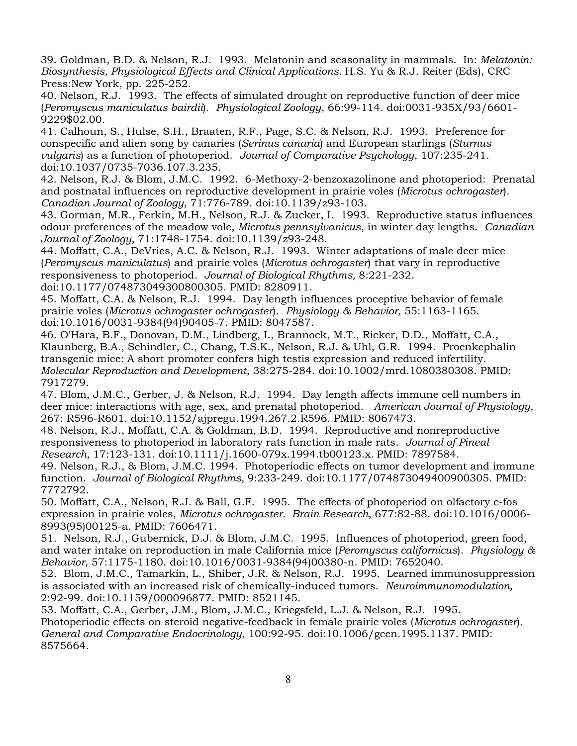39. Goldman, B.D. & Nelson, R.J. 1993. Melatonin and seasonality in mammals. In: *Melatonin: Biosynthesis, Physiological Effects and Clinical Applications.* H.S. Yu & R.J. Reiter (Eds), CRC Press:New York, pp. 225-252.

40. Nelson, R.J. 1993. The effects of simulated drought on reproductive function of deer mice (*Peromyscus maniculatus bairdii*). *Physiological Zoology*, 66:99-114. doi:0031-935X/93/6601- 9229\$02.00.

41. Calhoun, S., Hulse, S.H., Braaten, R.F., Page, S.C. & Nelson, R.J. 1993. Preference for conspecific and alien song by canaries (*Serinus canaria*) and European starlings (*Sturnus vulgaris*) as a function of photoperiod. *Journal of Comparative Psychology*, 107:235-241. doi:10.1037/0735-7036.107.3.235.

42. Nelson, R.J. & Blom, J.M.C. 1992. 6-Methoxy-2-benzoxazolinone and photoperiod: Prenatal and postnatal influences on reproductive development in prairie voles (*Microtus ochrogaster*). *Canadian Journal of Zoology*, 71:776-789. doi:10.1139/z93-103.

43. Gorman, M.R., Ferkin, M.H., Nelson, R.J. & Zucker, I. 1993. Reproductive status influences odour preferences of the meadow vole, *Microtus pennsylvanicus*, in winter day lengths. *Canadian Journal of Zoology,* 71:1748-1754. doi:10.1139/z93-248.

44. Moffatt, C.A., DeVries, A.C. & Nelson, R.J. 1993. Winter adaptations of male deer mice (*Peromyscus maniculatus*) and prairie voles (*Microtus ochrogaster*) that vary in reproductive responsiveness to photoperiod. *Journal of Biological Rhythms,* 8:221-232.

doi:10.1177/074873049300800305. PMID: 8280911.

45. Moffatt, C.A. & Nelson, R.J. 1994. Day length influences proceptive behavior of female prairie voles (*Microtus ochrogaster ochrogaster*). *Physiology & Behavior,* 55:1163-1165. doi:10.1016/0031-9384(94)90405-7. PMID: 8047587.

46. O'Hara, B.F., Donovan, D.M., Lindberg, I., Brannock, M.T., Ricker, D.D., Moffatt, C.A., Klaunberg, B.A., Schindler, C., Chang, T.S.K., Nelson, R.J. & Uhl, G.R. 1994. Proenkephalin transgenic mice: A short promoter confers high testis expression and reduced infertility. *Molecular Reproduction and Development*, 38:275-284. doi:10.1002/mrd.1080380308. PMID: 7917279.

47. Blom, J.M.C., Gerber, J. & Nelson, R.J. 1994. Day length affects immune cell numbers in deer mice: interactions with age, sex, and prenatal photoperiod. *American Journal of Physiology*, 267: R596-R601. doi:10.1152/ajpregu.1994.267.2.R596. PMID: 8067473.

48. Nelson, R.J., Moffatt, C.A. & Goldman, B.D. 1994. Reproductive and nonreproductive responsiveness to photoperiod in laboratory rats function in male rats. *Journal of Pineal Research,* 17:123-131. doi:10.1111/j.1600-079x.1994.tb00123.x. PMID: 7897584.

49. Nelson, R.J., & Blom, J.M.C. 1994. Photoperiodic effects on tumor development and immune function. *Journal of Biological Rhythms,* 9:233-249. doi:10.1177/074873049400900305. PMID: 7772792.

50. Moffatt, C.A., Nelson, R.J. & Ball, G.F. 1995. The effects of photoperiod on olfactory c-fos expression in prairie voles, *Microtus ochrogaster. Brain Research,* 677:82-88. doi:10.1016/0006- 8993(95)00125-a. PMID: 7606471.

51. Nelson, R.J., Gubernick, D.J. & Blom, J.M.C. 1995. Influences of photoperiod, green food, and water intake on reproduction in male California mice (*Peromyscus californicus*). *Physiology & Behavior*, 57:1175-1180. doi:10.1016/0031-9384(94)00380-n. PMID: 7652040.

52. Blom, J.M.C., Tamarkin, L., Shiber, J.R. & Nelson, R.J. 1995. Learned immunosuppression is associated with an increased risk of chemically-induced tumors. *Neuroimmunomodulation,*  2:92-99. doi:10.1159/000096877. PMID: 8521145.

53. Moffatt, C.A., Gerber, J.M., Blom, J.M.C., Kriegsfeld, L.J. & Nelson, R.J. 1995. Photoperiodic effects on steroid negative-feedback in female prairie voles (*Microtus ochrogaster*). *General and Comparative Endocrinology*, 100:92-95. doi:10.1006/gcen.1995.1137. PMID: 8575664.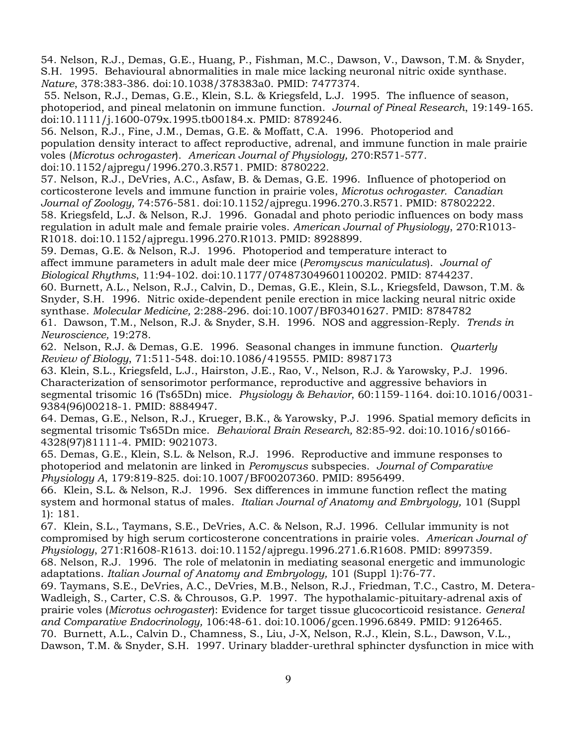54. Nelson, R.J., Demas, G.E., Huang, P., Fishman, M.C., Dawson, V., Dawson, T.M. & Snyder, S.H. 1995. Behavioural abnormalities in male mice lacking neuronal nitric oxide synthase. *Nature*, 378:383-386. doi:10.1038/378383a0. PMID: 7477374.

55. Nelson, R.J., Demas, G.E., Klein, S.L. & Kriegsfeld, L.J. 1995. The influence of season, photoperiod, and pineal melatonin on immune function. *Journal of Pineal Research*, 19:149-165. doi:10.1111/j.1600-079x.1995.tb00184.x. PMID: 8789246.

56. Nelson, R.J., Fine, J.M., Demas, G.E. & Moffatt, C.A. 1996. Photoperiod and population density interact to affect reproductive, adrenal, and immune function in male prairie voles (*Microtus ochrogaster*). *American Journal of Physiology,* 270:R571-577*.* doi:10.1152/ajpregu/1996.270.3.R571. PMID: 8780222.

57. Nelson, R.J., DeVries, A.C., Asfaw, B. & Demas, G.E. 1996. Influence of photoperiod on corticosterone levels and immune function in prairie voles, *Microtus ochrogaster. Canadian Journal of Zoology,* 74:576-581. doi:10.1152/ajpregu.1996.270.3.R571. PMID: 87802222. 58. Kriegsfeld, L.J. & Nelson, R.J. 1996. Gonadal and photo periodic influences on body mass regulation in adult male and female prairie voles. *American Journal of Physiology*, 270:R1013-

R1018. doi:10.1152/ajpregu.1996.270.R1013. PMID: 8928899.

59. Demas, G.E. & Nelson, R.J. 1996. Photoperiod and temperature interact to affect immune parameters in adult male deer mice (*Peromyscus maniculatus*). *Journal of Biological Rhythms*, 11:94-102. doi:10.1177/074873049601100202. PMID: 8744237.

60. Burnett, A.L., Nelson, R.J., Calvin, D., Demas, G.E., Klein, S.L., Kriegsfeld, Dawson, T.M. & Snyder, S.H. 1996. Nitric oxide-dependent penile erection in mice lacking neural nitric oxide synthase. *Molecular Medicine,* 2:288-296. doi:10.1007/BF03401627. PMID: 8784782 61. Dawson, T.M., Nelson, R.J. & Snyder, S.H. 1996. NOS and aggression-Reply. *Trends in Neuroscience,* 19:278.

62. Nelson, R.J. & Demas, G.E. 1996. Seasonal changes in immune function. *Quarterly Review of Biology*, 71:511-548. doi:10.1086/419555. PMID: 8987173

63. Klein, S.L., Kriegsfeld, L.J., Hairston, J.E., Rao, V., Nelson, R.J. & Yarowsky, P.J. 1996. Characterization of sensorimotor performance, reproductive and aggressive behaviors in segmental trisomic 16 (Ts65Dn) mice. *Physiology & Behavior*, 60:1159-1164. doi:10.1016/0031- 9384(96)00218-1. PMID: 8884947.

64. Demas, G.E., Nelson, R.J., Krueger, B.K., & Yarowsky, P.J. 1996. Spatial memory deficits in segmental trisomic Ts65Dn mice. *Behavioral Brain Research,* 82:85-92. doi:10.1016/s0166- 4328(97)81111-4. PMID: 9021073.

65. Demas, G.E., Klein, S.L. & Nelson, R.J. 1996. Reproductive and immune responses to photoperiod and melatonin are linked in *Peromyscus* subspecies. *Journal of Comparative Physiology A*, 179:819-825. doi:10.1007/BF00207360. PMID: 8956499.

66. Klein, S.L. & Nelson, R.J. 1996. Sex differences in immune function reflect the mating system and hormonal status of males. *Italian Journal of Anatomy and Embryology,* 101 (Suppl 1): 181.

67. Klein, S.L., Taymans, S.E., DeVries, A.C. & Nelson, R.J. 1996. Cellular immunity is not compromised by high serum corticosterone concentrations in prairie voles. *American Journal of Physiology*, 271:R1608-R1613. doi:10.1152/ajpregu.1996.271.6.R1608. PMID: 8997359.

68. Nelson, R.J. 1996. The role of melatonin in mediating seasonal energetic and immunologic adaptations. *Italian Journal of Anatomy and Embryology,* 101 (Suppl 1):76-77.

69. Taymans, S.E., DeVries, A.C., DeVries, M.B., Nelson, R.J., Friedman, T.C., Castro, M. Detera-Wadleigh, S., Carter, C.S. & Chrousos, G.P. 1997. The hypothalamic-pituitary-adrenal axis of prairie voles (*Microtus ochrogaster*): Evidence for target tissue glucocorticoid resistance. *General and Comparative Endocrinology,* 106:48-61. doi:10.1006/gcen.1996.6849. PMID: 9126465. 70. Burnett, A.L., Calvin D., Chamness, S., Liu, J-X, Nelson, R.J., Klein, S.L., Dawson, V.L., Dawson, T.M. & Snyder, S.H. 1997. Urinary bladder-urethral sphincter dysfunction in mice with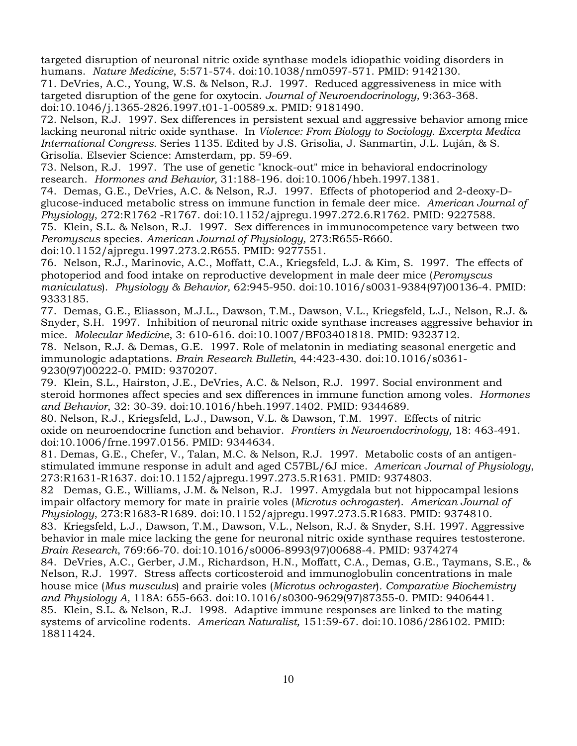targeted disruption of neuronal nitric oxide synthase models idiopathic voiding disorders in humans. *Nature Medicine*, 5:571-574. doi:10.1038/nm0597-571. PMID: 9142130.

71. DeVries, A.C., Young, W.S. & Nelson, R.J. 1997. Reduced aggressiveness in mice with targeted disruption of the gene for oxytocin. *Journal of Neuroendocrinology,* 9:363-368. doi:10.1046/j.1365-2826.1997.t01-1-00589.x. PMID: 9181490.

72. Nelson, R.J. 1997. Sex differences in persistent sexual and aggressive behavior among mice lacking neuronal nitric oxide synthase. In *Violence: From Biology to Sociology. Excerpta Medica International Congress.* Series 1135. Edited by J.S. Grisolía, J. Sanmartin, J.L. Luján, & S. Grisolía. Elsevier Science: Amsterdam, pp. 59-69.

73. Nelson, R.J. 1997. The use of genetic "knock-out" mice in behavioral endocrinology research. *Hormones and Behavior,* 31:188-196. doi:10.1006/hbeh.1997.1381.

74. Demas, G.E., DeVries, A.C. & Nelson, R.J. 1997. Effects of photoperiod and 2-deoxy-Dglucose-induced metabolic stress on immune function in female deer mice. *American Journal of Physiology*, 272:R1762 -R1767. doi:10.1152/ajpregu.1997.272.6.R1762. PMID: 9227588.

75. Klein, S.L. & Nelson, R.J. 1997. Sex differences in immunocompetence vary between two *Peromyscus* species. *American Journal of Physiology,* 273:R655-R660.

doi:10.1152/ajpregu.1997.273.2.R655. PMID: 9277551.

76. Nelson, R.J., Marinovic, A.C., Moffatt, C.A., Kriegsfeld, L.J. & Kim, S. 1997. The effects of photoperiod and food intake on reproductive development in male deer mice (*Peromyscus maniculatus*). *Physiology & Behavior,* 62:945-950. doi:10.1016/s0031-9384(97)00136-4. PMID: 9333185.

77. Demas, G.E., Eliasson, M.J.L., Dawson, T.M., Dawson, V.L., Kriegsfeld, L.J., Nelson, R.J. & Snyder, S.H. 1997. Inhibition of neuronal nitric oxide synthase increases aggressive behavior in mice. *Molecular Medicine*, 3: 610-616. doi:10.1007/BF03401818. PMID: 9323712.

78. Nelson, R.J. & Demas, G.E. 1997. Role of melatonin in mediating seasonal energetic and immunologic adaptations. *Brain Research Bulletin*, 44:423-430. doi:10.1016/s0361- 9230(97)00222-0. PMID: 9370207.

79. Klein, S.L., Hairston, J.E., DeVries, A.C. & Nelson, R.J. 1997. Social environment and steroid hormones affect species and sex differences in immune function among voles. *Hormones and Behavior*, 32: 30-39. doi:10.1016/hbeh.1997.1402. PMID: 9344689.

80. Nelson, R.J., Kriegsfeld, L.J., Dawson, V.L. & Dawson, T.M. 1997. Effects of nitric oxide on neuroendocrine function and behavior. *Frontiers in Neuroendocrinology,* 18: 463-491. doi:10.1006/frne.1997.0156. PMID: 9344634.

81. Demas, G.E., Chefer, V., Talan, M.C. & Nelson, R.J. 1997. Metabolic costs of an antigenstimulated immune response in adult and aged C57BL/6J mice. *American Journal of Physiology*, 273:R1631-R1637. doi:10.1152/ajpregu.1997.273.5.R1631. PMID: 9374803.

82 Demas, G.E., Williams, J.M. & Nelson, R.J. 1997. Amygdala but not hippocampal lesions impair olfactory memory for mate in prairie voles (*Microtus ochrogaster*). *American Journal of Physiology*, 273:R1683-R1689. doi:10.1152/ajpregu.1997.273.5.R1683. PMID: 9374810.

83. Kriegsfeld, L.J., Dawson, T.M., Dawson, V.L., Nelson, R.J. & Snyder, S.H. 1997. Aggressive behavior in male mice lacking the gene for neuronal nitric oxide synthase requires testosterone. *Brain Research*, 769:66-70. doi:10.1016/s0006-8993(97)00688-4. PMID: 9374274

84. DeVries, A.C., Gerber, J.M., Richardson, H.N., Moffatt, C.A., Demas, G.E., Taymans, S.E., & Nelson, R.J. 1997. Stress affects corticosteroid and immunoglobulin concentrations in male house mice (*Mus musculus*) and prairie voles (*Microtus ochrogaster*)*. Comparative Biochemistry and Physiology A,* 118A: 655-663. doi:10.1016/s0300-9629(97)87355-0. PMID: 9406441.

85. Klein, S.L. & Nelson, R.J. 1998. Adaptive immune responses are linked to the mating systems of arvicoline rodents. *American Naturalist,* 151:59-67. doi:10.1086/286102. PMID: 18811424.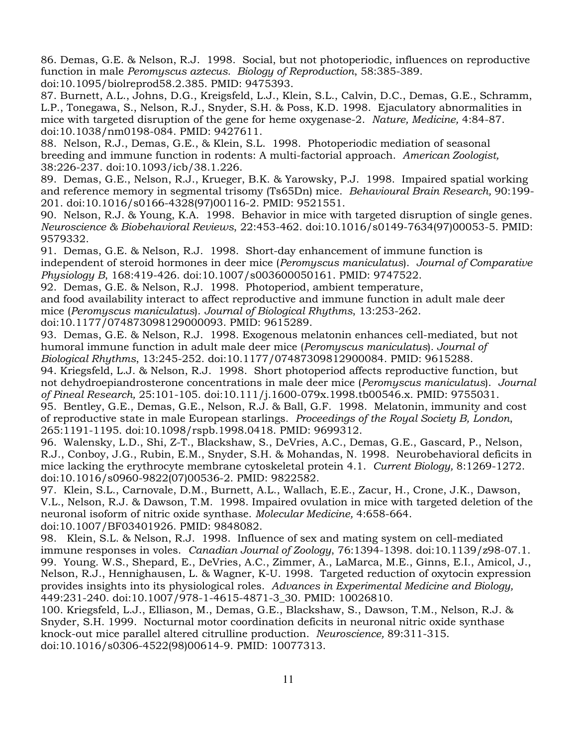86. Demas, G.E. & Nelson, R.J. 1998. Social, but not photoperiodic, influences on reproductive function in male *Peromyscus aztecus. Biology of Reproduction*, 58:385-389. doi:10.1095/biolreprod58.2.385. PMID: 9475393.

87. Burnett, A.L., Johns, D.G., Kreigsfeld, L.J., Klein, S.L., Calvin, D.C., Demas, G.E., Schramm, L.P., Tonegawa, S., Nelson, R.J., Snyder, S.H. & Poss, K.D. 1998. Ejaculatory abnormalities in mice with targeted disruption of the gene for heme oxygenase-2. *Nature, Medicine,* 4:84-87. doi:10.1038/nm0198-084. PMID: 9427611.

88. Nelson, R.J., Demas, G.E., & Klein, S.L. 1998. Photoperiodic mediation of seasonal breeding and immune function in rodents: A multi-factorial approach. *American Zoologist,*  38:226-237. doi:10.1093/icb/38.1.226.

89. Demas, G.E., Nelson, R.J., Krueger, B.K. & Yarowsky, P.J. 1998. Impaired spatial working and reference memory in segmental trisomy (Ts65Dn) mice. *Behavioural Brain Research,* 90:199- 201. doi:10.1016/s0166-4328(97)00116-2. PMID: 9521551.

90. Nelson, R.J. & Young, K.A. 1998. Behavior in mice with targeted disruption of single genes. *Neuroscience & Biobehavioral Reviews*, 22:453-462. doi:10.1016/s0149-7634(97)00053-5. PMID: 9579332.

91. Demas, G.E. & Nelson, R.J. 1998. Short-day enhancement of immune function is independent of steroid hormones in deer mice (*Peromyscus maniculatus*). *Journal of Comparative Physiology B*, 168:419-426. doi:10.1007/s003600050161. PMID: 9747522.

92. Demas, G.E. & Nelson, R.J. 1998. Photoperiod, ambient temperature,

and food availability interact to affect reproductive and immune function in adult male deer mice (*Peromyscus maniculatus*). *Journal of Biological Rhythms*, 13:253-262.

doi:10.1177/074873098129000093. PMID: 9615289.

93. Demas, G.E. & Nelson, R.J. 1998. Exogenous melatonin enhances cell-mediated, but not humoral immune function in adult male deer mice (*Peromyscus maniculatus*)*. Journal of Biological Rhythms*, 13:245-252. doi:10.1177/07487309812900084. PMID: 9615288.

94. Kriegsfeld, L.J. & Nelson, R.J. 1998. Short photoperiod affects reproductive function, but not dehydroepiandrosterone concentrations in male deer mice (*Peromyscus maniculatus*). *Journal of Pineal Research,* 25:101-105. doi:10.111/j.1600-079x.1998.tb00546.x. PMID: 9755031. 95. Bentley, G.E., Demas, G.E., Nelson, R.J. & Ball, G.F. 1998. Melatonin, immunity and cost

of reproductive state in male European starlings. *Proceedings of the Royal Society B, London*, 265:1191-1195. doi:10.1098/rspb.1998.0418. PMID: 9699312.

96. Walensky, L.D., Shi, Z-T., Blackshaw, S., DeVries, A.C., Demas, G.E., Gascard, P., Nelson, R.J., Conboy, J.G., Rubin, E.M., Snyder, S.H. & Mohandas, N. 1998. Neurobehavioral deficits in mice lacking the erythrocyte membrane cytoskeletal protein 4.1. *Current Biology,* 8:1269-1272. doi:10.1016/s0960-9822(07)00536-2. PMID: 9822582.

97. Klein, S.L., Carnovale, D.M., Burnett, A.L., Wallach, E.E., Zacur, H., Crone, J.K., Dawson, V.L., Nelson, R.J. & Dawson, T.M. 1998. Impaired ovulation in mice with targeted deletion of the neuronal isoform of nitric oxide synthase. *Molecular Medicine,* 4:658-664. doi:10.1007/BF03401926. PMID: 9848082.

98. Klein, S.L. & Nelson, R.J. 1998. Influence of sex and mating system on cell-mediated immune responses in voles. *Canadian Journal of Zoology*, 76:1394-1398. doi:10.1139/z98-07.1. 99. Young. W.S., Shepard, E., DeVries, A.C., Zimmer, A., LaMarca, M.E., Ginns, E.I., Amicol, J., Nelson, R.J., Hennighausen, L. & Wagner, K-U. 1998. Targeted reduction of oxytocin expression provides insights into its physiological roles. *Advances in Experimental Medicine and Biology,*  449:231-240. doi:10.1007/978-1-4615-4871-3\_30. PMID: 10026810.

100. Kriegsfeld, L.J., Elliason, M., Demas, G.E., Blackshaw, S., Dawson, T.M., Nelson, R.J. & Snyder, S.H. 1999. Nocturnal motor coordination deficits in neuronal nitric oxide synthase knock-out mice parallel altered citrulline production. *Neuroscience,* 89:311-315. doi:10.1016/s0306-4522(98)00614-9. PMID: 10077313.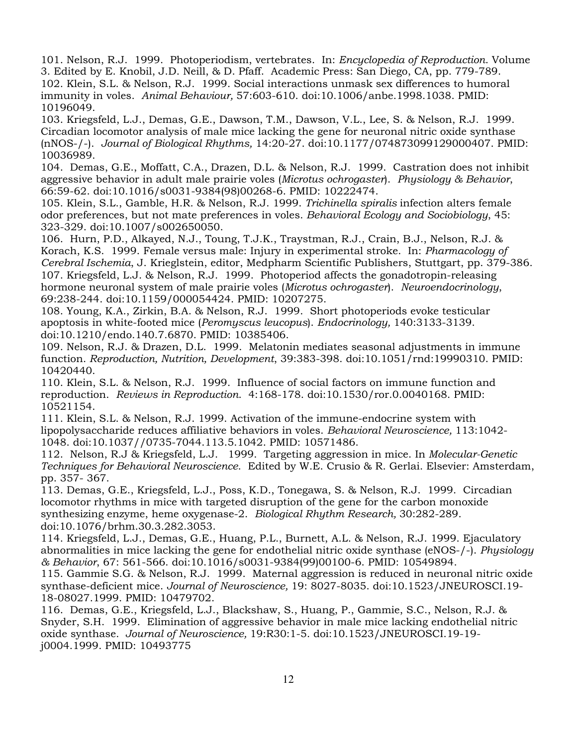101. Nelson, R.J. 1999. Photoperiodism, vertebrates. In: *Encyclopedia of Reproduction*. Volume 3. Edited by E. Knobil, J.D. Neill, & D. Pfaff. Academic Press: San Diego, CA, pp. 779-789. 102. Klein, S.L. & Nelson, R.J. 1999. Social interactions unmask sex differences to humoral immunity in voles. *Animal Behaviour,* 57:603-610. doi:10.1006/anbe.1998.1038. PMID: 10196049.

103. Kriegsfeld, L.J., Demas, G.E., Dawson, T.M., Dawson, V.L., Lee, S. & Nelson, R.J. 1999. Circadian locomotor analysis of male mice lacking the gene for neuronal nitric oxide synthase (nNOS-/-). *Journal of Biological Rhythms,* 14:20-27. doi:10.1177/074873099129000407. PMID: 10036989.

104. Demas, G.E., Moffatt, C.A., Drazen, D.L. & Nelson, R.J. 1999. Castration does not inhibit aggressive behavior in adult male prairie voles (*Microtus ochrogaster*). *Physiology & Behavior*, 66:59-62. doi:10.1016/s0031-9384(98)00268-6. PMID: 10222474.

105. Klein, S.L., Gamble, H.R. & Nelson, R.J. 1999. *Trichinella spiralis* infection alters female odor preferences, but not mate preferences in voles. *Behavioral Ecology and Sociobiology*, 45: 323-329. doi:10.1007/s002650050.

106. Hurn, P.D., Alkayed, N.J., Toung, T.J.K., Traystman, R.J., Crain, B.J., Nelson, R.J. & Korach, K.S. 1999. Female versus male: Injury in experimental stroke. In: *Pharmacology of Cerebral Ischemia*, J. Krieglstein, editor, Medpharm Scientific Publishers, Stuttgart, pp. 379-386. 107. Kriegsfeld, L.J. & Nelson, R.J. 1999. Photoperiod affects the gonadotropin-releasing hormone neuronal system of male prairie voles (*Microtus ochrogaster*). *Neuroendocrinology*, 69:238-244. doi:10.1159/000054424. PMID: 10207275.

108. Young, K.A., Zirkin, B.A. & Nelson, R.J. 1999. Short photoperiods evoke testicular apoptosis in white-footed mice (*Peromyscus leucopus*). *Endocrinology,* 140:3133-3139. doi:10.1210/endo.140.7.6870. PMID: 10385406.

109. Nelson, R.J. & Drazen, D.L. 1999. Melatonin mediates seasonal adjustments in immune function. *Reproduction, Nutrition, Development*, 39:383-398. doi:10.1051/rnd:19990310. PMID: 10420440.

110. Klein, S.L. & Nelson, R.J. 1999. Influence of social factors on immune function and reproduction. *Reviews in Reproduction*. 4:168-178. doi:10.1530/ror.0.0040168. PMID: 10521154.

111. Klein, S.L. & Nelson, R.J. 1999. Activation of the immune-endocrine system with lipopolysaccharide reduces affiliative behaviors in voles. *Behavioral Neuroscience,* 113:1042- 1048. doi:10.1037//0735-7044.113.5.1042. PMID: 10571486.

112. Nelson, R.J & Kriegsfeld, L.J. 1999. Targeting aggression in mice. In *Molecular-Genetic Techniques for Behavioral Neuroscience*. Edited by W.E. Crusio & R. Gerlai. Elsevier: Amsterdam, pp. 357- 367.

113. Demas, G.E., Kriegsfeld, L.J., Poss, K.D., Tonegawa, S. & Nelson, R.J. 1999. Circadian locomotor rhythms in mice with targeted disruption of the gene for the carbon monoxide synthesizing enzyme, heme oxygenase-2. *Biological Rhythm Research,* 30:282-289. doi:10.1076/brhm.30.3.282.3053.

114. Kriegsfeld, L.J., Demas, G.E., Huang, P.L., Burnett, A.L. & Nelson, R.J. 1999. Ejaculatory abnormalities in mice lacking the gene for endothelial nitric oxide synthase (eNOS-/-). *Physiology & Behavior*, 67: 561-566. doi:10.1016/s0031-9384(99)00100-6. PMID: 10549894.

115. Gammie S.G. & Nelson, R.J. 1999. Maternal aggression is reduced in neuronal nitric oxide synthase-deficient mice. *Journal of Neuroscience,* 19: 8027-8035. doi:10.1523/JNEUROSCI.19- 18-08027.1999. PMID: 10479702.

116. Demas, G.E., Kriegsfeld, L.J., Blackshaw, S., Huang, P., Gammie, S.C., Nelson, R.J. & Snyder, S.H. 1999. Elimination of aggressive behavior in male mice lacking endothelial nitric oxide synthase. *Journal of Neuroscience,* 19:R30:1-5. doi:10.1523/JNEUROSCI.19-19 j0004.1999. PMID: 10493775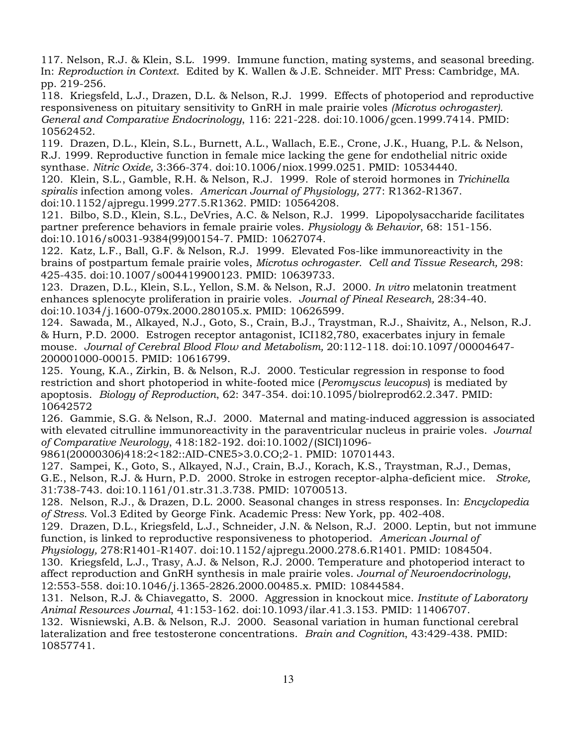117. Nelson, R.J. & Klein, S.L. 1999. Immune function, mating systems, and seasonal breeding. In: *Reproduction in Context*. Edited by K. Wallen & J.E. Schneider. MIT Press: Cambridge, MA. pp. 219-256.

118. Kriegsfeld, L.J., Drazen, D.L. & Nelson, R.J. 1999. Effects of photoperiod and reproductive responsiveness on pituitary sensitivity to GnRH in male prairie voles *(Microtus ochrogaster). General and Comparative Endocrinology*, 116: 221-228. doi:10.1006/gcen.1999.7414. PMID: 10562452.

119. Drazen, D.L., Klein, S.L., Burnett, A.L., Wallach, E.E., Crone, J.K., Huang, P.L. & Nelson, R.J. 1999. Reproductive function in female mice lacking the gene for endothelial nitric oxide synthase. *Nitric Oxide,* 3:366-374. doi:10.1006/niox.1999.0251. PMID: 10534440.

120. Klein, S.L., Gamble, R.H. & Nelson, R.J. 1999. Role of steroid hormones in *Trichinella spiralis* infection among voles. *American Journal of Physiology,* 277: R1362-R1367. doi:10.1152/ajpregu.1999.277.5.R1362. PMID: 10564208.

121. Bilbo, S.D., Klein, S.L., DeVries, A.C. & Nelson, R.J. 1999. Lipopolysaccharide facilitates partner preference behaviors in female prairie voles. *Physiology & Behavior*, 68: 151-156. doi:10.1016/s0031-9384(99)00154-7. PMID: 10627074.

122. Katz, L.F., Ball, G.F. & Nelson, R.J. 1999. Elevated Fos-like immunoreactivity in the brains of postpartum female prairie voles, *Microtus ochrogaster*. *Cell and Tissue Research,* 298: 425-435. doi:10.1007/s004419900123. PMID: 10639733.

123. Drazen, D.L., Klein, S.L., Yellon, S.M. & Nelson, R.J. 2000. *In vitro* melatonin treatment enhances splenocyte proliferation in prairie voles. *Journal of Pineal Research,* 28:34-40. doi:10.1034/j.1600-079x.2000.280105.x. PMID: 10626599.

124. Sawada, M., Alkayed, N.J., Goto, S., Crain, B.J., Traystman, R.J., Shaivitz, A., Nelson, R.J. & Hurn, P.D. 2000. Estrogen receptor antagonist, ICI182,780, exacerbates injury in female mouse. *Journal of Cerebral Blood Flow and Metabolism,* 20:112-118. doi:10.1097/00004647- 200001000-00015. PMID: 10616799.

125. Young, K.A., Zirkin, B. & Nelson, R.J. 2000. Testicular regression in response to food restriction and short photoperiod in white-footed mice (*Peromyscus leucopus*) is mediated by apoptosis. *Biology of Reproduction*, 62: 347-354. doi:10.1095/biolreprod62.2.347. PMID: 10642572

126. Gammie, S.G. & Nelson, R.J. 2000. Maternal and mating-induced aggression is associated with elevated citrulline immunoreactivity in the paraventricular nucleus in prairie voles. *Journal of Comparative Neurology*, 418:182-192. doi:10.1002/(SICI)1096-

9861(20000306)418:2<182::AID-CNE5>3.0.CO;2-1. PMID: 10701443.

127. Sampei, K., Goto, S., Alkayed, N.J., Crain, B.J., Korach, K.S., Traystman, R.J., Demas, G.E., Nelson, R.J. & Hurn, P.D. 2000. Stroke in estrogen receptor-alpha-deficient mice. *Stroke,* 31:738-743. doi:10.1161/01.str.31.3.738. PMID: 10700513.

128. Nelson, R.J., & Drazen, D.L. 2000. Seasonal changes in stress responses. In: *Encyclopedia of Stress*. Vol.3 Edited by George Fink. Academic Press: New York, pp. 402-408.

129. Drazen, D.L., Kriegsfeld, L.J., Schneider, J.N. & Nelson, R.J. 2000. Leptin, but not immune function, is linked to reproductive responsiveness to photoperiod. *American Journal of* 

*Physiology,* 278:R1401-R1407. doi:10.1152/ajpregu.2000.278.6.R1401. PMID: 1084504. 130. Kriegsfeld, L.J., Trasy, A.J. & Nelson, R.J. 2000. Temperature and photoperiod interact to affect reproduction and GnRH synthesis in male prairie voles. *Journal of Neuroendocrinology*,

12:553-558. doi:10.1046/j.1365-2826.2000.00485.x. PMID: 10844584.

131. Nelson, R.J. & Chiavegatto, S. 2000. Aggression in knockout mice. *Institute of Laboratory Animal Resources Journal*, 41:153-162. doi:10.1093/ilar.41.3.153. PMID: 11406707.

132. Wisniewski, A.B. & Nelson, R.J. 2000. Seasonal variation in human functional cerebral lateralization and free testosterone concentrations. *Brain and Cognition*, 43:429-438. PMID: 10857741.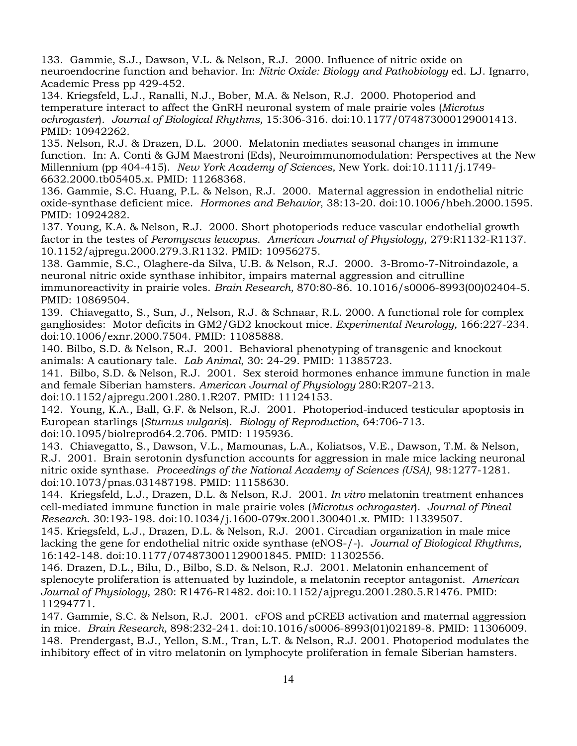133. Gammie, S.J., Dawson, V.L. & Nelson, R.J. 2000. Influence of nitric oxide on neuroendocrine function and behavior. In: *Nitric Oxide: Biology and Pathobiology* ed. LJ. Ignarro, Academic Press pp 429-452.

134. Kriegsfeld, L.J., Ranalli, N.J., Bober, M.A. & Nelson, R.J. 2000. Photoperiod and temperature interact to affect the GnRH neuronal system of male prairie voles (*Microtus ochrogaster*). *Journal of Biological Rhythms,* 15:306-316. doi:10.1177/074873000129001413. PMID: 10942262.

135. Nelson, R.J. & Drazen, D.L. 2000. Melatonin mediates seasonal changes in immune function. In: A. Conti & GJM Maestroni (Eds), Neuroimmunomodulation: Perspectives at the New Millennium (pp 404-415). *New York Academy of Sciences,* New York. doi:10.1111/j.1749- 6632.2000.tb05405.x. PMID: 11268368.

136. Gammie, S.C. Huang, P.L. & Nelson, R.J. 2000. Maternal aggression in endothelial nitric oxide-synthase deficient mice. *Hormones and Behavior*, 38:13-20. doi:10.1006/hbeh.2000.1595. PMID: 10924282.

137. Young, K.A. & Nelson, R.J. 2000. Short photoperiods reduce vascular endothelial growth factor in the testes of *Peromyscus leucopus*. *American Journal of Physiology*, 279:R1132-R1137. 10.1152/ajpregu.2000.279.3.R1132. PMID: 10956275.

138. Gammie, S.C., Olaghere-da Silva, U.B. & Nelson, R.J. 2000. 3-Bromo-7-Nitroindazole, a neuronal nitric oxide synthase inhibitor, impairs maternal aggression and citrulline immunoreactivity in prairie voles. *Brain Research,* 870:80-86. 10.1016/s0006-8993(00)02404-5. PMID: 10869504.

139. Chiavegatto, S., Sun, J., Nelson, R.J. & Schnaar, R.L. 2000. A functional role for complex gangliosides: Motor deficits in GM2/GD2 knockout mice. *Experimental Neurology,* 166:227-234*.*  doi:10.1006/exnr.2000.7504. PMID: 11085888.

140. Bilbo, S.D. & Nelson, R.J. 2001. Behavioral phenotyping of transgenic and knockout animals: A cautionary tale. *Lab Animal*, 30: 24-29. PMID: 11385723.

141. Bilbo, S.D. & Nelson, R.J. 2001. Sex steroid hormones enhance immune function in male and female Siberian hamsters. *American Journal of Physiology* 280:R207-213. doi:10.1152/ajpregu.2001.280.1.R207. PMID: 11124153.

142. Young, K.A., Ball, G.F. & Nelson, R.J. 2001. Photoperiod-induced testicular apoptosis in European starlings (*Sturnus vulgaris*). *Biology of Reproduction*, 64:706-713. doi:10.1095/biolreprod64.2.706. PMID: 1195936.

143. Chiavegatto, S., Dawson, V.L., Mamounas, L.A., Koliatsos, V.E., Dawson, T.M. & Nelson, R.J. 2001. Brain serotonin dysfunction accounts for aggression in male mice lacking neuronal nitric oxide synthase. *Proceedings of the National Academy of Sciences (USA)*, 98:1277-1281. doi:10.1073/pnas.031487198. PMID: 11158630.

144. Kriegsfeld, L.J., Drazen, D.L. & Nelson, R.J. 2001. *In vitro* melatonin treatment enhances cell-mediated immune function in male prairie voles (*Microtus ochrogaster*). *Journal of Pineal Research*. 30:193-198. doi:10.1034/j.1600-079x.2001.300401.x. PMID: 11339507.

145. Kriegsfeld, L.J., Drazen, D.L. & Nelson, R.J. 2001. Circadian organization in male mice lacking the gene for endothelial nitric oxide synthase (eNOS-/-). *Journal of Biological Rhythms,*  16:142-148. doi:10.1177/074873001129001845. PMID: 11302556.

146. Drazen, D.L., Bilu, D., Bilbo, S.D. & Nelson, R.J. 2001. Melatonin enhancement of splenocyte proliferation is attenuated by luzindole, a melatonin receptor antagonist. *American Journal of Physiology*, 280: R1476-R1482. doi:10.1152/ajpregu.2001.280.5.R1476. PMID: 11294771.

147. Gammie, S.C. & Nelson, R.J. 2001. cFOS and pCREB activation and maternal aggression in mice. *Brain Research,* 898:232-241. doi:10.1016/s0006-8993(01)02189-8. PMID: 11306009. 148. Prendergast, B.J., Yellon, S.M., Tran, L.T. & Nelson, R.J. 2001. Photoperiod modulates the inhibitory effect of in vitro melatonin on lymphocyte proliferation in female Siberian hamsters.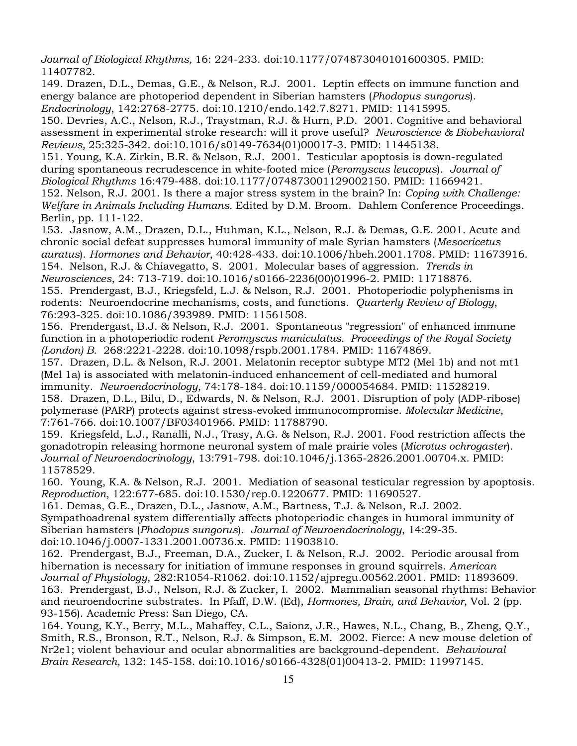*Journal of Biological Rhythms,* 16: 224-233. doi:10.1177/074873040101600305. PMID: 11407782.

149. Drazen, D.L., Demas, G.E., & Nelson, R.J. 2001. Leptin effects on immune function and energy balance are photoperiod dependent in Siberian hamsters (*Phodopus sungorus*). *Endocrinology*, 142:2768-2775. doi:10.1210/endo.142.7.8271. PMID: 11415995.

150. Devries, A.C., Nelson, R.J., Traystman, R.J. & Hurn, P.D. 2001. Cognitive and behavioral assessment in experimental stroke research: will it prove useful? *Neuroscience & Biobehavioral Reviews,* 25:325-342. doi:10.1016/s0149-7634(01)00017-3. PMID: 11445138.

151. Young, K.A. Zirkin, B.R. & Nelson, R.J. 2001. Testicular apoptosis is down-regulated during spontaneous recrudescence in white-footed mice (*Peromyscus leucopus*). *Journal of Biological Rhythms* 16:479-488. doi:10.1177/074873001129002150. PMID: 11669421.

152. Nelson, R.J. 2001. Is there a major stress system in the brain? In: *Coping with Challenge: Welfare in Animals Including Humans.* Edited by D.M. Broom. Dahlem Conference Proceedings. Berlin, pp. 111-122.

153. Jasnow, A.M., Drazen, D.L., Huhman, K.L., Nelson, R.J. & Demas, G.E. 2001. Acute and chronic social defeat suppresses humoral immunity of male Syrian hamsters (*Mesocricetus auratus*). *Hormones and Behavior*, 40:428-433. doi:10.1006/hbeh.2001.1708. PMID: 11673916. 154.Nelson, R.J. & Chiavegatto, S. 2001. Molecular bases of aggression. *Trends in Neurosciences*, 24: 713-719. doi:10.1016/s0166-2236(00)01996-2. PMID: 11718876.

155.Prendergast, B.J., Kriegsfeld, L.J. & Nelson, R.J. 2001. Photoperiodic polyphenisms in rodents: Neuroendocrine mechanisms, costs, and functions. *Quarterly Review of Biology*, 76:293-325. doi:10.1086/393989. PMID: 11561508.

156. Prendergast, B.J. & Nelson, R.J. 2001. Spontaneous "regression" of enhanced immune function in a photoperiodic rodent *Peromyscus maniculatus. Proceedings of the Royal Society (London) B.* 268:2221-2228. doi:10.1098/rspb.2001.1784. PMID: 11674869.

157. Drazen, D.L. & Nelson, R.J. 2001. Melatonin receptor subtype MT2 (Mel 1b) and not mt1 (Mel 1a) is associated with melatonin-induced enhancement of cell-mediated and humoral immunity. *Neuroendocrinology*, 74:178-184. doi:10.1159/000054684. PMID: 11528219. 158. Drazen, D.L., Bilu, D., Edwards, N. & Nelson, R.J. 2001. Disruption of poly (ADP-ribose) polymerase (PARP) protects against stress-evoked immunocompromise. *Molecular Medicine*, 7:761-766. doi:10.1007/BF03401966. PMID: 11788790.

159. Kriegsfeld, L.J., Ranalli, N.J., Trasy, A.G. & Nelson, R.J. 2001. Food restriction affects the gonadotropin releasing hormone neuronal system of male prairie voles (*Microtus ochrogaster*). *Journal of Neuroendocrinology*, 13:791-798. doi:10.1046/j.1365-2826.2001.00704.x. PMID: 11578529.

160.Young, K.A. & Nelson, R.J. 2001. Mediation of seasonal testicular regression by apoptosis. *Reproduction*, 122:677-685. doi:10.1530/rep.0.1220677. PMID: 11690527.

161. Demas, G.E., Drazen, D.L., Jasnow, A.M., Bartness, T.J. & Nelson, R.J. 2002. Sympathoadrenal system differentially affects photoperiodic changes in humoral immunity of Siberian hamsters (*Phodopus sungorus*). *Journal of Neuroendocrinology*, 14:29-35. doi:10.1046/j.0007-1331.2001.00736.x. PMID: 11903810.

162. Prendergast, B.J., Freeman, D.A., Zucker, I. & Nelson, R.J. 2002. Periodic arousal from hibernation is necessary for initiation of immune responses in ground squirrels. *American Journal of Physiology*, 282:R1054-R1062. doi:10.1152/ajpregu.00562.2001. PMID: 11893609. 163*.* Prendergast, B.J., Nelson, R.J. & Zucker, I. 2002. Mammalian seasonal rhythms: Behavior and neuroendocrine substrates. In Pfaff, D.W. (Ed), *Hormones, Brain, and Behavior*, Vol. 2 (pp. 93-156). Academic Press: San Diego, CA.

164. Young, K.Y., Berry, M.L., Mahaffey, C.L., Saionz, J.R., Hawes, N.L., Chang, B., Zheng, Q.Y., Smith, R.S., Bronson, R.T., Nelson, R.J. & Simpson, E.M. 2002. Fierce: A new mouse deletion of Nr2e1; violent behaviour and ocular abnormalities are background-dependent. *Behavioural Brain Research,* 132: 145-158. doi:10.1016/s0166-4328(01)00413-2. PMID: 11997145.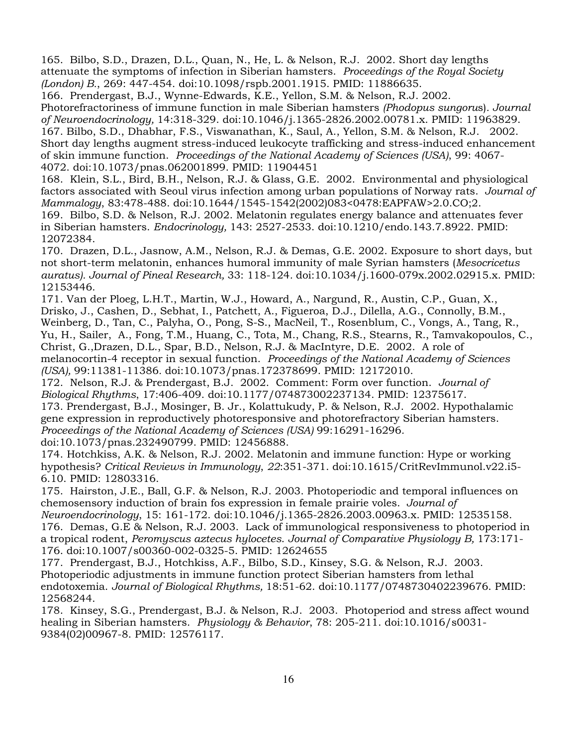165. Bilbo, S.D., Drazen, D.L., Quan, N., He, L. & Nelson, R.J. 2002. Short day lengths attenuate the symptoms of infection in Siberian hamsters. *Proceedings of the Royal Society (London) B.*, 269: 447-454. doi:10.1098/rspb.2001.1915. PMID: 11886635.

166. Prendergast, B.J., Wynne-Edwards, K.E., Yellon, S.M. & Nelson, R.J. 2002. Photorefractoriness of immune function in male Siberian hamsters *(Phodopus sungoru*s)*. Journal of Neuroendocrinology,* 14:318-329. doi:10.1046/j.1365-2826.2002.00781.x. PMID: 11963829. 167. Bilbo, S.D., Dhabhar, F.S., Viswanathan, K., Saul, A., Yellon, S.M. & Nelson, R.J. 2002. Short day lengths augment stress-induced leukocyte trafficking and stress-induced enhancement of skin immune function. *Proceedings of the National Academy of Sciences (USA)*, 99: 4067- 4072. doi:10.1073/pnas.062001899. PMID: 11904451

168. Klein, S.L., Bird, B.H., Nelson, R.J. & Glass, G.E. 2002. Environmental and physiological factors associated with Seoul virus infection among urban populations of Norway rats. *Journal of Mammalogy*, 83:478-488. doi:10.1644/1545-1542(2002)083<0478:EAPFAW>2.0.CO;2. 169. Bilbo, S.D. & Nelson, R.J. 2002. Melatonin regulates energy balance and attenuates fever in Siberian hamsters. *Endocrinology,* 143: 2527-2533. doi:10.1210/endo.143.7.8922. PMID:

12072384.

170. Drazen, D.L., Jasnow, A.M., Nelson, R.J. & Demas, G.E. 2002. Exposure to short days, but not short-term melatonin, enhances humoral immunity of male Syrian hamsters (*Mesocricetus auratus). Journal of Pineal Research,* 33: 118-124*.* doi:10.1034/j.1600-079x.2002.02915.x. PMID: 12153446.

171. Van der Ploeg, L.H.T., Martin, W.J., Howard, A., Nargund, R., Austin, C.P., Guan, X., Drisko, J., Cashen, D., Sebhat, I., Patchett, A., Figueroa, D.J., Dilella, A.G., Connolly, B.M., Weinberg, D., Tan, C., Palyha, O., Pong, S-S., MacNeil, T., Rosenblum, C., Vongs, A., Tang, R., Yu, H., Sailer, A., Fong, T.M., Huang, C., Tota, M., Chang, R.S., Stearns, R., Tamvakopoulos, C., Christ, G.,Drazen, D.L., Spar, B.D., Nelson, R.J. & MacIntyre, D.E. 2002. A role of melanocortin-4 receptor in sexual function. *Proceedings of the National Academy of Sciences (USA),* 99:11381-11386*.* doi:10.1073/pnas.172378699. PMID: 12172010.

172. Nelson, R.J. & Prendergast, B.J. 2002. Comment: Form over function. *Journal of Biological Rhythms*, 17:406-409. doi:10.1177/074873002237134. PMID: 12375617.

173. Prendergast, B.J., Mosinger, B. Jr., Kolattukudy, P. & Nelson, R.J. 2002. Hypothalamic gene expression in reproductively photoresponsive and photorefractory Siberian hamsters. *Proceedings of the National Academy of Sciences (USA)* 99:16291-16296*.*

doi:10.1073/pnas.232490799. PMID: 12456888.

174. Hotchkiss, A.K. & Nelson, R.J. 2002. Melatonin and immune function: Hype or working hypothesis? *Critical Reviews in Immunology*, *22*:351-371. doi:10.1615/CritRevImmunol.v22.i5- 6.10. PMID: 12803316.

175. Hairston, J.E., Ball, G.F. & Nelson, R.J. 2003. Photoperiodic and temporal influences on chemosensory induction of brain fos expression in female prairie voles. *Journal of* 

*Neuroendocrinology*, 15: 161-172. doi:10.1046/j.1365-2826.2003.00963.x. PMID: 12535158. 176. Demas, G.E & Nelson, R.J. 2003. Lack of immunological responsiveness to photoperiod in a tropical rodent, *Peromyscus aztecus hylocetes*. *Journal of Comparative Physiology B,* 173:171- 176. doi:10.1007/s00360-002-0325-5. PMID: 12624655

177. Prendergast, B.J., Hotchkiss, A.F., Bilbo, S.D., Kinsey, S.G. & Nelson, R.J. 2003. Photoperiodic adjustments in immune function protect Siberian hamsters from lethal endotoxemia. *Journal of Biological Rhythms,* 18:51-62. doi:10.1177/0748730402239676. PMID: 12568244.

178. Kinsey, S.G., Prendergast, B.J. & Nelson, R.J. 2003. Photoperiod and stress affect wound healing in Siberian hamsters. *Physiology & Behavior*, 78: 205-211. doi:10.1016/s0031- 9384(02)00967-8. PMID: 12576117.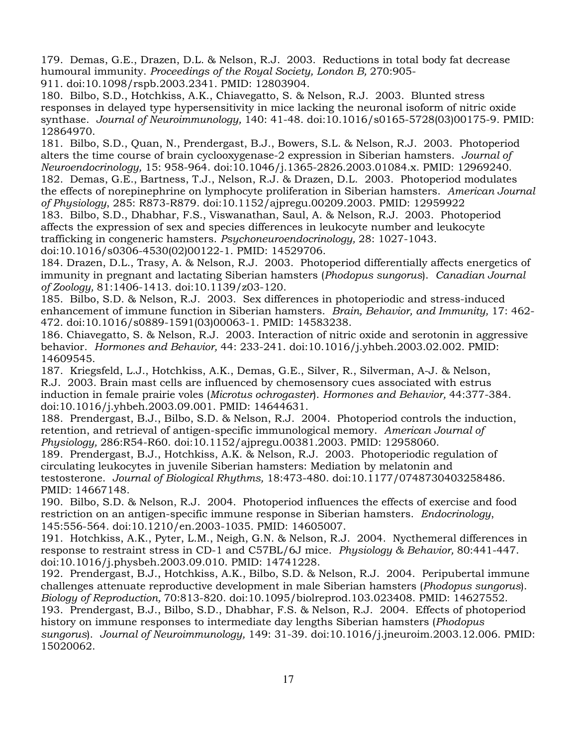179. Demas, G.E., Drazen, D.L. & Nelson, R.J. 2003. Reductions in total body fat decrease humoural immunity. *Proceedings of the Royal Society, London B,* 270:905- 911. doi:10.1098/rspb.2003.2341. PMID: 12803904.

180. Bilbo, S.D., Hotchkiss, A.K., Chiavegatto, S. & Nelson, R.J. 2003. Blunted stress responses in delayed type hypersensitivity in mice lacking the neuronal isoform of nitric oxide synthase. *Journal of Neuroimmunology,* 140: 41-48. doi:10.1016/s0165-5728(03)00175-9. PMID: 12864970.

181. Bilbo, S.D., Quan, N., Prendergast, B.J., Bowers, S.L. & Nelson, R.J. 2003. Photoperiod alters the time course of brain cyclooxygenase-2 expression in Siberian hamsters. *Journal of Neuroendocrinology,* 15: 958-964. doi:10.1046/j.1365-2826.2003.01084.x. PMID: 12969240. 182. Demas, G.E., Bartness, T.J., Nelson, R.J. & Drazen, D.L. 2003. Photoperiod modulates the effects of norepinephrine on lymphocyte proliferation in Siberian hamsters. *American Journal of Physiology*, 285: R873-R879. doi:10.1152/ajpregu.00209.2003. PMID: 12959922

183. Bilbo, S.D., Dhabhar, F.S., Viswanathan, Saul, A. & Nelson, R.J. 2003. Photoperiod affects the expression of sex and species differences in leukocyte number and leukocyte trafficking in congeneric hamsters. *Psychoneuroendocrinology,* 28: 1027-1043. doi:10.1016/s0306-4530(02)00122-1. PMID: 14529706.

184. Drazen, D.L., Trasy, A. & Nelson, R.J. 2003. Photoperiod differentially affects energetics of immunity in pregnant and lactating Siberian hamsters (*Phodopus sungorus*). *Canadian Journal of Zoology,* 81:1406-1413. doi:10.1139/z03-120.

185. Bilbo, S.D. & Nelson, R.J. 2003. Sex differences in photoperiodic and stress-induced enhancement of immune function in Siberian hamsters. *Brain, Behavior, and Immunity,* 17: 462- 472. doi:10.1016/s0889-1591(03)00063-1. PMID: 14583238.

186. Chiavegatto, S. & Nelson, R.J. 2003. Interaction of nitric oxide and serotonin in aggressive behavior. *Hormones and Behavior,* 44: 233-241. doi:10.1016/j.yhbeh.2003.02.002. PMID: 14609545.

187. Kriegsfeld, L.J., Hotchkiss, A.K., Demas, G.E., Silver, R., Silverman, A-J. & Nelson, R.J. 2003. Brain mast cells are influenced by chemosensory cues associated with estrus induction in female prairie voles (*Microtus ochrogaster*). *Hormones and Behavior,* 44:377-384. doi:10.1016/j.yhbeh.2003.09.001. PMID: 14644631.

188. Prendergast, B.J., Bilbo, S.D. & Nelson, R.J. 2004. Photoperiod controls the induction, retention, and retrieval of antigen-specific immunological memory. *American Journal of Physiology,* 286:R54-R60. doi:10.1152/ajpregu.00381.2003. PMID: 12958060.

189. Prendergast, B.J., Hotchkiss, A.K. & Nelson, R.J. 2003. Photoperiodic regulation of circulating leukocytes in juvenile Siberian hamsters: Mediation by melatonin and testosterone. *Journal of Biological Rhythms,* 18:473-480. doi:10.1177/0748730403258486. PMID: 14667148.

190. Bilbo, S.D. & Nelson, R.J. 2004. Photoperiod influences the effects of exercise and food restriction on an antigen-specific immune response in Siberian hamsters. *Endocrinology*, 145:556-564. doi:10.1210/en.2003-1035. PMID: 14605007.

191. Hotchkiss, A.K., Pyter, L.M., Neigh, G.N. & Nelson, R.J. 2004. Nycthemeral differences in response to restraint stress in CD-1 and C57BL/6J mice. *Physiology & Behavior,* 80:441-447. doi:10.1016/j.physbeh.2003.09.010. PMID: 14741228.

192. Prendergast, B.J., Hotchkiss, A.K., Bilbo, S.D. & Nelson, R.J. 2004. Peripubertal immune challenges attenuate reproductive development in male Siberian hamsters (*Phodopus sungorus*). *Biology of Reproduction,* 70:813-820. doi:10.1095/biolreprod.103.023408. PMID: 14627552.

193. Prendergast, B.J., Bilbo, S.D., Dhabhar, F.S. & Nelson, R.J. 2004. Effects of photoperiod history on immune responses to intermediate day lengths Siberian hamsters (*Phodopus sungorus*). *Journal of Neuroimmunology,* 149: 31-39. doi:10.1016/j.jneuroim.2003.12.006. PMID: 15020062.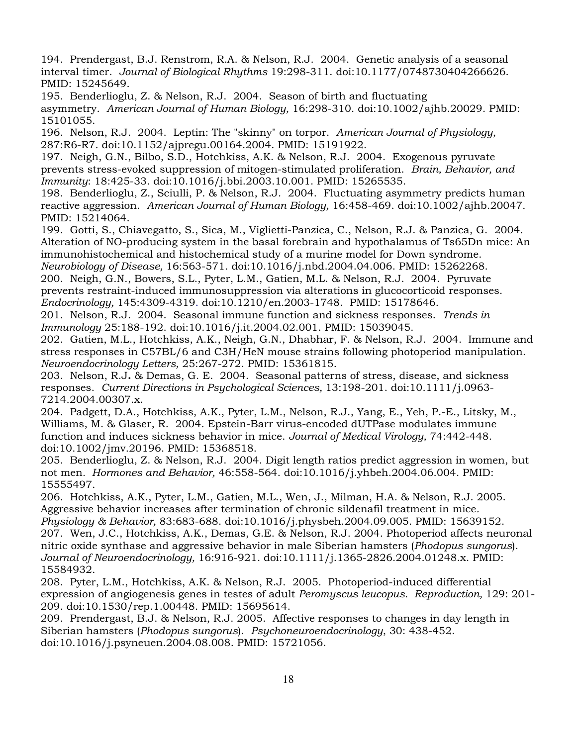194. Prendergast, B.J. Renstrom, R.A. & Nelson, R.J. 2004. Genetic analysis of a seasonal interval timer. *Journal of Biological Rhythms* 19:298-311. doi:10.1177/0748730404266626. PMID: 15245649.

195. Benderlioglu, Z. & Nelson, R.J. 2004. Season of birth and fluctuating asymmetry. *American Journal of Human Biology,* 16:298-310. doi:10.1002/ajhb.20029. PMID: 15101055.

196. Nelson, R.J. 2004. Leptin: The "skinny" on torpor. *American Journal of Physiology,* 287:R6-R7. doi:10.1152/ajpregu.00164.2004. PMID: 15191922.

197. Neigh, G.N., Bilbo, S.D., Hotchkiss, A.K. & Nelson, R.J. 2004. Exogenous pyruvate prevents stress-evoked suppression of mitogen-stimulated proliferation. *Brain, Behavior, and Immunity*: 18:425-33. doi:10.1016/j.bbi.2003.10.001. PMID: 15265535.

198. Benderlioglu, Z., Sciulli, P. & Nelson, R.J. 2004. Fluctuating asymmetry predicts human reactive aggression. *American Journal of Human Biology,* 16:458-469. doi:10.1002/ajhb.20047. PMID: 15214064.

199. Gotti, S., Chiavegatto, S., Sica, M., Viglietti-Panzica, C., Nelson, R.J. & Panzica, G. 2004. Alteration of NO-producing system in the basal forebrain and hypothalamus of Ts65Dn mice: An immunohistochemical and histochemical study of a murine model for Down syndrome.

*Neurobiology of Disease,* 16:563-571. doi:10.1016/j.nbd.2004.04.006. PMID: 15262268. 200. Neigh, G.N., Bowers, S.L., Pyter, L.M., Gatien, M.L. & Nelson, R.J. 2004. Pyruvate

prevents restraint-induced immunosuppression via alterations in glucocorticoid responses.

*Endocrinology,* 145:4309-4319. doi:10.1210/en.2003-1748. PMID: 15178646.

201. Nelson, R.J. 2004. Seasonal immune function and sickness responses. *Trends in Immunology* 25:188-192. doi:10.1016/j.it.2004.02.001. PMID: 15039045.

202. Gatien, M.L., Hotchkiss, A.K., Neigh, G.N., Dhabhar, F. & Nelson, R.J. 2004. Immune and stress responses in C57BL/6 and C3H/HeN mouse strains following photoperiod manipulation. *Neuroendocrinology Letters,* 25:267-272. PMID: 15361815.

203. Nelson, R.J**.** & Demas, G. E. 2004. Seasonal patterns of stress, disease, and sickness responses. *Current Directions in Psychological Sciences,* 13:198-201. doi:10.1111/j.0963- 7214.2004.00307.x.

204. Padgett, D.A., Hotchkiss, A.K., Pyter, L.M., Nelson, R.J., Yang, E., Yeh, P.-E., Litsky, M., Williams, M. & Glaser, R. 2004. Epstein-Barr virus-encoded dUTPase modulates immune function and induces sickness behavior in mice. *Journal of Medical Virology,* 74:442-448. doi:10.1002/jmv.20196. PMID: 15368518.

205. Benderlioglu, Z. & Nelson, R.J. 2004. Digit length ratios predict aggression in women, but not men*. Hormones and Behavior,* 46:558-564. doi:10.1016/j.yhbeh.2004.06.004. PMID: 15555497.

206. Hotchkiss, A.K., Pyter, L.M., Gatien, M.L., Wen, J., Milman, H.A. & Nelson, R.J. 2005. Aggressive behavior increases after termination of chronic sildenafil treatment in mice*. Physiology & Behavior,* 83:683-688. doi:10.1016/j.physbeh.2004.09.005. PMID: 15639152.

207. Wen, J.C., Hotchkiss, A.K., Demas, G.E. & Nelson, R.J. 2004. Photoperiod affects neuronal nitric oxide synthase and aggressive behavior in male Siberian hamsters (*Phodopus sungorus*). *Journal of Neuroendocrinology,* 16:916-921. doi:10.1111/j.1365-2826.2004.01248.x. PMID: 15584932.

208. Pyter, L.M., Hotchkiss, A.K. & Nelson, R.J. 2005. Photoperiod-induced differential expression of angiogenesis genes in testes of adult *Peromyscus leucopus. Reproduction,* 129: 201- 209. doi:10.1530/rep.1.00448. PMID: 15695614.

209. Prendergast, B.J. & Nelson, R.J. 2005. Affective responses to changes in day length in Siberian hamsters (*Phodopus sungorus*). *Psychoneuroendocrinology*, 30: 438-452. doi:10.1016/j.psyneuen.2004.08.008. PMID: 15721056.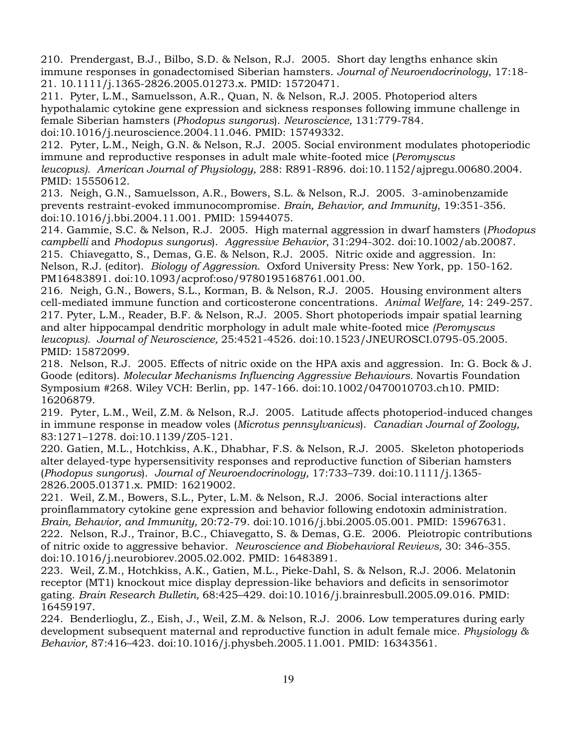210. Prendergast, B.J., Bilbo, S.D. & Nelson, R.J. 2005. Short day lengths enhance skin immune responses in gonadectomised Siberian hamsters. *Journal of Neuroendocrinology*, 17:18- 21. 10.1111/j.1365-2826.2005.01273.x. PMID: 15720471.

211. Pyter, L.M., Samuelsson, A.R., Quan, N. & Nelson, R.J. 2005. Photoperiod alters hypothalamic cytokine gene expression and sickness responses following immune challenge in female Siberian hamsters (*Phodopus sungorus*). *Neuroscience,* 131:779-784.

doi:10.1016/j.neuroscience.2004.11.046. PMID: 15749332.

212. Pyter, L.M., Neigh, G.N. & Nelson, R.J. 2005. Social environment modulates photoperiodic immune and reproductive responses in adult male white-footed mice (*Peromyscus leucopus). American Journal of Physiology,* 288: R891-R896. doi:10.1152/ajpregu.00680.2004. PMID: 15550612.

213. Neigh, G.N., Samuelsson, A.R., Bowers, S.L. & Nelson, R.J. 2005. 3-aminobenzamide prevents restraint-evoked immunocompromise. *Brain, Behavior, and Immunity*, 19:351-356. doi:10.1016/j.bbi.2004.11.001. PMID: 15944075.

214. Gammie, S.C. & Nelson, R.J. 2005. High maternal aggression in dwarf hamsters (*Phodopus campbelli* and *Phodopus sungorus*). *Aggressive Behavior*, 31:294-302. doi:10.1002/ab.20087. 215. Chiavegatto, S., Demas, G.E. & Nelson, R.J. 2005. Nitric oxide and aggression. In: Nelson, R.J. (editor). *Biology of Aggression.* Oxford University Press: New York, pp. 150-162. PM16483891. doi:10.1093/acprof:oso/9780195168761.001.00.

216. Neigh, G.N., Bowers, S.L., Korman, B. & Nelson, R.J. 2005. Housing environment alters cell-mediated immune function and corticosterone concentrations. *Animal Welfare,* 14: 249-257. 217. Pyter, L.M., Reader, B.F. & Nelson, R.J. 2005. Short photoperiods impair spatial learning and alter hippocampal dendritic morphology in adult male white-footed mice *(Peromyscus leucopus). Journal of Neuroscience,* 25:4521-4526. doi:10.1523/JNEUROSCI.0795-05.2005. PMID: 15872099.

218. Nelson, R.J. 2005. Effects of nitric oxide on the HPA axis and aggression. In: G. Bock & J. Goode (editors). *Molecular Mechanisms Influencing Aggressive Behaviours.* Novartis Foundation Symposium #268. Wiley VCH: Berlin, pp. 147-166. doi:10.1002/0470010703.ch10. PMID: 16206879.

219.Pyter, L.M., Weil, Z.M. & Nelson, R.J. 2005. Latitude affects photoperiod-induced changes in immune response in meadow voles (*Microtus pennsylvanicus*). *Canadian Journal of Zoology,*  83:1271–1278. doi:10.1139/Z05-121.

220. Gatien, M.L., Hotchkiss, A.K., Dhabhar, F.S. & Nelson, R.J. 2005. Skeleton photoperiods alter delayed-type hypersensitivity responses and reproductive function of Siberian hamsters (*Phodopus sungorus*). *Journal of Neuroendocrinology,* 17:733–739. doi:10.1111/j.1365- 2826.2005.01371.x. PMID: 16219002.

221. Weil, Z.M., Bowers, S.L., Pyter, L.M. & Nelson, R.J. 2006. Social interactions alter proinflammatory cytokine gene expression and behavior following endotoxin administration. *Brain, Behavior, and Immunity,* 20:72-79. doi:10.1016/j.bbi.2005.05.001. PMID: 15967631. 222. Nelson, R.J., Trainor, B.C., Chiavegatto, S. & Demas, G.E. 2006. Pleiotropic contributions of nitric oxide to aggressive behavior. *Neuroscience and Biobehavioral Reviews,* 30: 346-355. doi:10.1016/j.neurobiorev.2005.02.002. PMID: 16483891.

223. Weil, Z.M., Hotchkiss, A.K., Gatien, M.L., Pieke-Dahl, S. & Nelson, R.J. 2006. Melatonin receptor (MT1) knockout mice display depression-like behaviors and deficits in sensorimotor gating. *Brain Research Bulletin,* 68:425–429. doi:10.1016/j.brainresbull.2005.09.016. PMID: 16459197.

224. Benderlioglu, Z., Eish, J., Weil, Z.M. & Nelson, R.J. 2006. Low temperatures during early development subsequent maternal and reproductive function in adult female mice. *Physiology & Behavior,* 87:416–423. doi:10.1016/j.physbeh.2005.11.001. PMID: 16343561.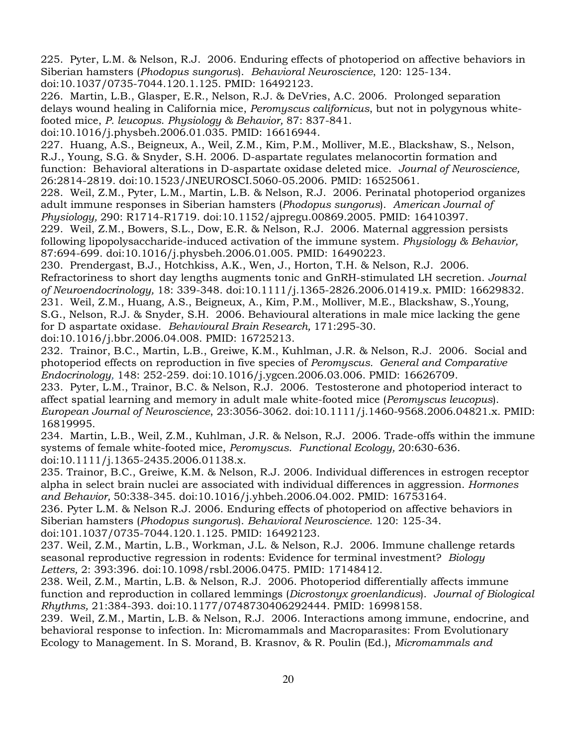225. Pyter, L.M. & Nelson, R.J. 2006. Enduring effects of photoperiod on affective behaviors in Siberian hamsters (*Phodopus sungorus*). *Behavioral Neuroscience*, 120: 125-134. doi:10.1037/0735-7044.120.1.125. PMID: 16492123.

226. Martin, L.B., Glasper, E.R., Nelson, R.J. & DeVries, A.C. 2006. Prolonged separation delays wound healing in California mice, *Peromyscus californicus*, but not in polygynous whitefooted mice, *P. leucopus*. *Physiology & Behavior,* 87: 837-841.

doi:10.1016/j.physbeh.2006.01.035. PMID: 16616944.

227. Huang, A.S., Beigneux, A., Weil, Z.M., Kim, P.M., Molliver, M.E., Blackshaw, S., Nelson, R.J., Young, S.G. & Snyder, S.H. 2006. D-aspartate regulates melanocortin formation and function: Behavioral alterations in D-aspartate oxidase deleted mice. *Journal of Neuroscience,* 26:2814-2819. doi:10.1523/JNEUROSCI.5060-05.2006. PMID: 16525061.

228. Weil, Z.M., Pyter, L.M., Martin, L.B. & Nelson, R.J. 2006. Perinatal photoperiod organizes adult immune responses in Siberian hamsters (*Phodopus sungorus*). *American Journal of Physiology,* 290: R1714-R1719. doi:10.1152/ajpregu.00869.2005. PMID: 16410397.

229. Weil, Z.M., Bowers, S.L., Dow, E.R. & Nelson, R.J. 2006. Maternal aggression persists following lipopolysaccharide-induced activation of the immune system. *Physiology & Behavior,*  87:694-699. doi:10.1016/j.physbeh.2006.01.005. PMID: 16490223.

230. Prendergast, B.J., Hotchkiss, A.K., Wen, J., Horton, T.H. & Nelson, R.J. 2006. Refractoriness to short day lengths augments tonic and GnRH-stimulated LH secretion. *Journal of Neuroendocrinology,* 18: 339-348. doi:10.1111/j.1365-2826.2006.01419.x. PMID: 16629832. 231. Weil, Z.M., Huang, A.S., Beigneux, A., Kim, P.M., Molliver, M.E., Blackshaw, S.,Young, S.G., Nelson, R.J. & Snyder, S.H. 2006. Behavioural alterations in male mice lacking the gene for D aspartate oxidase. *Behavioural Brain Research,* 171:295-30. doi:10.1016/j.bbr.2006.04.008. PMID: 16725213.

232. Trainor, B.C., Martin, L.B., Greiwe, K.M., Kuhlman, J.R. & Nelson, R.J. 2006. Social and photoperiod effects on reproduction in five species of *Peromyscus. General and Comparative Endocrinology,* 148: 252-259. doi:10.1016/j.ygcen.2006.03.006. PMID: 16626709.

233. Pyter, L.M., Trainor, B.C. & Nelson, R.J. 2006. Testosterone and photoperiod interact to affect spatial learning and memory in adult male white-footed mice (*Peromyscus leucopus*). *European Journal of Neuroscience*, 23:3056-3062. doi:10.1111/j.1460-9568.2006.04821.x. PMID: 16819995.

234. Martin, L.B., Weil, Z.M., Kuhlman, J.R. & Nelson, R.J. 2006. Trade-offs within the immune systems of female white-footed mice, *Peromyscus*. *Functional Ecology,* 20:630-636. doi:10.1111/j.1365-2435.2006.01138.x.

235. Trainor, B.C., Greiwe, K.M. & Nelson, R.J. 2006. Individual differences in estrogen receptor alpha in select brain nuclei are associated with individual differences in aggression. *Hormones and Behavior,* 50:338-345. doi:10.1016/j.yhbeh.2006.04.002. PMID: 16753164.

236. Pyter L.M. & Nelson R.J. 2006. Enduring effects of photoperiod on affective behaviors in Siberian hamsters (*Phodopus sungorus*). *Behavioral Neuroscience*. 120: 125-34.

doi:101.1037/0735-7044.120.1.125. PMID: 16492123.

237. Weil, Z.M., Martin, L.B., Workman, J.L. & Nelson, R.J. 2006. Immune challenge retards seasonal reproductive regression in rodents: Evidence for terminal investment? *Biology Letters,* 2: 393:396. doi:10.1098/rsbl.2006.0475. PMID: 17148412.

238. Weil, Z.M., Martin, L.B. & Nelson, R.J. 2006. Photoperiod differentially affects immune function and reproduction in collared lemmings (*Dicrostonyx groenlandicus*). *Journal of Biological Rhythms,* 21:384-393. doi:10.1177/0748730406292444. PMID: 16998158.

239. Weil, Z.M., Martin, L.B. & Nelson, R.J. 2006. Interactions among immune, endocrine, and behavioral response to infection. In: Micromammals and Macroparasites: From Evolutionary Ecology to Management. In S. Morand, B. Krasnov, & R. Poulin (Ed.), *Micromammals and*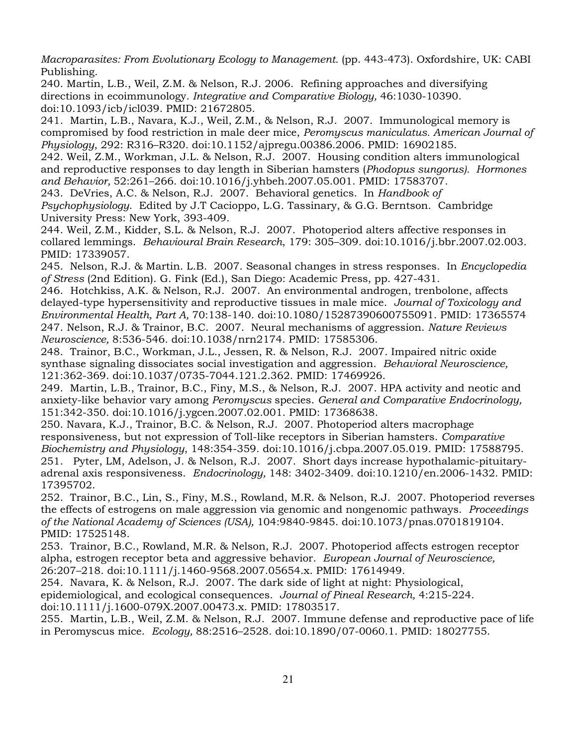*Macroparasites: From Evolutionary Ecology to Management.* (pp. 443-473). Oxfordshire, UK: CABI Publishing.

240. Martin, L.B., Weil, Z.M. & Nelson, R.J. 2006. Refining approaches and diversifying directions in ecoimmunology. *Integrative and Comparative Biology,* 46:1030-10390. doi:10.1093/icb/icl039. PMID: 21672805.

241. Martin, L.B., Navara, K.J., Weil, Z.M., & Nelson, R.J. 2007. Immunological memory is compromised by food restriction in male deer mice, *Peromyscus maniculatus. American Journal of Physiology*, 292: R316–R320. doi:10.1152/ajpregu.00386.2006. PMID: 16902185.

242. Weil, Z.M., Workman, J.L. & Nelson, R.J. 2007. Housing condition alters immunological and reproductive responses to day length in Siberian hamsters (*Phodopus sungorus). Hormones and Behavior,* 52:261–266. doi:10.1016/j.yhbeh.2007.05.001. PMID: 17583707.

243. DeVries, A.C. & Nelson, R.J. 2007. Behavioral genetics. In *Handbook of Psychophysiology*. Edited by J.T Cacioppo, L.G. Tassinary, & G.G. Berntson. Cambridge University Press: New York, 393-409.

244. Weil, Z.M., Kidder, S.L. & Nelson, R.J. 2007. Photoperiod alters affective responses in collared lemmings. *Behavioural Brain Research*, 179: 305–309. doi:10.1016/j.bbr.2007.02.003. PMID: 17339057.

245. Nelson, R.J. & Martin. L.B. 2007. Seasonal changes in stress responses. In *Encyclopedia of Stress* (2nd Edition). G. Fink (Ed.), San Diego: Academic Press, pp. 427-431.

246.Hotchkiss, A.K. & Nelson, R.J. 2007. An environmental androgen, trenbolone, affects delayed-type hypersensitivity and reproductive tissues in male mice. *Journal of Toxicology and Environmental Health, Part A,* 70:138-140. doi:10.1080/15287390600755091. PMID: 17365574 247. Nelson, R.J. & Trainor, B.C. 2007. Neural mechanisms of aggression. *Nature Reviews Neuroscience,* 8:536-546. doi:10.1038/nrn2174. PMID: 17585306.

248. Trainor, B.C., Workman, J.L., Jessen, R. & Nelson, R.J. 2007. Impaired nitric oxide synthase signaling dissociates social investigation and aggression. *Behavioral Neuroscience,* 121:362-369. doi:10.1037/0735-7044.121.2.362. PMID: 17469926.

249. Martin, L.B., Trainor, B.C., Finy, M.S., & Nelson, R.J. 2007. HPA activity and neotic and anxiety-like behavior vary among *Peromyscus* species. *General and Comparative Endocrinology,* 151:342-350. doi:10.1016/j.ygcen.2007.02.001. PMID: 17368638.

250. Navara, K.J., Trainor, B.C. & Nelson, R.J. 2007. Photoperiod alters macrophage responsiveness, but not expression of Toll-like receptors in Siberian hamsters. *Comparative Biochemistry and Physiology*, 148:354-359. doi:10.1016/j.cbpa.2007.05.019. PMID: 17588795. 251. Pyter, LM, Adelson, J. & Nelson, R.J. 2007. Short days increase hypothalamic-pituitaryadrenal axis responsiveness. *Endocrinology,* 148: 3402-3409. doi:10.1210/en.2006-1432. PMID: 17395702.

252. Trainor, B.C., Lin, S., Finy, M.S., Rowland, M.R. & Nelson, R.J. 2007. Photoperiod reverses the effects of estrogens on male aggression via genomic and nongenomic pathways. *Proceedings of the National Academy of Sciences (USA),* 104:9840-9845. doi:10.1073/pnas.0701819104. PMID: 17525148.

253. Trainor, B.C., Rowland, M.R. & Nelson, R.J. 2007. Photoperiod affects estrogen receptor alpha, estrogen receptor beta and aggressive behavior. *European Journal of Neuroscience,* 26:207–218. doi:10.1111/j.1460-9568.2007.05654.x. PMID: 17614949.

254. Navara, K. & Nelson, R.J. 2007. The dark side of light at night: Physiological, epidemiological, and ecological consequences. *Journal of Pineal Research,* 4:215-224. doi:10.1111/j.1600-079X.2007.00473.x. PMID: 17803517.

255. Martin, L.B., Weil, Z.M. & Nelson, R.J. 2007. Immune defense and reproductive pace of life in Peromyscus mice. *Ecology,* 88:2516–2528. doi:10.1890/07-0060.1. PMID: 18027755.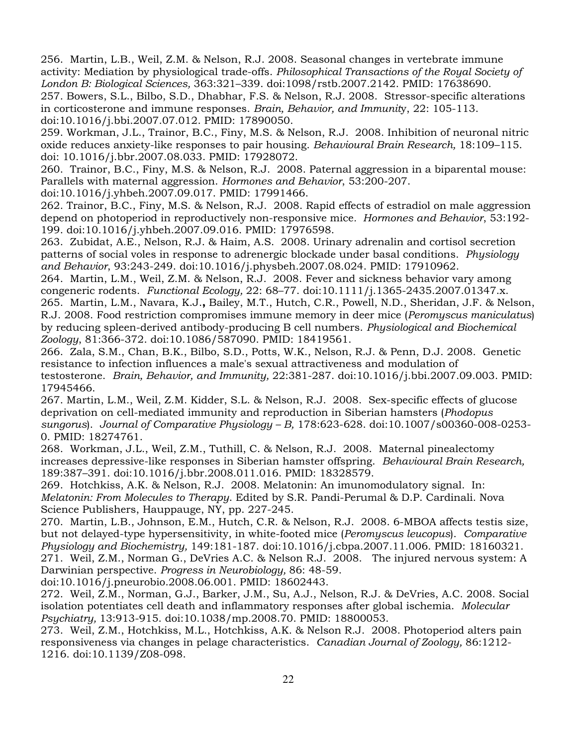256. Martin, L.B., Weil, Z.M. & Nelson, R.J. 2008. Seasonal changes in vertebrate immune activity: Mediation by physiological trade-offs. *Philosophical Transactions of the Royal Society of London B: Biological Sciences,* 363:321–339. doi:1098/rstb.2007.2142. PMID: 17638690. 257. Bowers, S.L., Bilbo, S.D., Dhabhar, F.S. & Nelson, R.J. 2008. Stressor-specific alterations in corticosterone and immune responses. *Brain, Behavior, and Immunit*y, 22: 105-113. doi:10.1016/j.bbi.2007.07.012. PMID: 17890050.

259. Workman, J.L., Trainor, B.C., Finy, M.S. & Nelson, R.J. 2008. Inhibition of neuronal nitric oxide reduces anxiety-like responses to pair housing. *Behavioural Brain Research,* 18:109–115. doi: 10.1016/j.bbr.2007.08.033. PMID: 17928072.

260. Trainor, B.C., Finy, M.S. & Nelson, R.J. 2008. Paternal aggression in a biparental mouse: Parallels with maternal aggression. *Hormones and Behavior*, 53:200-207.

doi:10.1016/j.yhbeh.2007.09.017. PMID: 17991466.

262. Trainor, B.C., Finy, M.S. & Nelson, R.J. 2008. Rapid effects of estradiol on male aggression depend on photoperiod in reproductively non-responsive mice*. Hormones and Behavior*, 53:192- 199. doi:10.1016/j.yhbeh.2007.09.016. PMID: 17976598.

263. Zubidat, A.E., Nelson, R.J. & Haim, A.S. 2008. Urinary adrenalin and cortisol secretion patterns of social voles in response to adrenergic blockade under basal conditions. *Physiology and Behavior*, 93:243-249. doi:10.1016/j.physbeh.2007.08.024. PMID: 17910962.

264. Martin, L.M., Weil, Z.M. & Nelson, R.J. 2008. Fever and sickness behavior vary among congeneric rodents. *Functional Ecology,* 22: 68–77. doi:10.1111/j.1365-2435.2007.01347.x. 265. Martin, L.M., Navara, K.J.**,** Bailey, M.T., Hutch, C.R., Powell, N.D., Sheridan, J.F. & Nelson, R.J. 2008. Food restriction compromises immune memory in deer mice (*Peromyscus maniculatus*) by reducing spleen-derived antibody-producing B cell numbers. *Physiological and Biochemical Zoology*, 81:366-372. doi:10.1086/587090. PMID: 18419561.

266. Zala, S.M., Chan, B.K., Bilbo, S.D., Potts, W.K., Nelson, R.J. & Penn, D.J. 2008. Genetic resistance to infection influences a male's sexual attractiveness and modulation of testosterone. *Brain, Behavior, and Immunity,* 22:381-287. doi:10.1016/j.bbi.2007.09.003. PMID: 17945466.

267. Martin, L.M., Weil, Z.M. Kidder, S.L. & Nelson, R.J. 2008. Sex-specific effects of glucose deprivation on cell-mediated immunity and reproduction in Siberian hamsters (*Phodopus sungorus*). *Journal of Comparative Physiology – B,* 178:623-628. doi:10.1007/s00360-008-0253- 0. PMID: 18274761.

268. Workman, J.L., Weil, Z.M., Tuthill, C. & Nelson, R.J. 2008. Maternal pinealectomy increases depressive-like responses in Siberian hamster offspring. *Behavioural Brain Research,* 189:387–391. doi:10.1016/j.bbr.2008.011.016. PMID: 18328579.

269. Hotchkiss, A.K. & Nelson, R.J. 2008. Melatonin: An imunomodulatory signal. In: *Melatonin: From Molecules to Therapy*. Edited by S.R. Pandi-Perumal & D.P. Cardinali. Nova Science Publishers, Hauppauge, NY, pp. 227-245.

270. Martin, L.B., Johnson, E.M., Hutch, C.R. & Nelson, R.J. 2008. 6-MBOA affects testis size, but not delayed-type hypersensitivity, in white-footed mice (*Peromyscus leucopus*). *Comparative Physiology and Biochemistry,* 149:181-187. doi:10.1016/j.cbpa.2007.11.006. PMID: 18160321. 271. Weil, Z.M., Norman G., DeVries A.C. & Nelson R.J. 2008. The injured nervous system: A Darwinian perspective. *Progress in Neurobiology,* 86: 48-59.

doi:10.1016/j.pneurobio.2008.06.001. PMID: 18602443.

272. Weil, Z.M., Norman, G.J., Barker, J.M., Su, A.J., Nelson, R.J. & DeVries, A.C. 2008. Social isolation potentiates cell death and inflammatory responses after global ischemia. *Molecular Psychiatry,* 13:913-915. doi:10.1038/mp.2008.70. PMID: 18800053.

273. Weil, Z.M., Hotchkiss, M.L., Hotchkiss, A.K. & Nelson R.J. 2008. Photoperiod alters pain responsiveness via changes in pelage characteristics. *Canadian Journal of Zoology,* 86:1212- 1216. doi:10.1139/Z08-098.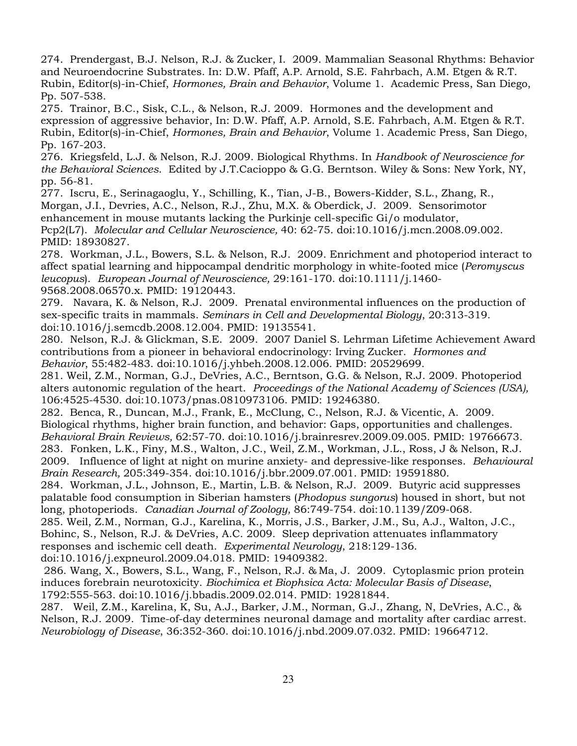274. Prendergast, B.J. Nelson, R.J. & Zucker, I. 2009. Mammalian Seasonal Rhythms: Behavior and Neuroendocrine Substrates. In: D.W. Pfaff, A.P. Arnold, S.E. Fahrbach, A.M. Etgen & R.T. Rubin, Editor(s)-in-Chief, *Hormones, Brain and Behavior*, Volume 1. Academic Press, San Diego, Pp. 507-538.

275. Trainor, B.C., Sisk, C.L., & Nelson, R.J. 2009. Hormones and the development and expression of aggressive behavior, In: D.W. Pfaff, A.P. Arnold, S.E. Fahrbach, A.M. Etgen & R.T. Rubin, Editor(s)-in-Chief, *Hormones, Brain and Behavior*, Volume 1. Academic Press, San Diego, Pp. 167-203.

276. Kriegsfeld, L.J. & Nelson, R.J. 2009. Biological Rhythms. In *Handbook of Neuroscience for the Behavioral Sciences*. Edited by J.T.Cacioppo & G.G. Berntson. Wiley & Sons: New York, NY, pp. 56-81.

277. Iscru, E., Serinagaoglu, Y., Schilling, K., Tian, J-B., Bowers-Kidder, S.L., Zhang, R., Morgan, J.I., Devries, A.C., Nelson, R.J., Zhu, M.X. & Oberdick, J. 2009. Sensorimotor enhancement in mouse mutants lacking the Purkinje cell-specific Gi/o modulator, Pcp2(L7). *Molecular and Cellular Neuroscience,* 40: 62-75. doi:10.1016/j.mcn.2008.09.002. PMID: 18930827.

278. Workman, J.L., Bowers, S.L. & Nelson, R.J. 2009. Enrichment and photoperiod interact to affect spatial learning and hippocampal dendritic morphology in white-footed mice (*Peromyscus leucopus*). *European Journal of Neuroscience,* 29:161-170. doi:10.1111/j.1460- 9568.2008.06570.x. PMID: 19120443.

279. Navara, K. & Nelson, R.J. 2009. Prenatal environmental influences on the production of sex-specific traits in mammals. *Seminars in Cell and Developmental Biology*, 20:313-319. doi:10.1016/j.semcdb.2008.12.004. PMID: 19135541.

280. Nelson, R.J. & Glickman, S.E. 2009. 2007 Daniel S. Lehrman Lifetime Achievement Award contributions from a pioneer in behavioral endocrinology: Irving Zucker. *Hormones and Behavior*, 55:482-483. doi:10.1016/j.yhbeh.2008.12.006. PMID: 20529699.

281. Weil, Z.M., Norman, G.J., DeVries, A.C., Berntson, G.G. & Nelson, R.J. 2009. Photoperiod alters autonomic regulation of the heart. *Proceedings of the National Academy of Sciences (USA),*  106:4525-4530. doi:10.1073/pnas.0810973106. PMID: 19246380.

282. Benca, R., Duncan, M.J., Frank, E., McClung, C., Nelson, R.J. & Vicentic, A. 2009. Biological rhythms, higher brain function, and behavior: Gaps, opportunities and challenges. *Behavioral Brain Reviews,* 62:57-70. doi:10.1016/j.brainresrev.2009.09.005. PMID: 19766673. 283.Fonken, L.K., Finy, M.S., Walton, J.C., Weil, Z.M., Workman, J.L., Ross, J & Nelson, R.J. 2009. Influence of light at night on murine anxiety- and depressive-like responses. *Behavioural Brain Research,* 205:349-354. doi:10.1016/j.bbr.2009.07.001. PMID: 19591880.

284. Workman, J.L., Johnson, E., Martin, L.B. & Nelson, R.J. 2009. Butyric acid suppresses palatable food consumption in Siberian hamsters (*Phodopus sungorus*) housed in short, but not long, photoperiods. *Canadian Journal of Zoology,* 86:749-754. doi:10.1139/Z09-068.

285. Weil, Z.M., Norman, G.J., Karelina, K., Morris, J.S., Barker, J.M., Su, A.J., Walton, J.C., Bohinc, S., Nelson, R.J. & DeVries, A.C. 2009. Sleep deprivation attenuates inflammatory responses and ischemic cell death. *Experimental Neurology*, 218:129-136. doi:10.1016/j.expneurol.2009.04.018. PMID: 19409382.

286. Wang, X., Bowers, S.L., Wang, F., Nelson, R.J. & Ma, J. 2009. Cytoplasmic prion protein induces forebrain neurotoxicity. *Biochimica et Biophsica Acta: Molecular Basis of Disease*, 1792:555-563. doi:10.1016/j.bbadis.2009.02.014. PMID: 19281844.

287. Weil, Z.M., Karelina, K, Su, A.J., Barker, J.M., Norman, G.J., Zhang, N, DeVries, A.C., & Nelson, R.J. 2009. Time-of-day determines neuronal damage and mortality after cardiac arrest. *Neurobiology of Disease*, 36:352-360. doi:10.1016/j.nbd.2009.07.032. PMID: 19664712.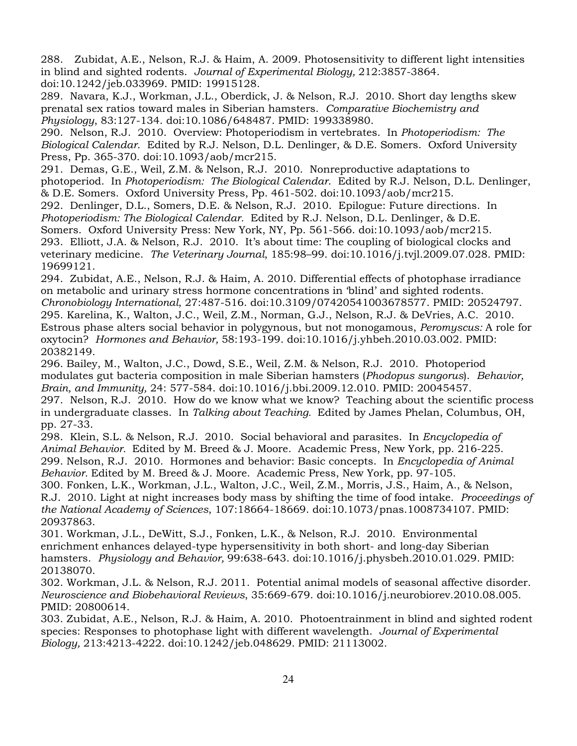288. Zubidat, A.E., Nelson, R.J. & Haim, A. 2009. Photosensitivity to different light intensities in blind and sighted rodents. *Journal of Experimental Biology,* 212:3857-3864. doi:10.1242/jeb.033969. PMID: 19915128.

289. Navara, K.J., Workman, J.L., Oberdick, J. & Nelson, R.J. 2010. Short day lengths skew prenatal sex ratios toward males in Siberian hamsters. *Comparative Biochemistry and Physiology*, 83:127-134. doi:10.1086/648487. PMID: 199338980.

290. Nelson, R.J. 2010. Overview: Photoperiodism in vertebrates. In *Photoperiodism: The Biological Calendar*. Edited by R.J. Nelson, D.L. Denlinger, & D.E. Somers. Oxford University Press, Pp. 365-370. doi:10.1093/aob/mcr215.

291. Demas, G.E., Weil, Z.M. & Nelson, R.J. 2010. Nonreproductive adaptations to photoperiod. In *Photoperiodism: The Biological Calendar*. Edited by R.J. Nelson, D.L. Denlinger, & D.E. Somers. Oxford University Press, Pp. 461-502. doi:10.1093/aob/mcr215.

292. Denlinger, D.L., Somers, D.E. & Nelson, R.J. 2010. Epilogue: Future directions. In *Photoperiodism: The Biological Calendar.* Edited by R.J. Nelson, D.L. Denlinger, & D.E.

Somers. Oxford University Press: New York, NY, Pp. 561-566. doi:10.1093/aob/mcr215. 293. Elliott, J.A. & Nelson, R.J. 2010. It's about time: The coupling of biological clocks and veterinary medicine. *The Veterinary Journal*, 185:98–99. doi:10.1016/j.tvjl.2009.07.028. PMID: 19699121.

294. Zubidat, A.E., Nelson, R.J. & Haim, A. 2010. Differential effects of photophase irradiance on metabolic and urinary stress hormone concentrations in 'blind' and sighted rodents. *Chronobiology International*, 27:487-516. doi:10.3109/07420541003678577. PMID: 20524797. 295. Karelina, K., Walton, J.C., Weil, Z.M., Norman, G.J., Nelson, R.J. & DeVries, A.C. 2010. Estrous phase alters social behavior in polygynous, but not monogamous, *Peromyscus:* A role for oxytocin? *Hormones and Behavior,* 58:193-199. doi:10.1016/j.yhbeh.2010.03.002. PMID: 20382149.

296. Bailey, M., Walton, J.C., Dowd, S.E., Weil, Z.M. & Nelson, R.J. 2010. Photoperiod modulates gut bacteria composition in male Siberian hamsters (*Phodopus sungorus*). *Behavior, Brain, and Immunity,* 24: 577-584. doi:10.1016/j.bbi.2009.12.010. PMID: 20045457.

297. Nelson, R.J. 2010. How do we know what we know? Teaching about the scientific process in undergraduate classes. In *Talking about Teaching.* Edited by James Phelan, Columbus, OH, pp. 27-33.

298. Klein, S.L. & Nelson, R.J. 2010. Social behavioral and parasites. In *Encyclopedia of Animal Behavior.* Edited by M. Breed & J. Moore. Academic Press, New York, pp. 216-225. 299. Nelson, R.J. 2010. Hormones and behavior: Basic concepts. In *Encyclopedia of Animal Behavior.* Edited by M. Breed & J. Moore. Academic Press, New York, pp. 97-105.

300. Fonken, L.K., Workman, J.L., Walton, J.C., Weil, Z.M., Morris, J.S., Haim, A., & Nelson, R.J. 2010. Light at night increases body mass by shifting the time of food intake. *Proceedings of the National Academy of Sciences*, 107:18664-18669. doi:10.1073/pnas.1008734107. PMID: 20937863.

301. Workman, J.L., DeWitt, S.J., Fonken, L.K., & Nelson, R.J. 2010. Environmental enrichment enhances delayed-type hypersensitivity in both short- and long-day Siberian hamsters. *Physiology and Behavior,* 99:638-643. doi:10.1016/j.physbeh.2010.01.029. PMID: 20138070.

302. Workman, J.L. & Nelson, R.J. 2011. Potential animal models of seasonal affective disorder. *Neuroscience and Biobehavioral Reviews*, 35:669-679. doi:10.1016/j.neurobiorev.2010.08.005. PMID: 20800614.

303. Zubidat, A.E., Nelson, R.J. & Haim, A. 2010. Photoentrainment in blind and sighted rodent species: Responses to photophase light with different wavelength. *Journal of Experimental Biology,* 213:4213-4222. doi:10.1242/jeb.048629. PMID: 21113002.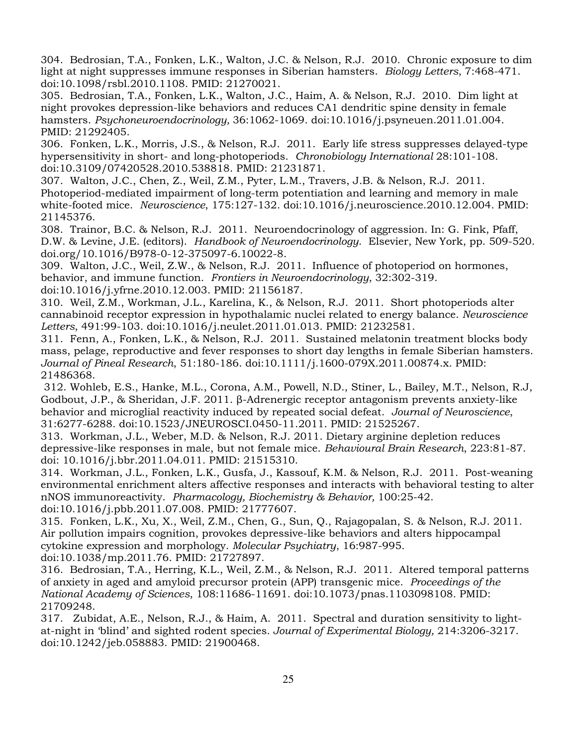304. Bedrosian, T.A., Fonken, L.K., Walton, J.C. & Nelson, R.J. 2010. Chronic exposure to dim light at night suppresses immune responses in Siberian hamsters. *Biology Letters*, 7:468-471. doi:10.1098/rsbl.2010.1108. PMID: 21270021.

305. Bedrosian, T.A., Fonken, L.K., Walton, J.C., Haim, A. & Nelson, R.J. 2010. Dim light at night provokes depression-like behaviors and reduces CA1 dendritic spine density in female hamsters. *Psychoneuroendocrinology,* 36:1062-1069. doi:10.1016/j.psyneuen.2011.01.004. PMID: 21292405.

306. Fonken, L.K., Morris, J.S., & Nelson, R.J. 2011. Early life stress suppresses delayed-type hypersensitivity in short- and long-photoperiods. *Chronobiology International* 28:101-108. doi:10.3109/07420528.2010.538818. PMID: 21231871.

307. Walton, J.C., Chen, Z., Weil, Z.M., Pyter, L.M., Travers, J.B. & Nelson, R.J. 2011. Photoperiod-mediated impairment of long-term potentiation and learning and memory in male white-footed mice. *Neuroscience*, 175:127-132. doi:10.1016/j.neuroscience.2010.12.004. PMID: 21145376.

308. Trainor, B.C. & Nelson, R.J. 2011. Neuroendocrinology of aggression. In: G. Fink, Pfaff, D.W. & Levine, J.E. (editors). *Handbook of Neuroendocrinology*. Elsevier, New York, pp. 509-520. doi.org/10.1016/B978-0-12-375097-6.10022-8.

309. Walton, J.C., Weil, Z.W., & Nelson, R.J. 2011. Influence of photoperiod on hormones, behavior, and immune function. *Frontiers in Neuroendocrinology*, 32:302-319. doi:10.1016/j.yfrne.2010.12.003. PMID: 21156187.

310. Weil, Z.M., Workman, J.L., Karelina, K., & Nelson, R.J. 2011. Short photoperiods alter cannabinoid receptor expression in hypothalamic nuclei related to energy balance. *Neuroscience Letters*, 491:99-103. doi:10.1016/j.neulet.2011.01.013. PMID: 21232581.

311. Fenn, A., Fonken, L.K., & Nelson, R.J. 2011. Sustained melatonin treatment blocks body mass, pelage, reproductive and fever responses to short day lengths in female Siberian hamsters. *Journal of Pineal Research*, 51:180-186. doi:10.1111/j.1600-079X.2011.00874.x. PMID: 21486368.

312. Wohleb, E.S., Hanke, M.L., Corona, A.M., Powell, N.D., Stiner, L., Bailey, M.T., Nelson, R.J, Godbout, J.P., & Sheridan, J.F. 2011. β-Adrenergic receptor antagonism prevents anxiety-like behavior and microglial reactivity induced by repeated social defeat. *Journal of Neuroscience*, 31:6277-6288. doi:10.1523/JNEUROSCI.0450-11.2011. PMID: 21525267.

313. Workman, J.L., Weber, M.D. & Nelson, R.J. 2011. Dietary arginine depletion reduces depressive-like responses in male, but not female mice. *Behavioural Brain Research*, 223:81-87. doi: 10.1016/j.bbr.2011.04.011. PMID: 21515310.

314. Workman, J.L., Fonken, L.K., Gusfa, J., Kassouf, K.M. & Nelson, R.J. 2011. Post-weaning environmental enrichment alters affective responses and interacts with behavioral testing to alter nNOS immunoreactivity. *Pharmacology, Biochemistry & Behavior,* 100:25-42. doi:10.1016/j.pbb.2011.07.008. PMID: 21777607.

315. Fonken, L.K., Xu, X., Weil, Z.M., Chen, G., Sun, Q., Rajagopalan, S. & Nelson, R.J. 2011. Air pollution impairs cognition, provokes depressive-like behaviors and alters hippocampal cytokine expression and morphology. *Molecular Psychiatry*, 16:987-995. doi:10.1038/mp.2011.76. PMID: 21727897.

316. Bedrosian, T.A., Herring, K.L., Weil, Z.M., & Nelson, R.J. 2011. Altered temporal patterns of anxiety in aged and amyloid precursor protein (APP) transgenic mice. *Proceedings of the National Academy of Sciences*, 108:11686-11691. doi:10.1073/pnas.1103098108. PMID: 21709248.

317. Zubidat, A.E., Nelson, R.J., & Haim, A. 2011. Spectral and duration sensitivity to lightat-night in 'blind' and sighted rodent species*. Journal of Experimental Biology,* 214:3206-3217. doi:10.1242/jeb.058883. PMID: 21900468.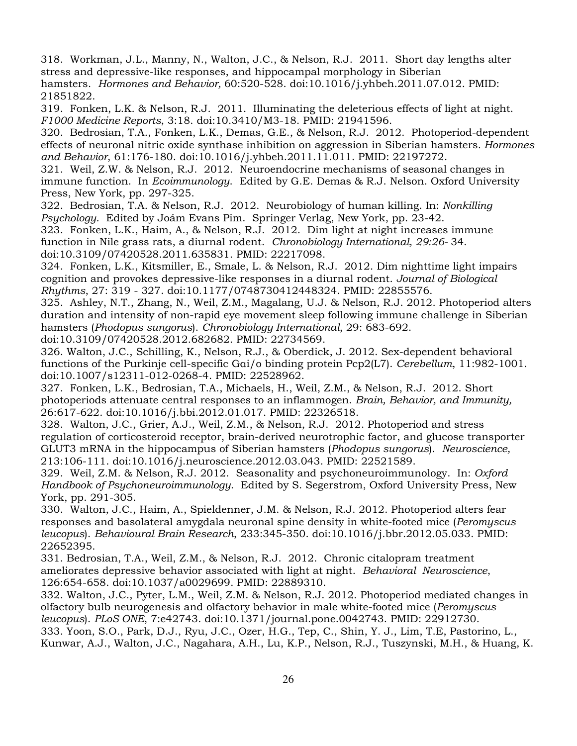318. Workman, J.L., Manny, N., Walton, J.C., & Nelson, R.J. 2011. Short day lengths alter stress and depressive-like responses, and hippocampal morphology in Siberian hamsters. *Hormones and Behavior,* 60:520-528. doi:10.1016/j.yhbeh.2011.07.012. PMID: 21851822.

319. Fonken, L.K. & Nelson, R.J. 2011. Illuminating the deleterious effects of light at night. *F1000 Medicine Reports*, 3:18. doi:10.3410/M3-18. PMID: 21941596.

320. Bedrosian, T.A., Fonken, L.K., Demas, G.E., & Nelson, R.J. 2012. Photoperiod-dependent effects of neuronal nitric oxide synthase inhibition on aggression in Siberian hamsters*. Hormones and Behavior*, 61:176-180. doi:10.1016/j.yhbeh.2011.11.011. PMID: 22197272.

321. Weil, Z.W. & Nelson, R.J. 2012. Neuroendocrine mechanisms of seasonal changes in immune function. In *Ecoimmunology*. Edited by G.E. Demas & R.J. Nelson. Oxford University Press, New York, pp. 297-325.

322. Bedrosian, T.A. & Nelson, R.J. 2012. Neurobiology of human killing. In: *Nonkilling Psychology*. Edited by Joám Evans Pim. Springer Verlag, New York, pp. 23-42.

323. Fonken, L.K., Haim, A., & Nelson, R.J. 2012. Dim light at night increases immune function in Nile grass rats, a diurnal rodent. *Chronobiology International, 29:26-* 34. doi:10.3109/07420528.2011.635831. PMID: 22217098.

324. Fonken, L.K., Kitsmiller, E., Smale, L. & Nelson, R.J. 2012. Dim nighttime light impairs cognition and provokes depressive-like responses in a diurnal rodent. *Journal of Biological Rhythms*, 27: 319 - 327. doi:10.1177/0748730412448324. PMID: 22855576.

325. Ashley, N.T., Zhang, N., Weil, Z.M., Magalang, U.J. & Nelson, R.J. 2012. Photoperiod alters duration and intensity of non-rapid eye movement sleep following immune challenge in Siberian hamsters (*Phodopus sungorus*). *Chronobiology International*, 29: 683-692. doi:10.3109/07420528.2012.682682. PMID: 22734569.

326. Walton, J.C., Schilling, K., Nelson, R.J., & Oberdick, J. 2012. Sex-dependent behavioral functions of the Purkinje cell-specific Gαi/o binding protein Pcp2(L7). *Cerebellum*, 11:982-1001. doi:10.1007/s12311-012-0268-4. PMID: 22528962.

327. Fonken, L.K., Bedrosian, T.A., Michaels, H., Weil, Z.M., & Nelson, R.J. 2012. Short photoperiods attenuate central responses to an inflammogen. *Brain, Behavior, and Immunity,*  26:617-622. doi:10.1016/j.bbi.2012.01.017. PMID: 22326518.

328. Walton, J.C., Grier, A.J., Weil, Z.M., & Nelson, R.J. 2012. Photoperiod and stress regulation of corticosteroid receptor, brain-derived neurotrophic factor, and glucose transporter GLUT3 mRNA in the hippocampus of Siberian hamsters (*Phodopus sungorus*). *Neuroscience,*  213:106-111. doi:10.1016/j.neuroscience.2012.03.043. PMID: 22521589.

329. Weil, Z.M. & Nelson, R.J. 2012. Seasonality and psychoneuroimmunology. In: *Oxford Handbook of Psychoneuroimmunology*. Edited by S. Segerstrom, Oxford University Press, New York, pp. 291-305.

330. Walton, J.C., Haim, A., Spieldenner, J.M. & Nelson, R.J. 2012. Photoperiod alters fear responses and basolateral amygdala neuronal spine density in white-footed mice (*Peromyscus leucopus*). *Behavioural Brain Research*, 233:345-350. doi:10.1016/j.bbr.2012.05.033. PMID: 22652395.

331. Bedrosian, T.A., Weil, Z.M., & Nelson, R.J. 2012. Chronic citalopram treatment ameliorates depressive behavior associated with light at night. *Behavioral Neuroscience*, 126:654-658. doi:10.1037/a0029699. PMID: 22889310.

332. Walton, J.C., Pyter, L.M., Weil, Z.M. & Nelson, R.J. 2012. Photoperiod mediated changes in olfactory bulb neurogenesis and olfactory behavior in male white-footed mice (*Peromyscus leucopus*). *PLoS ONE*, 7:e42743. doi:10.1371/journal.pone.0042743. PMID: 22912730. 333. Yoon, S.O., Park, D.J., Ryu, J.C., Ozer, H.G., Tep, C., Shin, Y. J., Lim, T.E, Pastorino, L.,

Kunwar, A.J., Walton, J.C., Nagahara, A.H., Lu, K.P., Nelson, R.J., Tuszynski, M.H., & Huang, K.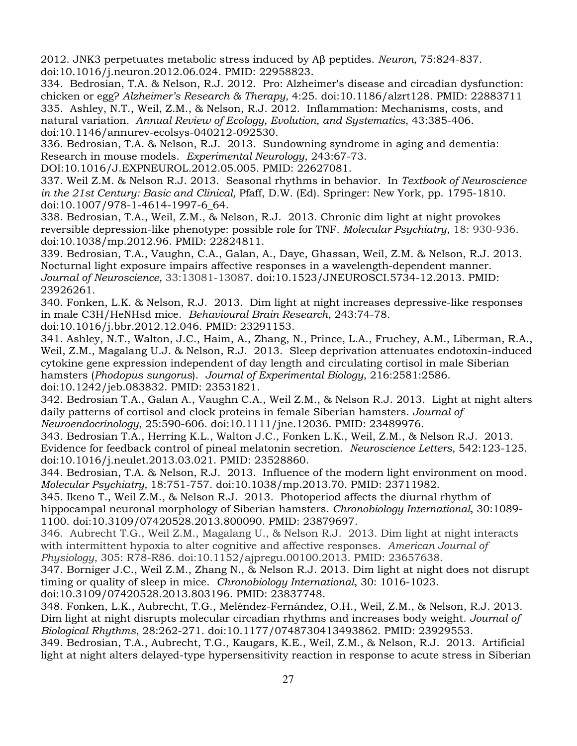2012. JNK3 perpetuates metabolic stress induced by Aβ peptides. *Neuron,* 75:824-837. doi:10.1016/j.neuron.2012.06.024. PMID: 22958823.

334. Bedrosian, T.A. & Nelson, R.J. 2012. Pro: Alzheimer's disease and circadian dysfunction: chicken or egg? *Alzheimer's Research & Therapy,* 4:25. doi:10.1186/alzrt128. PMID: 22883711 335. Ashley, N.T., Weil, Z.M., & Nelson, R.J. 2012. Inflammation: Mechanisms, costs, and natural variation*. Annual Review of Ecology, Evolution, and Systematics*, 43:385-406. doi:10.1146/annurev-ecolsys-040212-092530.

336. Bedrosian, T.A. & Nelson, R.J. 2013. Sundowning syndrome in aging and dementia: Research in mouse models. *Experimental Neurology*, 243:67-73.

DOI:10.1016/J.EXPNEUROL.2012.05.005. PMID: 22627081.

337. Weil Z.M. & Nelson R.J. 2013. Seasonal rhythms in behavior. In *Textbook of Neuroscience in the 21st Century: Basic and Clinical,* Pfaff, D.W. (Ed). Springer: New York, pp. 1795-1810. doi:10.1007/978-1-4614-1997-6\_64.

338. Bedrosian, T.A., Weil, Z.M., & Nelson, R.J. 2013. Chronic dim light at night provokes reversible depression-like phenotype: possible role for TNF. *Molecular Psychiatry*, 18: 930-936. doi:10.1038/mp.2012.96. PMID: 22824811.

339. Bedrosian, T.A., Vaughn, C.A., Galan, A., Daye, Ghassan, Weil, Z.M. & Nelson, R.J. 2013. Nocturnal light exposure impairs affective responses in a wavelength-dependent manner. *Journal of Neuroscience,* 33:13081-13087. doi:10.1523/JNEUROSCI.5734-12.2013. PMID: 23926261.

340. Fonken, L.K. & Nelson, R.J. 2013. Dim light at night increases depressive-like responses in male C3H/HeNHsd mice. *Behavioural Brain Research*, 243:74-78.

doi:10.1016/j.bbr.2012.12.046. PMID: 23291153.

341. Ashley, N.T., Walton, J.C., Haim, A., Zhang, N., Prince, L.A., Fruchey, A.M., Liberman, R.A., Weil, Z.M., Magalang U.J. & Nelson, R.J. 2013. Sleep deprivation attenuates endotoxin-induced cytokine gene expression independent of day length and circulating cortisol in male Siberian hamsters (*Phodopus sungorus*). *Journal of Experimental Biology*, 216:2581:2586. doi:10.1242/jeb.083832. PMID: 23531821.

342. Bedrosian T.A., Galan A., Vaughn C.A., Weil Z.M., & Nelson R.J. 2013. Light at night alters daily patterns of cortisol and clock proteins in female Siberian hamsters. *Journal of Neuroendocrinology*, 25:590-606. doi:10.1111/jne.12036. PMID: 23489976.

343. Bedrosian T.A., Herring K.L., Walton J.C., Fonken L.K., Weil, Z.M., & Nelson R.J. 2013. Evidence for feedback control of pineal melatonin secretion. *Neuroscience Letters*, 542:123-125. doi:10.1016/j.neulet.2013.03.021. PMID: 23528860.

344. Bedrosian, T.A. & Nelson, R.J. 2013. Influence of the modern light environment on mood. *Molecular Psychiatry,* 18:751-757. doi:10.1038/mp.2013.70. PMID: 23711982.

345. Ikeno T., Weil Z.M., & Nelson R.J. 2013. Photoperiod affects the diurnal rhythm of hippocampal neuronal morphology of Siberian hamsters. *Chronobiology International*, 30:1089- 1100. doi:10.3109/07420528.2013.800090. PMID: 23879697.

346. Aubrecht T.G., Weil Z.M., Magalang U., & Nelson R.J. 2013. Dim light at night interacts with intermittent hypoxia to alter cognitive and affective responses. *American Journal of Physiology*, 305: R78-R86. doi:10.1152/ajpregu.00100.2013. PMID: 23657638.

347. Borniger J.C., Weil Z.M., Zhang N., & Nelson R.J. 2013. Dim light at night does not disrupt timing or quality of sleep in mice. *Chronobiology International*, 30: 1016-1023.

doi:10.3109/07420528.2013.803196. PMID: 23837748.

348. Fonken, L.K., Aubrecht, T.G., Meléndez-Fernández, O.H., Weil, Z.M., & Nelson, R.J. 2013. Dim light at night disrupts molecular circadian rhythms and increases body weight. *Journal of Biological Rhythms*, 28:262-271. doi:10.1177/0748730413493862. PMID: 23929553.

349. Bedrosian, T.A., Aubrecht, T.G., Kaugars, K.E., Weil, Z.M., & Nelson, R.J. 2013. Artificial light at night alters delayed-type hypersensitivity reaction in response to acute stress in Siberian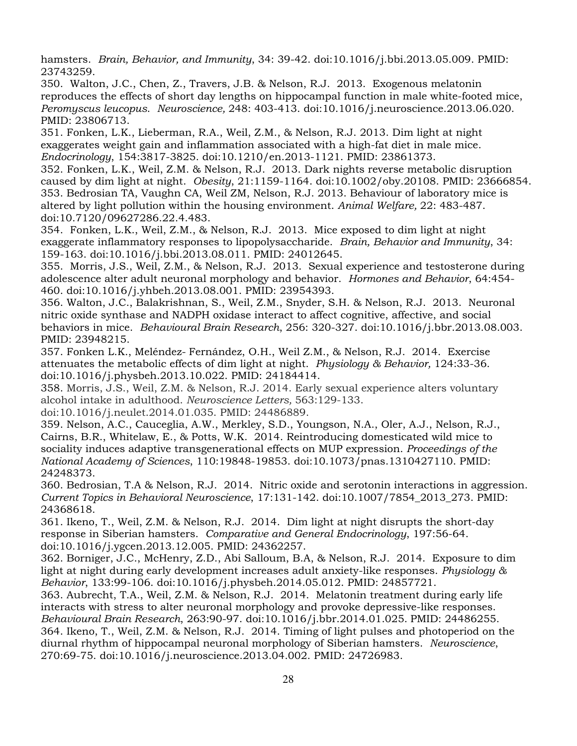hamsters. *Brain, Behavior, and Immunity*, 34: 39-42. doi:10.1016/j.bbi.2013.05.009. PMID: 23743259.

350. Walton, J.C., Chen, Z., Travers, J.B. & Nelson, R.J. 2013. Exogenous melatonin reproduces the effects of short day lengths on hippocampal function in male white-footed mice, *Peromyscus leucopus*. *Neuroscience,* 248: 403-413. doi:10.1016/j.neuroscience.2013.06.020. PMID: 23806713.

351. Fonken, L.K., Lieberman, R.A., Weil, Z.M., & Nelson, R.J. 2013. Dim light at night exaggerates weight gain and inflammation associated with a high-fat diet in male mice. *Endocrinology*, 154:3817-3825. doi:10.1210/en.2013-1121. PMID: 23861373.

352. Fonken, L.K., Weil, Z.M. & Nelson, R.J. 2013. Dark nights reverse metabolic disruption caused by dim light at night. *Obesity*, 21:1159-1164. doi:10.1002/oby.20108. PMID: 23666854. 353. Bedrosian TA, Vaughn CA, Weil ZM, Nelson, R.J. 2013. Behaviour of laboratory mice is altered by light pollution within the housing environment. *Animal Welfare,* 22: 483-487. doi:10.7120/09627286.22.4.483.

354. Fonken, L.K., Weil, Z.M., & Nelson, R.J. 2013. Mice exposed to dim light at night exaggerate inflammatory responses to lipopolysaccharide. *Brain, Behavior and Immunity*, 34: 159-163. doi:10.1016/j.bbi.2013.08.011. PMID: 24012645.

355. Morris, J.S., Weil, Z.M., & Nelson, R.J. 2013. Sexual experience and testosterone during adolescence alter adult neuronal morphology and behavior. *Hormones and Behavior*, 64:454- 460. doi:10.1016/j.yhbeh.2013.08.001. PMID: 23954393.

356. Walton, J.C., Balakrishnan, S., Weil, Z.M., Snyder, S.H. & Nelson, R.J. 2013. Neuronal nitric oxide synthase and NADPH oxidase interact to affect cognitive, affective, and social behaviors in mice. *Behavioural Brain Research*, 256: 320-327. doi:10.1016/j.bbr.2013.08.003. PMID: 23948215.

357. Fonken L.K., Meléndez- Fernández, O.H., Weil Z.M., & Nelson, R.J. 2014. Exercise attenuates the metabolic effects of dim light at night. *Physiology & Behavior,* 124:33-36. doi:10.1016/j.physbeh.2013.10.022. PMID: 24184414.

358. Morris, J.S., Weil, Z.M. & Nelson, R.J. 2014. Early sexual experience alters voluntary alcohol intake in adulthood. *Neuroscience Letters,* 563:129-133.

doi:10.1016/j.neulet.2014.01.035. PMID: 24486889.

359. Nelson, A.C., Cauceglia, A.W., Merkley, S.D., Youngson, N.A., Oler, A.J., Nelson, R.J., Cairns, B.R., Whitelaw, E., & Potts, W.K. 2014. Reintroducing domesticated wild mice to sociality induces adaptive transgenerational effects on MUP expression. *Proceedings of the National Academy of Sciences*, 110:19848-19853. doi:10.1073/pnas.1310427110. PMID: 24248373.

360. Bedrosian, T.A & Nelson, R.J. 2014. Nitric oxide and serotonin interactions in aggression. *Current Topics in Behavioral Neuroscience*, 17:131-142. doi:10.1007/7854\_2013\_273. PMID: 24368618.

361. Ikeno, T., Weil, Z.M. & Nelson, R.J. 2014. Dim light at night disrupts the short-day response in Siberian hamsters. *Comparative and General Endocrinology*, 197:56-64. doi:10.1016/j.ygcen.2013.12.005. PMID: 24362257.

362. Borniger, J.C., McHenry, Z.D., Abi Salloum, B.A, & Nelson, R.J. 2014. Exposure to dim light at night during early development increases adult anxiety-like responses. *Physiology & Behavior*, 133:99-106. doi:10.1016/j.physbeh.2014.05.012. PMID: 24857721.

363. Aubrecht, T.A., Weil, Z.M. & Nelson, R.J. 2014. Melatonin treatment during early life interacts with stress to alter neuronal morphology and provoke depressive-like responses. *Behavioural Brain Research*, 263:90-97. doi:10.1016/j.bbr.2014.01.025. PMID: 24486255. 364. Ikeno, T., Weil, Z.M. & Nelson, R.J. 2014. Timing of light pulses and photoperiod on the diurnal rhythm of hippocampal neuronal morphology of Siberian hamsters. *Neuroscience*, 270:69-75. doi:10.1016/j.neuroscience.2013.04.002. PMID: 24726983.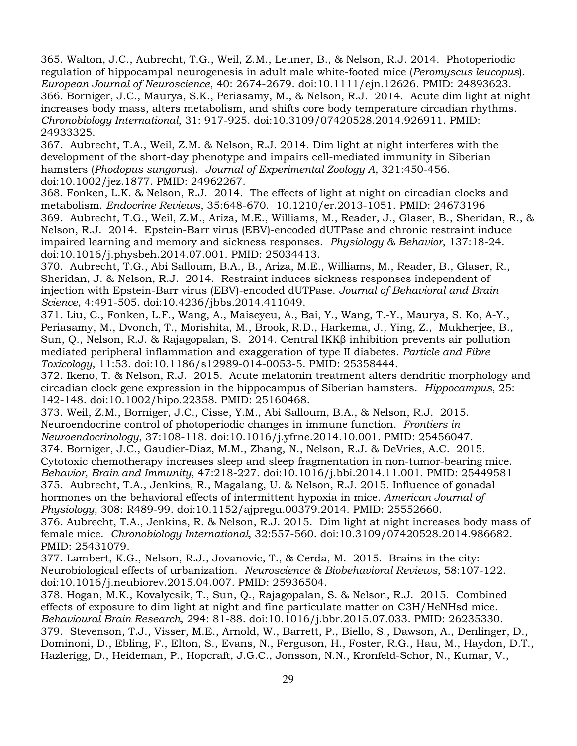365. Walton, J.C., Aubrecht, T.G., Weil, Z.M., Leuner, B., & Nelson, R.J. 2014. Photoperiodic regulation of hippocampal neurogenesis in adult male white-footed mice (*Peromyscus leucopus*). *European Journal of Neuroscience*, 40: 2674-2679. doi:10.1111/ejn.12626. PMID: 24893623. 366. Borniger, J.C., Maurya, S.K., Periasamy, M., & Nelson, R.J. 2014. Acute dim light at night increases body mass, alters metabolism, and shifts core body temperature circadian rhythms. *Chronobiology International*, 31: 917-925. doi:10.3109/07420528.2014.926911. PMID: 24933325.

367. Aubrecht, T.A., Weil, Z.M. & Nelson, R.J. 2014. Dim light at night interferes with the development of the short-day phenotype and impairs cell-mediated immunity in Siberian hamsters (*Phodopus sungorus*). *Journal of Experimental Zoology A*, 321:450-456. doi:10.1002/jez.1877. PMID: 24962267.

368. Fonken, L.K. & Nelson, R.J. 2014. The effects of light at night on circadian clocks and metabolism. *Endocrine Reviews*, 35:648-670. 10.1210/er.2013-1051. PMID: 24673196 369. Aubrecht, T.G., Weil, Z.M., Ariza, M.E., Williams, M., Reader, J., Glaser, B., Sheridan, R., & Nelson, R.J. 2014. Epstein-Barr virus (EBV)-encoded dUTPase and chronic restraint induce impaired learning and memory and sickness responses. *Physiology & Behavior*, 137:18-24. doi:10.1016/j.physbeh.2014.07.001. PMID: 25034413.

370. Aubrecht, T.G., Abi Salloum, B.A., B., Ariza, M.E., Williams, M., Reader, B., Glaser, R., Sheridan, J. & Nelson, R.J. 2014. Restraint induces sickness responses independent of injection with Epstein-Barr virus (EBV)-encoded dUTPase. *Journal of Behavioral and Brain Science*, 4:491-505. doi:10.4236/jbbs.2014.411049.

371. Liu, C., Fonken, L.F., Wang, A., Maiseyeu, A., Bai, Y., Wang, T.-Y., Maurya, S. Ko, A-Y., Periasamy, M., Dvonch, T., Morishita, M., Brook, R.D., Harkema, J., Ying, Z., Mukherjee, B., Sun, Q., Nelson, R.J. & Rajagopalan, S. 2014. Central IKKβ inhibition prevents air pollution mediated peripheral inflammation and exaggeration of type II diabetes. *Particle and Fibre Toxicology*, 11:53. doi:10.1186/s12989-014-0053-5. PMID: 25358444.

372. Ikeno, T. & Nelson, R.J. 2015. Acute melatonin treatment alters dendritic morphology and circadian clock gene expression in the hippocampus of Siberian hamsters. *Hippocampus*, 25: 142-148. doi:10.1002/hipo.22358. PMID: 25160468.

373. Weil, Z.M., Borniger, J.C., Cisse, Y.M., Abi Salloum, B.A., & Nelson, R.J. 2015. Neuroendocrine control of photoperiodic changes in immune function. *Frontiers in Neuroendocrinology*, 37:108-118. doi:10.1016/j.yfrne.2014.10.001. PMID: 25456047. 374. Borniger, J.C., Gaudier-Diaz, M.M., Zhang, N., Nelson, R.J. & DeVries, A.C. 2015. Cytotoxic chemotherapy increases sleep and sleep fragmentation in non-tumor-bearing mice. *Behavior, Brain and Immunity*, 47:218-227. doi:10.1016/j.bbi.2014.11.001. PMID: 25449581 375. Aubrecht, T.A., Jenkins, R., Magalang, U. & Nelson, R.J. 2015. Influence of gonadal hormones on the behavioral effects of intermittent hypoxia in mice. *American Journal of* 

*Physiology*, 308: R489-99. doi:10.1152/ajpregu.00379.2014. PMID: 25552660. 376. Aubrecht, T.A., Jenkins, R. & Nelson, R.J. 2015. Dim light at night increases body mass of female mice. *Chronobiology International*, 32:557-560. doi:10.3109/07420528.2014.986682. PMID: 25431079.

377. Lambert, K.G., Nelson, R.J., Jovanovic, T., & Cerda, M. 2015. Brains in the city: Neurobiological effects of urbanization. *Neuroscience & Biobehavioral Reviews*, 58:107-122. doi:10.1016/j.neubiorev.2015.04.007. PMID: 25936504.

378. Hogan, M.K., Kovalycsik, T., Sun, Q., Rajagopalan, S. & Nelson, R.J. 2015. Combined effects of exposure to dim light at night and fine particulate matter on C3H/HeNHsd mice. *Behavioural Brain Research*, 294: 81-88. doi:10.1016/j.bbr.2015.07.033. PMID: 26235330. 379. Stevenson, T.J., Visser, M.E., Arnold, W., Barrett, P., Biello, S., Dawson, A., Denlinger, D., Dominoni, D., Ebling, F., Elton, S., Evans, N., Ferguson, H., Foster, R.G., Hau, M., Haydon, D.T., Hazlerigg, D., Heideman, P., Hopcraft, J.G.C., Jonsson, N.N., Kronfeld-Schor, N., Kumar, V.,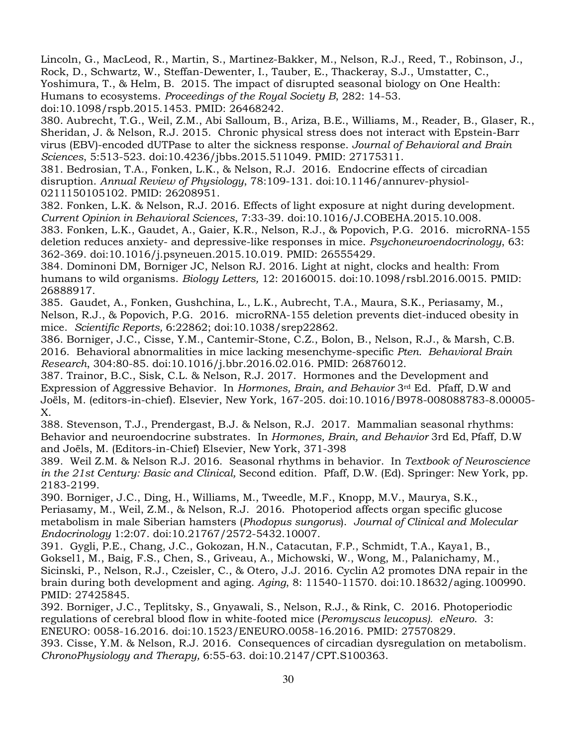Lincoln, G., MacLeod, R., Martin, S., Martinez-Bakker, M., Nelson, R.J., Reed, T., Robinson, J., Rock, D., Schwartz, W., Steffan-Dewenter, I., Tauber, E., Thackeray, S.J., Umstatter, C., Yoshimura, T., & Helm, B. 2015. The impact of disrupted seasonal biology on One Health: Humans to ecosystems. *Proceedings of the Royal Society B*, 282: 14-53.

doi:10.1098/rspb.2015.1453. PMID: 26468242.

380. Aubrecht, T.G., Weil, Z.M., Abi Salloum, B., Ariza, B.E., Williams, M., Reader, B., Glaser, R., Sheridan, J. & Nelson, R.J. 2015. Chronic physical stress does not interact with Epstein-Barr virus (EBV)-encoded dUTPase to alter the sickness response. *Journal of Behavioral and Brain Sciences*, 5:513-523. doi:10.4236/jbbs.2015.511049. PMID: 27175311.

381. Bedrosian, T.A., Fonken, L.K., & Nelson, R.J. 2016. Endocrine effects of circadian disruption. *Annual Review of Physiology*, 78:109-131. doi:10.1146/annurev-physiol-0211150105102. PMID: 26208951.

382. Fonken, L.K. & Nelson, R.J. 2016. Effects of light exposure at night during development. *Current Opinion in Behavioral Sciences*, 7:33-39. doi:10.1016/J.COBEHA.2015.10.008.

383. Fonken, L.K., Gaudet, A., Gaier, K.R., Nelson, R.J., & Popovich, P.G. 2016. microRNA-155 deletion reduces anxiety- and depressive-like responses in mice. *Psychoneuroendocrinology*, 63: 362-369. doi:10.1016/j.psyneuen.2015.10.019. PMID: 26555429.

384. Dominoni DM, Borniger JC, Nelson RJ. 2016. Light at night, clocks and health: From humans to wild organisms. *Biology Letters,* 12: 20160015. doi:10.1098/rsbl.2016.0015. PMID: 26888917.

385. Gaudet, A., Fonken, Gushchina, L., L.K., Aubrecht, T.A., Maura, S.K., Periasamy, M., Nelson, R.J., & Popovich, P.G. 2016. microRNA-155 deletion prevents diet-induced obesity in mice. *Scientific Reports,* 6:22862; doi:10.1038/srep22862.

386. Borniger, J.C., Cisse, Y.M., Cantemir-Stone, C.Z., Bolon, B., Nelson, R.J., & Marsh, C.B. 2016. Behavioral abnormalities in mice lacking mesenchyme-specific *Pten. Behavioral Brain Research*, 304:80-85. doi:10.1016/j.bbr.2016.02.016. PMID: 26876012.

387. Trainor, B.C., Sisk, C.L. & Nelson, R.J. 2017. Hormones and the Development and Expression of Aggressive Behavior. In *Hormones, Brain, and Behavior* 3rd Ed. Pfaff, D.W and Joëls, M. (editors-in-chief). Elsevier, New York, 167-205. doi:10.1016/B978-008088783-8.00005- X.

388. Stevenson, T.J., Prendergast, B.J. & Nelson, R.J. 2017. Mammalian seasonal rhythms: Behavior and neuroendocrine substrates. In *Hormones, Brain, and Behavior* 3rd Ed, Pfaff, D.W and Joëls, M. (Editors-in-Chief) Elsevier, New York, 371-398

389. Weil Z.M. & Nelson R.J. 2016. Seasonal rhythms in behavior. In *Textbook of Neuroscience in the 21st Century: Basic and Clinical,* Second edition. Pfaff, D.W. (Ed). Springer: New York, pp. 2183-2199.

390. Borniger, J.C., Ding, H., Williams, M., Tweedle, M.F., Knopp, M.V., Maurya, S.K., Periasamy, M., Weil, Z.M., & Nelson, R.J. 2016. Photoperiod affects organ specific glucose metabolism in male Siberian hamsters (*Phodopus sungorus*). *Journal of Clinical and Molecular Endocrinology* 1:2:07. doi:10.21767/2572-5432.10007.

391. Gygli, P.E., Chang, J.C., Gokozan, H.N., Catacutan, F.P., Schmidt, T.A., Kaya1, B., Goksel1, M., Baig, F.S., Chen, S., Griveau, A., Michowski, W., Wong, M., Palanichamy, M., Sicinski, P., Nelson, R.J., Czeisler, C., & Otero, J.J. 2016. Cyclin A2 promotes DNA repair in the brain during both development and aging. *Aging*, 8: 11540-11570. doi:10.18632/aging.100990. PMID: 27425845.

392. Borniger, J.C., Teplitsky, S., Gnyawali, S., Nelson, R.J., & Rink, C. 2016. Photoperiodic regulations of cerebral blood flow in white-footed mice (*Peromyscus leucopus). eNeuro*. 3: ENEURO: 0058-16.2016. doi:10.1523/ENEURO.0058-16.2016. PMID: 27570829.

393. Cisse, Y.M. & Nelson, R.J. 2016. Consequences of circadian dysregulation on metabolism. *ChronoPhysiology and Therapy,* 6:55-63. doi:10.2147/CPT.S100363.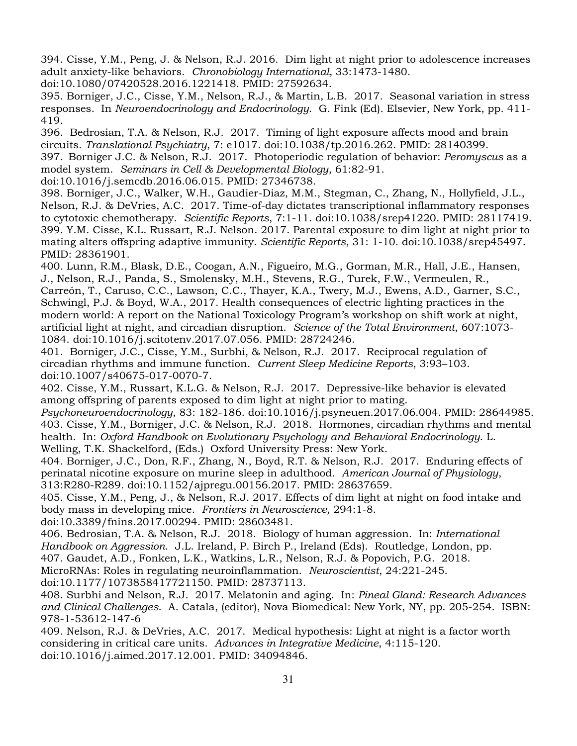394. Cisse, Y.M., Peng, J. & Nelson, R.J. 2016. Dim light at night prior to adolescence increases adult anxiety-like behaviors. *Chronobiology International,* 33:1473-1480.

doi:10.1080/07420528.2016.1221418. PMID: 27592634.

395. Borniger, J.C., Cisse, Y.M., Nelson, R.J., & Martin, L.B. 2017. Seasonal variation in stress responses. In *Neuroendocrinology and Endocrinology*. G. Fink (Ed). Elsevier, New York, pp. 411- 419.

396. Bedrosian, T.A. & Nelson, R.J. 2017. Timing of light exposure affects mood and brain circuits. *Translational Psychiatry*, 7: e1017. doi:10.1038/tp.2016.262. PMID: 28140399. 397. Borniger J.C. & Nelson, R.J. 2017. Photoperiodic regulation of behavior: *Peromyscus* as a

model system. *Seminars in Cell & Developmental Biology*, 61:82-91.

doi:10.1016/j.semcdb.2016.06.015. PMID: 27346738.

398. Borniger, J.C., Walker, W.H., Gaudier-Diaz, M.M., Stegman, C., Zhang, N., Hollyfield, J.L., Nelson, R.J. & DeVries, A.C. 2017. Time-of-day dictates transcriptional inflammatory responses to cytotoxic chemotherapy. *Scientific Reports*, 7:1-11. doi:10.1038/srep41220. PMID: 28117419. 399. Y.M. Cisse, K.L. Russart, R.J. Nelson. 2017. Parental exposure to dim light at night prior to mating alters offspring adaptive immunity. *Scientific Reports*, 31: 1-10. doi:10.1038/srep45497. PMID: 28361901.

400. Lunn, R.M., Blask, D.E., Coogan, A.N., Figueiro, M.G., Gorman, M.R., Hall, J.E., Hansen, J., Nelson, R.J., Panda, S., Smolensky, M.H., Stevens, R.G., Turek, F.W., Vermeulen, R.,

Carreón, T., Caruso, C.C., Lawson, C.C., Thayer, K.A., Twery, M.J., Ewens, A.D., Garner, S.C., Schwingl, P.J. & Boyd, W.A., 2017. Health consequences of electric lighting practices in the modern world: A report on the National Toxicology Program's workshop on shift work at night, artificial light at night, and circadian disruption. *Science of the Total Environment*, 607:1073- 1084. doi:10.1016/j.scitotenv.2017.07.056. PMID: 28724246.

401. Borniger, J.C., Cisse, Y.M., Surbhi, & Nelson, R.J. 2017. Reciprocal regulation of circadian rhythms and immune function. *Current Sleep Medicine Reports*, 3:93–103. doi:10.1007/s40675-017-0070-7.

402. Cisse, Y.M., Russart, K.L.G. & Nelson, R.J. 2017. Depressive-like behavior is elevated among offspring of parents exposed to dim light at night prior to mating.

*Psychoneuroendocrinology*, 83: 182-186. doi:10.1016/j.psyneuen.2017.06.004. PMID: 28644985. 403. Cisse, Y.M., Borniger, J.C. & Nelson, R.J. 2018. Hormones, circadian rhythms and mental health. In: *Oxford Handbook on Evolutionary Psychology and Behavioral Endocrinology*. L. Welling, T.K. Shackelford, (Eds.) Oxford University Press: New York.

404. Borniger, J.C., Don, R.F., Zhang, N., Boyd, R.T. & Nelson, R.J. 2017. Enduring effects of perinatal nicotine exposure on murine sleep in adulthood. *American Journal of Physiology*, 313:R280-R289. doi:10.1152/ajpregu.00156.2017. PMID: 28637659.

405. Cisse, Y.M., Peng, J., & Nelson, R.J. 2017. Effects of dim light at night on food intake and body mass in developing mice. *Frontiers in Neuroscience,* 294:1-8.

doi:10.3389/fnins.2017.00294. PMID: 28603481.

406. Bedrosian, T.A. & Nelson, R.J. 2018. Biology of human aggression. In: *International Handbook on Aggression*. J.L. Ireland, P. Birch P., Ireland (Eds). Routledge, London, pp. 407. Gaudet, A.D., Fonken, L.K., Watkins, L.R., Nelson, R.J. & Popovich, P.G. 2018. MicroRNAs: Roles in regulating neuroinflammation. *Neuroscientist*, 24:221-245.

doi:10.1177/1073858417721150. PMID: 28737113.

408. Surbhi and Nelson, R.J. 2017. Melatonin and aging. In: *Pineal Gland: Research Advances and Clinical Challenges*. A. Catala, (editor), Nova Biomedical: New York, NY, pp. 205-254. ISBN: 978-1-53612-147-6

409. Nelson, R.J. & DeVries, A.C. 2017. Medical hypothesis: Light at night is a factor worth considering in critical care units. *Advances in Integrative Medicine*, 4:115-120. doi:10.1016/j.aimed.2017.12.001. PMID: 34094846.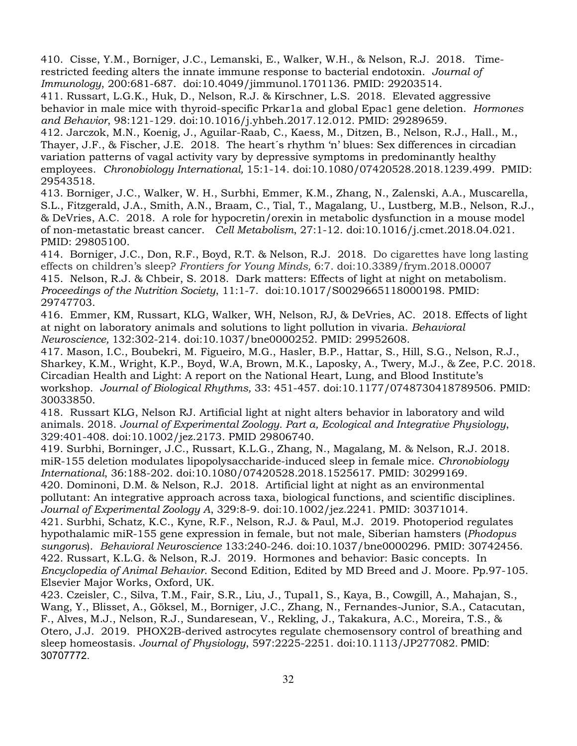410. Cisse, Y.M., Borniger, J.C., Lemanski, E., Walker, W.H., & Nelson, R.J. 2018. Timerestricted feeding alters the innate immune response to bacterial endotoxin. *Journal of Immunology*, 200:681-687. doi:10.4049/jimmunol.1701136. PMID: 29203514.

411. Russart, L.G.K., Huk, D., Nelson, R.J. & Kirschner, L.S. 2018. Elevated aggressive behavior in male mice with thyroid-specific Prkar1a and global Epac1 gene deletion. *Hormones and Behavior*, 98:121-129. doi:10.1016/j.yhbeh.2017.12.012. PMID: 29289659.

412. Jarczok, M.N., Koenig, J., Aguilar-Raab, C., Kaess, M., Ditzen, B., Nelson, R.J., Hall., M., Thayer, J.F., & Fischer, J.E. 2018. The heart´s rhythm 'n' blues: Sex differences in circadian variation patterns of vagal activity vary by depressive symptoms in predominantly healthy employees. *Chronobiology International,* 15:1-14. doi:10.1080/07420528.2018.1239.499. PMID: 29543518.

413. Borniger, J.C., Walker, W. H., Surbhi, Emmer, K.M., Zhang, N., Zalenski, A.A., Muscarella, S.L., Fitzgerald, J.A., Smith, A.N., Braam, C., Tial, T., Magalang, U., Lustberg, M.B., Nelson, R.J., & DeVries, A.C. 2018. A role for hypocretin/orexin in metabolic dysfunction in a mouse model of non-metastatic breast cancer. *Cell Metabolism*, 27:1-12. doi:10.1016/j.cmet.2018.04.021. PMID: 29805100.

414. Borniger, J.C., Don, R.F., Boyd, R.T. & Nelson, R.J. 2018. Do cigarettes have long lasting effects on children's sleep? *Frontiers for Young Minds,* 6:7. doi:10.3389/frym.2018.00007 415. Nelson, R.J. & Chbeir, S. 2018. Dark matters: Effects of light at night on metabolism. *Proceedings of the Nutrition Society*, 11:1-7. doi:10.1017/S0029665118000198. PMID: 29747703.

416. Emmer, KM, Russart, KLG, Walker, WH, Nelson, RJ, & DeVries, AC. 2018. Effects of light at night on laboratory animals and solutions to light pollution in vivaria. *Behavioral Neuroscience,* 132:302-214*.* doi:10.1037/bne0000252. PMID: 29952608.

417. Mason, I.C., Boubekri, M. Figueiro, M.G., Hasler, B.P., Hattar, S., Hill, S.G., Nelson, R.J., Sharkey, K.M., Wright, K.P., Boyd, W.A, Brown, M.K., Laposky, A., Twery, M.J., & Zee, P.C. 2018. Circadian Health and Light: A report on the National Heart, Lung, and Blood Institute's workshop. *Journal of Biological Rhythms,* 33: 451-457. doi:10.1177/0748730418789506. PMID: 30033850.

418. Russart KLG, Nelson RJ. Artificial light at night alters behavior in laboratory and wild animals. 2018. *Journal of Experimental Zoology. Part a, Ecological and Integrative Physiology*, 329:401-408. doi:10.1002/jez.2173. PMID 29806740.

419. Surbhi, Borninger, J.C., Russart, K.L.G., Zhang, N., Magalang, M. & Nelson, R.J. 2018. miR-155 deletion modulates lipopolysaccharide-induced sleep in female mice. *Chronobiology International*, 36:188-202. doi:10.1080/07420528.2018.1525617. PMID: 30299169.

420. Dominoni, D.M. & Nelson, R.J. 2018. Artificial light at night as an environmental pollutant: An integrative approach across taxa, biological functions, and scientific disciplines. *Journal of Experimental Zoology A*, 329:8-9. doi:10.1002/jez.2241. PMID: 30371014.

421. Surbhi, Schatz, K.C., Kyne, R.F., Nelson, R.J. & Paul, M.J. 2019. Photoperiod regulates hypothalamic miR-155 gene expression in female, but not male, Siberian hamsters (*Phodopus sungorus*). *Behavioral Neuroscience* 133:240-246. doi:10.1037/bne0000296. PMID: 30742456. 422. Russart, K.L.G. & Nelson, R.J. 2019. Hormones and behavior: Basic concepts. In *Encyclopedia of Animal Behavior*. Second Edition, Edited by MD Breed and J. Moore. Pp.97-105. Elsevier Major Works, Oxford, UK.

423. Czeisler, C., Silva, T.M., Fair, S.R., Liu, J., Tupal1, S., Kaya, B., Cowgill, A., Mahajan, S., Wang, Y., Blisset, A., Göksel, M., Borniger, J.C., Zhang, N., Fernandes-Junior, S.A., Catacutan, F., Alves, M.J., Nelson, R.J., Sundaresean, V., Rekling, J., Takakura, A.C., Moreira, T.S., & Otero, J.J. 2019. PHOX2B-derived astrocytes regulate chemosensory control of breathing and sleep homeostasis. *Journal of Physiology*, 597:2225-2251. doi:10.1113/JP277082. PMID: 30707772.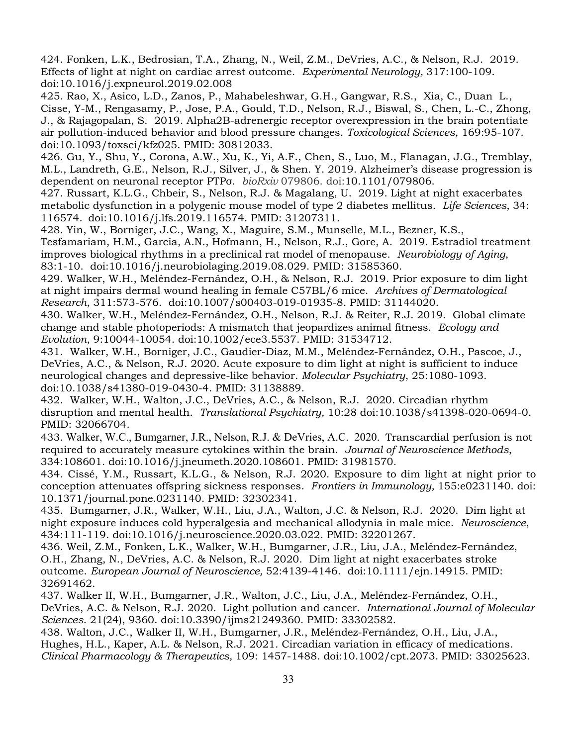424. Fonken, L.K., Bedrosian, T.A., Zhang, N., Weil, Z.M., DeVries, A.C., & Nelson, R.J. 2019. Effects of light at night on cardiac arrest outcome. *Experimental Neurology,* 317:100-109. doi:10.1016/j.expneurol.2019.02.008

425. Rao, X., Asico, L.D., Zanos, P., Mahabeleshwar, G.H., Gangwar, R.S., Xia, C., Duan L., Cisse, Y-M., Rengasamy, P., Jose, P.A., Gould, T.D., Nelson, R.J., Biswal, S., Chen, L.-C., Zhong, J., & Rajagopalan, S. 2019. Alpha2B-adrenergic receptor overexpression in the brain potentiate air pollution-induced behavior and blood pressure changes. *Toxicological Sciences*, 169:95-107. doi:10.1093/toxsci/kfz025. PMID: 30812033.

426. Gu, Y., Shu, Y., Corona, A.W., Xu, K., Yi, A.F., Chen, S., Luo, M., Flanagan, J.G., Tremblay, M.L., Landreth, G.E., Nelson, R.J., Silver, J., & Shen. Y. 2019. Alzheimer's disease progression is dependent on neuronal receptor PTPσ. *bioRxiv* 079806. doi:10.1101/079806.

427. Russart, K.L.G., Chbeir, S., Nelson, R.J. & Magalang, U. 2019. Light at night exacerbates metabolic dysfunction in a polygenic mouse model of type 2 diabetes mellitus. *Life Sciences*, 34: 116574. doi:10.1016/j.lfs.2019.116574. PMID: 31207311.

428. Yin, W., Borniger, J.C., Wang, X., Maguire, S.M., Munselle, M.L., Bezner, K.S.,

Tesfamariam, H.M., Garcia, A.N., Hofmann, H., Nelson, R.J., Gore, A. 2019. Estradiol treatment improves biological rhythms in a preclinical rat model of menopause. *Neurobiology of Aging*, 83:1-10. doi:10.1016/j.neurobiolaging.2019.08.029. PMID: 31585360.

429. Walker, W.H., Meléndez-Fernández, O.H., & Nelson, R.J. 2019. Prior exposure to dim light at night impairs dermal wound healing in female C57BL/6 mice. *Archives of Dermatological Research*, 311:573-576. doi:10.1007/s00403-019-01935-8. PMID: 31144020.

430. Walker, W.H., Meléndez-Fernández, O.H., Nelson, R.J. & Reiter, R.J. 2019. Global climate change and stable photoperiods: A mismatch that jeopardizes animal fitness. *Ecology and Evolution*, 9:10044-10054. doi:10.1002/ece3.5537. PMID: 31534712.

431. Walker, W.H., Borniger, J.C., Gaudier-Diaz, M.M., Meléndez-Fernández, O.H., Pascoe, J., DeVries, A.C., & Nelson, R.J. 2020. Acute exposure to dim light at night is sufficient to induce neurological changes and depressive-like behavior. *Molecular Psychiatry*, 25:1080-1093. doi:10.1038/s41380-019-0430-4. PMID: 31138889.

432. Walker, W.H., Walton, J.C., DeVries, A.C., & Nelson, R.J. 2020. Circadian rhythm disruption and mental health. *Translational Psychiatry,* 10:28 doi:10.1038/s41398-020-0694-0. PMID: 32066704.

433. Walker, W.C., Bumgarner, J.R., Nelson, R.J. & DeVries, A.C. 2020. Transcardial perfusion is not required to accurately measure cytokines within the brain. *Journal of Neuroscience Methods*, 334:108601. doi:10.1016/j.jneumeth.2020.108601. PMID: 31981570.

434. Cissé, Y.M., Russart, K.L.G., & Nelson, R.J. 2020. Exposure to dim light at night prior to conception attenuates offspring sickness responses. *Frontiers in Immunology,* 155:e0231140. doi: 10.1371/journal.pone.0231140. PMID: 32302341.

435. Bumgarner, J.R., Walker, W.H., Liu, J.A., Walton, J.C. & Nelson, R.J. 2020. Dim light at night exposure induces cold hyperalgesia and mechanical allodynia in male mice. *Neuroscience*, 434:111-119. doi:10.1016/j.neuroscience.2020.03.022. PMID: 32201267.

436. Weil, Z.M., Fonken, L.K., Walker, W.H., Bumgarner, J.R., Liu, J.A., Meléndez-Fernández, O.H., Zhang, N., DeVries, A.C. & Nelson, R.J. 2020. Dim light at night exacerbates stroke outcome. *European Journal of Neuroscience,* 52:4139-4146. doi:10.1111/ejn.14915. PMID: 32691462.

437. Walker II, W.H., Bumgarner, J.R., Walton, J.C., Liu, J.A., Meléndez-Fernández, O.H., DeVries, A.C. & Nelson, R.J. 2020. Light pollution and cancer. *International Journal of Molecular Sciences*. 21(24), 9360. doi:10.3390/ijms21249360. PMID: 33302582.

438. Walton, J.C., Walker II, W.H., Bumgarner, J.R., Meléndez-Fernández, O.H., Liu, J.A., Hughes, H.L., Kaper, A.L. & Nelson, R.J. 2021. Circadian variation in efficacy of medications. *Clinical Pharmacology & Therapeutics,* 109: 1457-1488. doi:10.1002/cpt.2073. PMID: 33025623.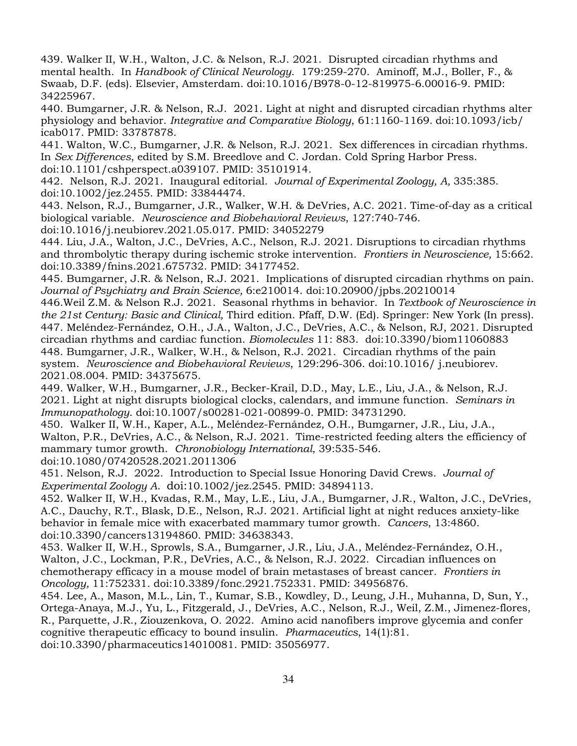439. Walker II, W.H., Walton, J.C. & Nelson, R.J. 2021. Disrupted circadian rhythms and mental health. In *Handbook of Clinical Neurology*. 179:259-270. Aminoff, M.J., Boller, F., & Swaab, D.F. (eds). Elsevier, Amsterdam. doi:10.1016/B978-0-12-819975-6.00016-9. PMID: 34225967.

440. Bumgarner, J.R. & Nelson, R.J. 2021. Light at night and disrupted circadian rhythms alter physiology and behavior. *Integrative and Comparative Biology*, 61:1160-1169. doi:10.1093/icb/ icab017. PMID: 33787878.

441. Walton, W.C., Bumgarner, J.R. & Nelson, R.J. 2021. Sex differences in circadian rhythms. In *Sex Differences*, edited by S.M. Breedlove and C. Jordan. Cold Spring Harbor Press. doi:10.1101/cshperspect.a039107. PMID: 35101914.

442. Nelson, R.J. 2021. Inaugural editorial. *Journal of Experimental Zoology, A,* 335:385. doi:10.1002/jez.2455. PMID: 33844474.

443. Nelson, R.J., Bumgarner, J.R., Walker, W.H. & DeVries, A.C. 2021. Time-of-day as a critical biological variable. *Neuroscience and Biobehavioral Reviews*, 127:740-746.

doi:10.1016/j.neubiorev.2021.05.017. PMID: 34052279

444. Liu, J.A., Walton, J.C., DeVries, A.C., Nelson, R.J. 2021. Disruptions to circadian rhythms and thrombolytic therapy during ischemic stroke intervention. *Frontiers in Neuroscience,* 15:662. doi:10.3389/fnins.2021.675732. PMID: 34177452.

445. Bumgarner, J.R. & Nelson, R.J. 2021. Implications of disrupted circadian rhythms on pain. *Journal of Psychiatry and Brain Science,* 6:e210014. doi:10.20900/jpbs.20210014

446.Weil Z.M. & Nelson R.J. 2021. Seasonal rhythms in behavior. In *Textbook of Neuroscience in the 21st Century: Basic and Clinical,* Third edition. Pfaff, D.W. (Ed). Springer: New York (In press). 447. Meléndez-Fernández, O.H., J.A., Walton, J.C., DeVries, A.C., & Nelson, RJ, 2021. Disrupted circadian rhythms and cardiac function. *Biomolecules* 11: 883. doi:10.3390/biom11060883 448. Bumgarner, J.R., Walker, W.H., & Nelson, R.J. 2021. Circadian rhythms of the pain system. *Neuroscience and Biobehavioral Reviews*, 129:296-306. doi:10.1016/ j.neubiorev. 2021.08.004. PMID: 34375675.

449. Walker, W.H., Bumgarner, J.R., Becker-Krail, D.D., May, L.E., Liu, J.A., & Nelson, R.J. 2021. Light at night disrupts biological clocks, calendars, and immune function. *Seminars in Immunopathology*. doi:10.1007/s00281-021-00899-0. PMID: 34731290.

450. Walker II, W.H., Kaper, A.L., Meléndez-Fernández, O.H., Bumgarner, J.R., Liu, J.A., Walton, P.R., DeVries, A.C., & Nelson, R.J. 2021. Time-restricted feeding alters the efficiency of mammary tumor growth. *Chronobiology International*, 39:535-546. doi:10.1080/07420528.2021.2011306

451. Nelson, R.J. 2022. Introduction to Special Issue Honoring David Crews. *Journal of Experimental Zoology A*. doi:10.1002/jez.2545. PMID: 34894113.

452. Walker II, W.H., Kvadas, R.M., May, L.E., Liu, J.A., Bumgarner, J.R., Walton, J.C., DeVries, A.C., Dauchy, R.T., Blask, D.E., Nelson, R.J. 2021. Artificial light at night reduces anxiety-like behavior in female mice with exacerbated mammary tumor growth. *Cancers*, 13:4860. doi:10.3390/cancers13194860. PMID: 34638343.

453. Walker II, W.H., Sprowls, S.A., Bumgarner, J.R., Liu, J.A., Meléndez-Fernández, O.H., Walton, J.C., Lockman, P.R., DeVries, A.C., & Nelson, R.J. 2022. Circadian influences on chemotherapy efficacy in a mouse model of brain metastases of breast cancer. *Frontiers in Oncology,* 11:752331. doi:10.3389/fonc.2921.752331. PMID: 34956876.

454. Lee, A., Mason, M.L., Lin, T., Kumar, S.B., Kowdley, D., Leung, J.H., Muhanna, D, Sun, Y., Ortega-Anaya, M.J., Yu, L., Fitzgerald, J., DeVries, A.C., Nelson, R.J., Weil, Z.M., Jimenez-flores, R., Parquette, J.R., Ziouzenkova, O. 2022. Amino acid nanofibers improve glycemia and confer cognitive therapeutic efficacy to bound insulin. *Pharmaceutics*, 14(1):81. doi:10.3390/pharmaceutics14010081. PMID: 35056977.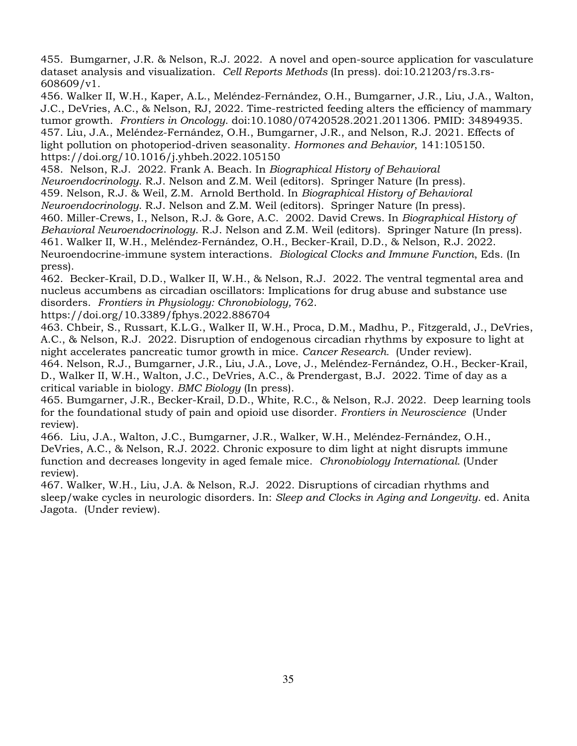455. Bumgarner, J.R. & Nelson, R.J. 2022. A novel and open-source application for vasculature dataset analysis and visualization. *Cell Reports Methods* (In press). doi:10.21203/rs.3.rs-608609/v1.

456. Walker II, W.H., Kaper, A.L., Meléndez-Fernández, O.H., Bumgarner, J.R., Liu, J.A., Walton, J.C., DeVries, A.C., & Nelson, RJ, 2022. Time-restricted feeding alters the efficiency of mammary tumor growth. *Frontiers in Oncology*. doi:10.1080/07420528.2021.2011306. PMID: 34894935. 457. Liu, J.A., Meléndez-Fernández, O.H., Bumgarner, J.R., and Nelson, R.J. 2021. Effects of light pollution on photoperiod-driven seasonality. *Hormones and Behavior*, 141:105150. https://doi.org/10.1016/j.yhbeh.2022.105150

458. Nelson, R.J. 2022. Frank A. Beach. In *Biographical History of Behavioral* 

*Neuroendocrinology*. R.J. Nelson and Z.M. Weil (editors). Springer Nature (In press).

459. Nelson, R.J. & Weil, Z.M. Arnold Berthold. In *Biographical History of Behavioral* 

*Neuroendocrinology*. R.J. Nelson and Z.M. Weil (editors). Springer Nature (In press).

460. Miller-Crews, I., Nelson, R.J. & Gore, A.C. 2002. David Crews. In *Biographical History of Behavioral Neuroendocrinology*. R.J. Nelson and Z.M. Weil (editors). Springer Nature (In press). 461. Walker II, W.H., Meléndez-Fernández, O.H., Becker-Krail, D.D., & Nelson, R.J. 2022. Neuroendocrine-immune system interactions. *Biological Clocks and Immune Function*, Eds. (In

press).

462. Becker-Krail, D.D., Walker II, W.H., & Nelson, R.J. 2022. The ventral tegmental area and nucleus accumbens as circadian oscillators: Implications for drug abuse and substance use disorders. *Frontiers in Physiology: Chronobiology,* 762.

https://doi.org/10.3389/fphys.2022.886704

463. Chbeir, S., Russart, K.L.G., Walker II, W.H., Proca, D.M., Madhu, P., Fitzgerald, J., DeVries, A.C., & Nelson, R.J. 2022. Disruption of endogenous circadian rhythms by exposure to light at night accelerates pancreatic tumor growth in mice. *Cancer Research.* (Under review).

464. Nelson, R.J., Bumgarner, J.R., Liu, J.A., Love, J., Meléndez-Fernández, O.H., Becker-Krail, D., Walker II, W.H., Walton, J.C., DeVries, A.C., & Prendergast, B.J. 2022. Time of day as a critical variable in biology. *BMC Biology* (In press).

465. Bumgarner, J.R., Becker-Krail, D.D., White, R.C., & Nelson, R.J. 2022. Deep learning tools for the foundational study of pain and opioid use disorder. *Frontiers in Neuroscience* (Under review).

466. Liu, J.A., Walton, J.C., Bumgarner, J.R., Walker, W.H., Meléndez-Fernández, O.H., DeVries, A.C., & Nelson, R.J. 2022. Chronic exposure to dim light at night disrupts immune function and decreases longevity in aged female mice. *Chronobiology International.* (Under review).

467. Walker, W.H., Liu, J.A. & Nelson, R.J. 2022. Disruptions of circadian rhythms and sleep/wake cycles in neurologic disorders. In: *Sleep and Clocks in Aging and Longevity*. ed. Anita Jagota. (Under review).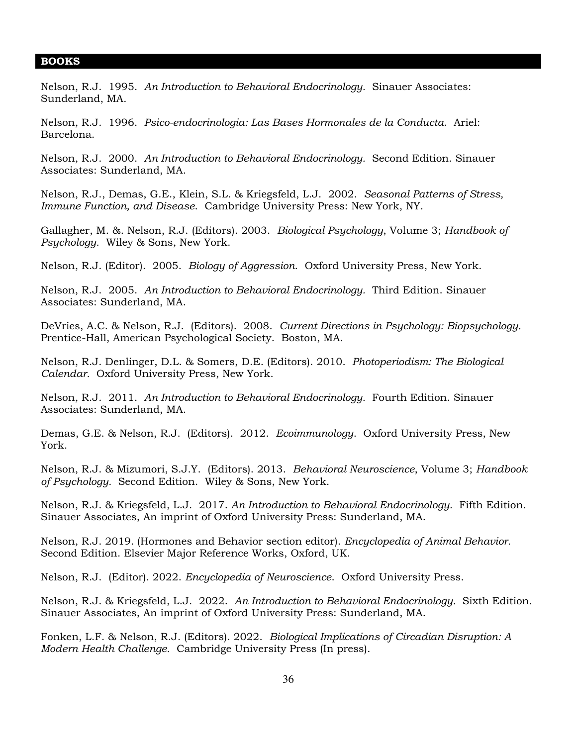#### **BOOKS**

Nelson, R.J. 1995. *An Introduction to Behavioral Endocrinology.* Sinauer Associates: Sunderland, MA.

Nelson, R.J. 1996. *Psico-endocrinologia: Las Bases Hormonales de la Conducta*. Ariel: Barcelona.

Nelson, R.J. 2000. *An Introduction to Behavioral Endocrinology.* Second Edition. Sinauer Associates: Sunderland, MA.

Nelson, R.J., Demas, G.E., Klein, S.L. & Kriegsfeld, L.J. 2002. *Seasonal Patterns of Stress, Immune Function, and Disease*. Cambridge University Press: New York, NY.

Gallagher, M. &. Nelson, R.J. (Editors). 2003. *Biological Psychology*, Volume 3; *Handbook of Psychology.* Wiley & Sons, New York.

Nelson, R.J. (Editor). 2005. *Biology of Aggression*. Oxford University Press, New York.

Nelson, R.J. 2005. *An Introduction to Behavioral Endocrinology.* Third Edition. Sinauer Associates: Sunderland, MA.

DeVries, A.C. & Nelson, R.J. (Editors). 2008. *Current Directions in Psychology: Biopsychology.* Prentice-Hall, American Psychological Society. Boston, MA.

Nelson, R.J. Denlinger, D.L. & Somers, D.E. (Editors). 2010. *Photoperiodism: The Biological Calendar.* Oxford University Press, New York.

Nelson, R.J. 2011. *An Introduction to Behavioral Endocrinology.* Fourth Edition. Sinauer Associates: Sunderland, MA.

Demas, G.E. & Nelson, R.J. (Editors). 2012. *Ecoimmunology*. Oxford University Press, New York.

Nelson, R.J. & Mizumori, S.J.Y. (Editors). 2013. *Behavioral Neuroscience*, Volume 3; *Handbook of Psychology.* Second Edition. Wiley & Sons, New York.

Nelson, R.J. & Kriegsfeld, L.J. 2017. *An Introduction to Behavioral Endocrinology.* Fifth Edition. Sinauer Associates, An imprint of Oxford University Press: Sunderland, MA.

Nelson, R.J. 2019. (Hormones and Behavior section editor). *Encyclopedia of Animal Behavior.*  Second Edition. Elsevier Major Reference Works, Oxford, UK.

Nelson, R.J. (Editor). 2022. *Encyclopedia of Neuroscience*. Oxford University Press.

Nelson, R.J. & Kriegsfeld, L.J. 2022. *An Introduction to Behavioral Endocrinology.* Sixth Edition. Sinauer Associates, An imprint of Oxford University Press: Sunderland, MA.

Fonken, L.F. & Nelson, R.J. (Editors). 2022. *Biological Implications of Circadian Disruption: A Modern Health Challenge.* Cambridge University Press (In press).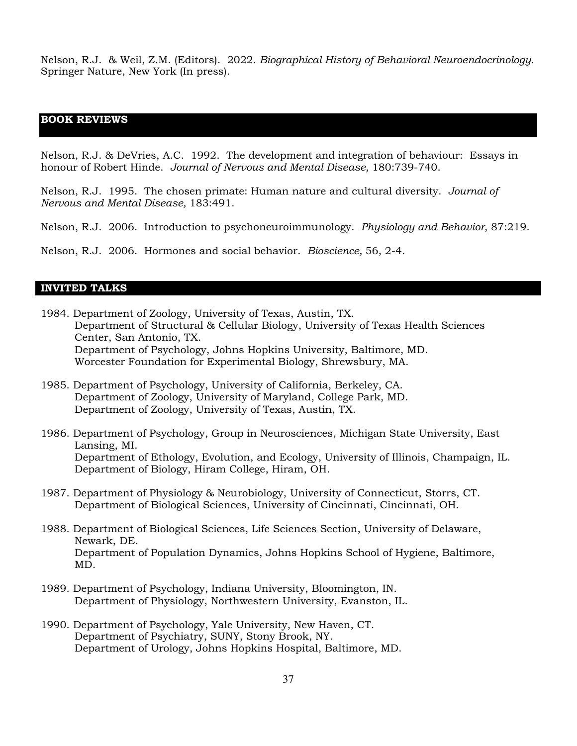Nelson, R.J. & Weil, Z.M. (Editors). 2022. *Biographical History of Behavioral Neuroendocrinology.*  Springer Nature, New York (In press).

## **BOOK REVIEWS***:* l

Nelson, R.J. & DeVries, A.C. 1992. The development and integration of behaviour: Essays in honour of Robert Hinde. *Journal of Nervous and Mental Disease,* 180:739-740.

Nelson, R.J. 1995. The chosen primate: Human nature and cultural diversity. *Journal of Nervous and Mental Disease,* 183:491.

Nelson, R.J. 2006. Introduction to psychoneuroimmunology. *Physiology and Behavior*, 87:219.

Nelson, R.J. 2006. Hormones and social behavior. *Bioscience,* 56, 2-4.

#### **INVITED TALKS**

- 1984. Department of Zoology, University of Texas, Austin, TX. Department of Structural & Cellular Biology, University of Texas Health Sciences Center, San Antonio, TX. Department of Psychology, Johns Hopkins University, Baltimore, MD. Worcester Foundation for Experimental Biology, Shrewsbury, MA.
- 1985. Department of Psychology, University of California, Berkeley, CA. Department of Zoology, University of Maryland, College Park, MD. Department of Zoology, University of Texas, Austin, TX.
- 1986. Department of Psychology, Group in Neurosciences, Michigan State University, East Lansing, MI. Department of Ethology, Evolution, and Ecology, University of Illinois, Champaign, IL. Department of Biology, Hiram College, Hiram, OH.
- 1987. Department of Physiology & Neurobiology, University of Connecticut, Storrs, CT. Department of Biological Sciences, University of Cincinnati, Cincinnati, OH.
- 1988. Department of Biological Sciences, Life Sciences Section, University of Delaware, Newark, DE. Department of Population Dynamics, Johns Hopkins School of Hygiene, Baltimore, MD.
- 1989. Department of Psychology, Indiana University, Bloomington, IN. Department of Physiology, Northwestern University, Evanston, IL.
- 1990. Department of Psychology, Yale University, New Haven, CT. Department of Psychiatry, SUNY, Stony Brook, NY. Department of Urology, Johns Hopkins Hospital, Baltimore, MD.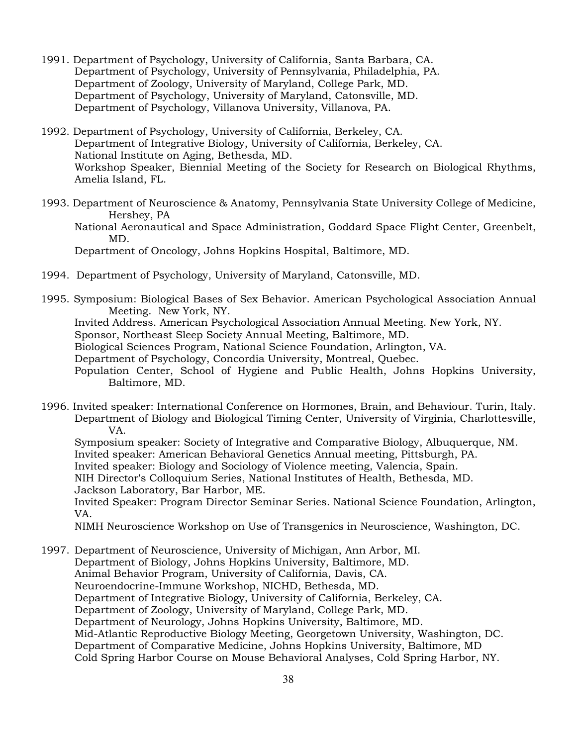- 1991. Department of Psychology, University of California, Santa Barbara, CA. Department of Psychology, University of Pennsylvania, Philadelphia, PA. Department of Zoology, University of Maryland, College Park, MD. Department of Psychology, University of Maryland, Catonsville, MD. Department of Psychology, Villanova University, Villanova, PA.
- 1992. Department of Psychology, University of California, Berkeley, CA. Department of Integrative Biology, University of California, Berkeley, CA. National Institute on Aging, Bethesda, MD. Workshop Speaker, Biennial Meeting of the Society for Research on Biological Rhythms, Amelia Island, FL.
- 1993. Department of Neuroscience & Anatomy, Pennsylvania State University College of Medicine, Hershey, PA
	- National Aeronautical and Space Administration, Goddard Space Flight Center, Greenbelt, MD.

Department of Oncology, Johns Hopkins Hospital, Baltimore, MD.

- 1994. Department of Psychology, University of Maryland, Catonsville, MD.
- 1995. Symposium: Biological Bases of Sex Behavior. American Psychological Association Annual Meeting. New York, NY.

Invited Address. American Psychological Association Annual Meeting. New York, NY.

Sponsor, Northeast Sleep Society Annual Meeting, Baltimore, MD.

Biological Sciences Program, National Science Foundation, Arlington, VA.

Department of Psychology, Concordia University, Montreal, Quebec.

 Population Center, School of Hygiene and Public Health, Johns Hopkins University, Baltimore, MD.

1996. Invited speaker: International Conference on Hormones, Brain, and Behaviour. Turin, Italy. Department of Biology and Biological Timing Center, University of Virginia, Charlottesville, VA.

Symposium speaker: Society of Integrative and Comparative Biology, Albuquerque, NM. Invited speaker: American Behavioral Genetics Annual meeting, Pittsburgh, PA.

Invited speaker: Biology and Sociology of Violence meeting, Valencia, Spain.

NIH Director's Colloquium Series, National Institutes of Health, Bethesda, MD.

Jackson Laboratory, Bar Harbor, ME.

Invited Speaker: Program Director Seminar Series. National Science Foundation, Arlington, VA.

NIMH Neuroscience Workshop on Use of Transgenics in Neuroscience, Washington, DC.

1997. Department of Neuroscience, University of Michigan, Ann Arbor, MI. Department of Biology, Johns Hopkins University, Baltimore, MD. Animal Behavior Program, University of California, Davis, CA. Neuroendocrine-Immune Workshop, NICHD, Bethesda, MD. Department of Integrative Biology, University of California, Berkeley, CA. Department of Zoology, University of Maryland, College Park, MD. Department of Neurology, Johns Hopkins University, Baltimore, MD. Mid-Atlantic Reproductive Biology Meeting, Georgetown University, Washington, DC. Department of Comparative Medicine, Johns Hopkins University, Baltimore, MD Cold Spring Harbor Course on Mouse Behavioral Analyses, Cold Spring Harbor, NY.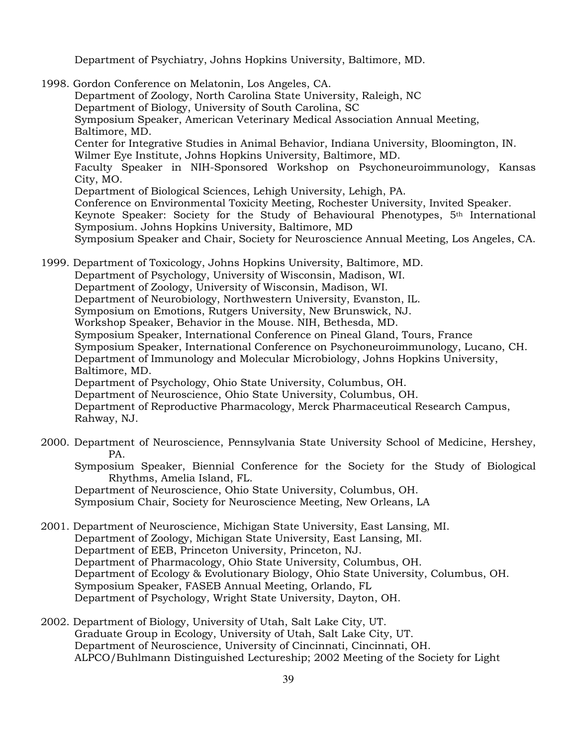Department of Psychiatry, Johns Hopkins University, Baltimore, MD.

1998. Gordon Conference on Melatonin, Los Angeles, CA. Department of Zoology, North Carolina State University, Raleigh, NC Department of Biology, University of South Carolina, SC Symposium Speaker, American Veterinary Medical Association Annual Meeting, Baltimore, MD. Center for Integrative Studies in Animal Behavior, Indiana University, Bloomington, IN. Wilmer Eye Institute, Johns Hopkins University, Baltimore, MD. Faculty Speaker in NIH-Sponsored Workshop on Psychoneuroimmunology, Kansas City, MO. Department of Biological Sciences, Lehigh University, Lehigh, PA. Conference on Environmental Toxicity Meeting, Rochester University, Invited Speaker. Keynote Speaker: Society for the Study of Behavioural Phenotypes, 5th International Symposium. Johns Hopkins University, Baltimore, MD Symposium Speaker and Chair, Society for Neuroscience Annual Meeting, Los Angeles, CA.

1999. Department of Toxicology, Johns Hopkins University, Baltimore, MD. Department of Psychology, University of Wisconsin, Madison, WI. Department of Zoology, University of Wisconsin, Madison, WI. Department of Neurobiology, Northwestern University, Evanston, IL. Symposium on Emotions, Rutgers University, New Brunswick, NJ. Workshop Speaker, Behavior in the Mouse. NIH, Bethesda, MD. Symposium Speaker, International Conference on Pineal Gland, Tours, France Symposium Speaker, International Conference on Psychoneuroimmunology, Lucano, CH. Department of Immunology and Molecular Microbiology, Johns Hopkins University, Baltimore, MD. Department of Psychology, Ohio State University, Columbus, OH. Department of Neuroscience, Ohio State University, Columbus, OH. Department of Reproductive Pharmacology, Merck Pharmaceutical Research Campus, Rahway, NJ.

- 2000. Department of Neuroscience, Pennsylvania State University School of Medicine, Hershey, PA.
	- Symposium Speaker, Biennial Conference for the Society for the Study of Biological Rhythms, Amelia Island, FL.

Department of Neuroscience, Ohio State University, Columbus, OH. Symposium Chair, Society for Neuroscience Meeting, New Orleans, LA

- 2001. Department of Neuroscience, Michigan State University, East Lansing, MI. Department of Zoology, Michigan State University, East Lansing, MI. Department of EEB, Princeton University, Princeton, NJ. Department of Pharmacology, Ohio State University, Columbus, OH. Department of Ecology & Evolutionary Biology, Ohio State University, Columbus, OH. Symposium Speaker, FASEB Annual Meeting, Orlando, FL Department of Psychology, Wright State University, Dayton, OH.
- 2002. Department of Biology, University of Utah, Salt Lake City, UT. Graduate Group in Ecology, University of Utah, Salt Lake City, UT. Department of Neuroscience, University of Cincinnati, Cincinnati, OH. ALPCO/Buhlmann Distinguished Lectureship; 2002 Meeting of the Society for Light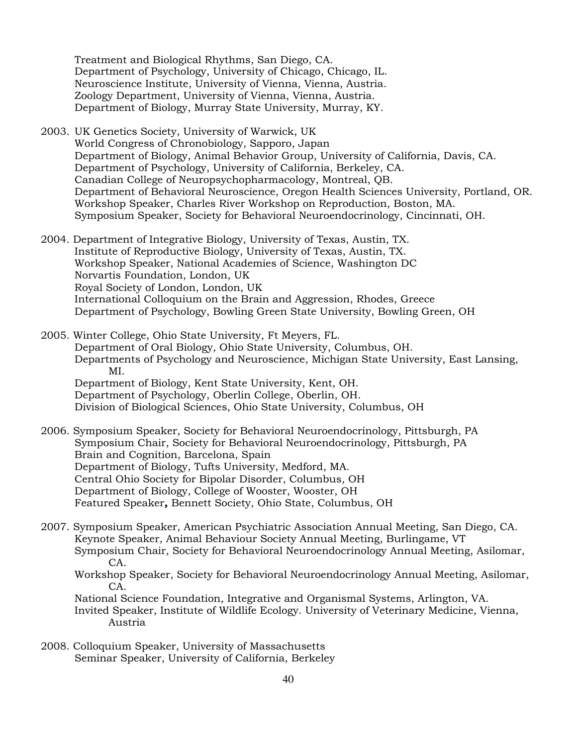Treatment and Biological Rhythms, San Diego, CA. Department of Psychology, University of Chicago, Chicago, IL. Neuroscience Institute, University of Vienna, Vienna, Austria. Zoology Department, University of Vienna, Vienna, Austria. Department of Biology, Murray State University, Murray, KY.

- 2003. UK Genetics Society, University of Warwick, UK World Congress of Chronobiology, Sapporo, Japan Department of Biology, Animal Behavior Group, University of California, Davis, CA. Department of Psychology, University of California, Berkeley, CA. Canadian College of Neuropsychopharmacology, Montreal, QB. Department of Behavioral Neuroscience, Oregon Health Sciences University, Portland, OR. Workshop Speaker, Charles River Workshop on Reproduction, Boston, MA. Symposium Speaker, Society for Behavioral Neuroendocrinology, Cincinnati, OH.
- 2004. Department of Integrative Biology, University of Texas, Austin, TX. Institute of Reproductive Biology, University of Texas, Austin, TX. Workshop Speaker, National Academies of Science, Washington DC Norvartis Foundation, London, UK Royal Society of London, London, UK International Colloquium on the Brain and Aggression, Rhodes, Greece Department of Psychology, Bowling Green State University, Bowling Green, OH
- 2005. Winter College, Ohio State University, Ft Meyers, FL. Department of Oral Biology, Ohio State University, Columbus, OH. Departments of Psychology and Neuroscience, Michigan State University, East Lansing, MI. Department of Biology, Kent State University, Kent, OH. Department of Psychology, Oberlin College, Oberlin, OH. Division of Biological Sciences, Ohio State University, Columbus, OH
- 2006. Symposium Speaker, Society for Behavioral Neuroendocrinology, Pittsburgh, PA Symposium Chair, Society for Behavioral Neuroendocrinology, Pittsburgh, PA Brain and Cognition, Barcelona, Spain Department of Biology, Tufts University, Medford, MA. Central Ohio Society for Bipolar Disorder, Columbus, OH Department of Biology, College of Wooster, Wooster, OH Featured Speaker**,** Bennett Society, Ohio State, Columbus, OH
- 2007. Symposium Speaker, American Psychiatric Association Annual Meeting, San Diego, CA. Keynote Speaker, Animal Behaviour Society Annual Meeting, Burlingame, VT Symposium Chair, Society for Behavioral Neuroendocrinology Annual Meeting, Asilomar, CA.
	- Workshop Speaker, Society for Behavioral Neuroendocrinology Annual Meeting, Asilomar, CA.

National Science Foundation, Integrative and Organismal Systems, Arlington, VA. Invited Speaker, Institute of Wildlife Ecology. University of Veterinary Medicine, Vienna, Austria

2008. Colloquium Speaker, University of Massachusetts Seminar Speaker, University of California, Berkeley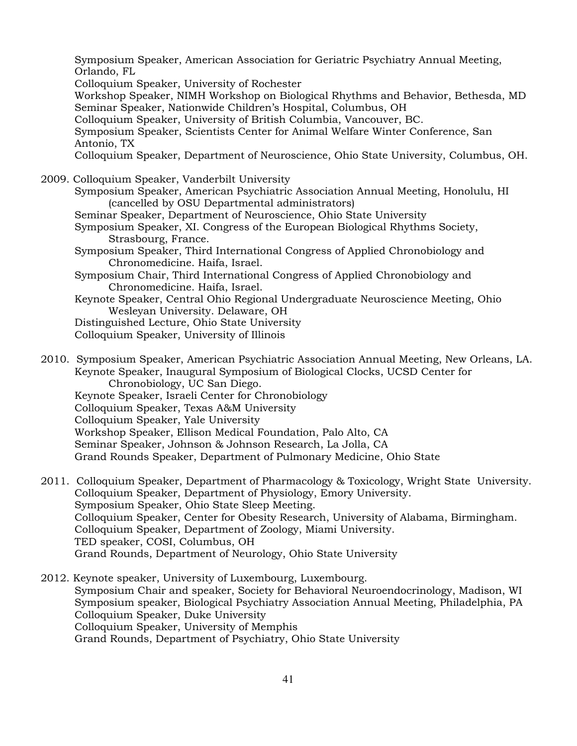Symposium Speaker, American Association for Geriatric Psychiatry Annual Meeting, Orlando, FL Colloquium Speaker, University of Rochester Workshop Speaker, NIMH Workshop on Biological Rhythms and Behavior, Bethesda, MD Seminar Speaker, Nationwide Children's Hospital, Columbus, OH Colloquium Speaker, University of British Columbia, Vancouver, BC. Symposium Speaker, Scientists Center for Animal Welfare Winter Conference, San Antonio, TX Colloquium Speaker, Department of Neuroscience, Ohio State University, Columbus, OH. 2009. Colloquium Speaker, Vanderbilt University Symposium Speaker, American Psychiatric Association Annual Meeting, Honolulu, HI (cancelled by OSU Departmental administrators) Seminar Speaker, Department of Neuroscience, Ohio State University Symposium Speaker, XI. Congress of the European Biological Rhythms Society, Strasbourg, France. Symposium Speaker, Third International Congress of Applied Chronobiology and Chronomedicine. Haifa, Israel. Symposium Chair, Third International Congress of Applied Chronobiology and Chronomedicine. Haifa, Israel. Keynote Speaker, Central Ohio Regional Undergraduate Neuroscience Meeting, Ohio Wesleyan University. Delaware, OH Distinguished Lecture, Ohio State University Colloquium Speaker, University of Illinois 2010. Symposium Speaker, American Psychiatric Association Annual Meeting, New Orleans, LA. Keynote Speaker, Inaugural Symposium of Biological Clocks, UCSD Center for Chronobiology, UC San Diego.

Keynote Speaker, Israeli Center for Chronobiology Colloquium Speaker, Texas A&M University Colloquium Speaker, Yale University Workshop Speaker, Ellison Medical Foundation, Palo Alto, CA Seminar Speaker, Johnson & Johnson Research, La Jolla, CA Grand Rounds Speaker, Department of Pulmonary Medicine, Ohio State

2011. Colloquium Speaker, Department of Pharmacology & Toxicology, Wright State University. Colloquium Speaker, Department of Physiology, Emory University. Symposium Speaker, Ohio State Sleep Meeting. Colloquium Speaker, Center for Obesity Research, University of Alabama, Birmingham. Colloquium Speaker, Department of Zoology, Miami University. TED speaker, COSI, Columbus, OH Grand Rounds, Department of Neurology, Ohio State University

2012. Keynote speaker, University of Luxembourg, Luxembourg. Symposium Chair and speaker, Society for Behavioral Neuroendocrinology, Madison, WI Symposium speaker, Biological Psychiatry Association Annual Meeting, Philadelphia, PA Colloquium Speaker, Duke University Colloquium Speaker, University of Memphis Grand Rounds, Department of Psychiatry, Ohio State University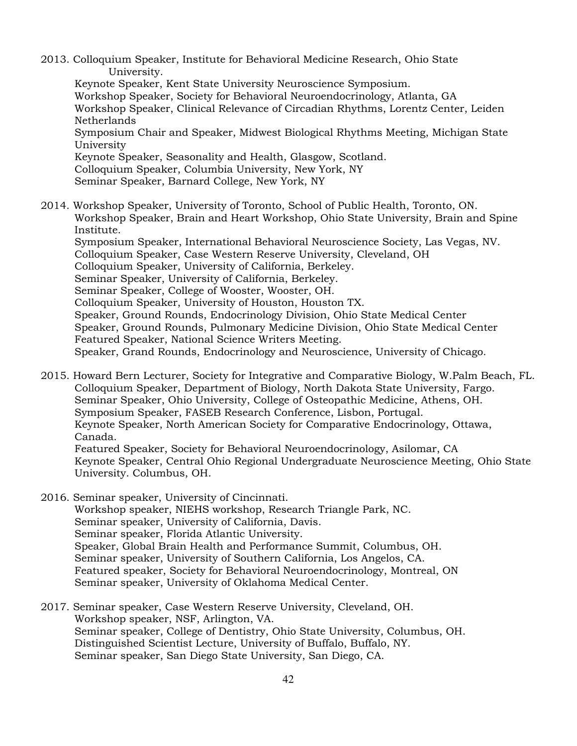2013. Colloquium Speaker, Institute for Behavioral Medicine Research, Ohio State University.

Keynote Speaker, Kent State University Neuroscience Symposium. Workshop Speaker, Society for Behavioral Neuroendocrinology, Atlanta, GA Workshop Speaker, Clinical Relevance of Circadian Rhythms, Lorentz Center, Leiden Netherlands Symposium Chair and Speaker, Midwest Biological Rhythms Meeting, Michigan State University Keynote Speaker, Seasonality and Health, Glasgow, Scotland. Colloquium Speaker, Columbia University, New York, NY

Seminar Speaker, Barnard College, New York, NY

- 2014. Workshop Speaker, University of Toronto, School of Public Health, Toronto, ON. Workshop Speaker, Brain and Heart Workshop, Ohio State University, Brain and Spine Institute. Symposium Speaker, International Behavioral Neuroscience Society, Las Vegas, NV. Colloquium Speaker, Case Western Reserve University, Cleveland, OH Colloquium Speaker, University of California, Berkeley. Seminar Speaker, University of California, Berkeley. Seminar Speaker, College of Wooster, Wooster, OH. Colloquium Speaker, University of Houston, Houston TX. Speaker, Ground Rounds, Endocrinology Division, Ohio State Medical Center Speaker, Ground Rounds, Pulmonary Medicine Division, Ohio State Medical Center Featured Speaker, National Science Writers Meeting. Speaker, Grand Rounds, Endocrinology and Neuroscience, University of Chicago.
- 2015. Howard Bern Lecturer, Society for Integrative and Comparative Biology, W.Palm Beach, FL. Colloquium Speaker, Department of Biology, North Dakota State University, Fargo. Seminar Speaker, Ohio University, College of Osteopathic Medicine, Athens, OH. Symposium Speaker, FASEB Research Conference, Lisbon, Portugal. Keynote Speaker, North American Society for Comparative Endocrinology, Ottawa, Canada. Featured Speaker, Society for Behavioral Neuroendocrinology, Asilomar, CA Keynote Speaker, Central Ohio Regional Undergraduate Neuroscience Meeting, Ohio State University. Columbus, OH.
- 2016. Seminar speaker, University of Cincinnati. Workshop speaker, NIEHS workshop, Research Triangle Park, NC. Seminar speaker, University of California, Davis. Seminar speaker, Florida Atlantic University. Speaker, Global Brain Health and Performance Summit, Columbus, OH. Seminar speaker, University of Southern California, Los Angelos, CA. Featured speaker, Society for Behavioral Neuroendocrinology, Montreal, ON Seminar speaker, University of Oklahoma Medical Center.
- 2017. Seminar speaker, Case Western Reserve University, Cleveland, OH. Workshop speaker, NSF, Arlington, VA. Seminar speaker, College of Dentistry, Ohio State University, Columbus, OH. Distinguished Scientist Lecture, University of Buffalo, Buffalo, NY. Seminar speaker, San Diego State University, San Diego, CA.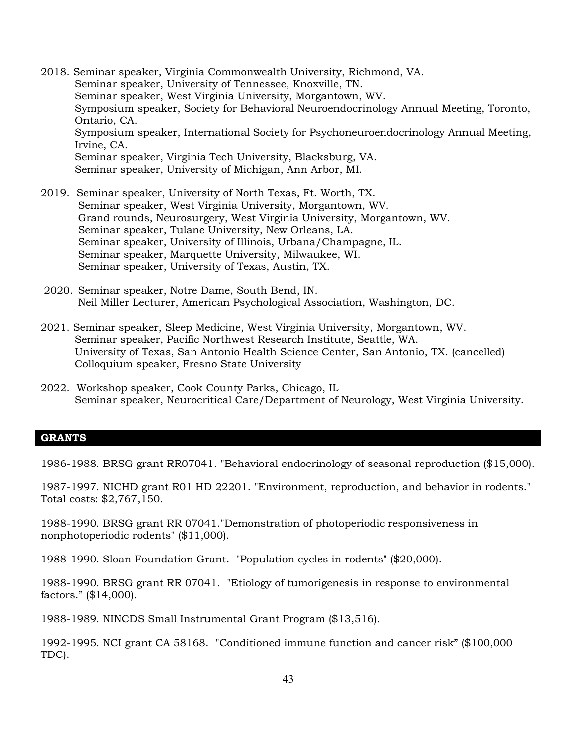- 2018. Seminar speaker, Virginia Commonwealth University, Richmond, VA. Seminar speaker, University of Tennessee, Knoxville, TN. Seminar speaker, West Virginia University, Morgantown, WV. Symposium speaker, Society for Behavioral Neuroendocrinology Annual Meeting, Toronto, Ontario, CA. Symposium speaker, International Society for Psychoneuroendocrinology Annual Meeting, Irvine, CA. Seminar speaker, Virginia Tech University, Blacksburg, VA. Seminar speaker, University of Michigan, Ann Arbor, MI.
- 2019. Seminar speaker, University of North Texas, Ft. Worth, TX. Seminar speaker, West Virginia University, Morgantown, WV. Grand rounds, Neurosurgery, West Virginia University, Morgantown, WV. Seminar speaker, Tulane University, New Orleans, LA. Seminar speaker, University of Illinois, Urbana/Champagne, IL. Seminar speaker, Marquette University, Milwaukee, WI. Seminar speaker, University of Texas, Austin, TX.
- 2020. Seminar speaker, Notre Dame, South Bend, IN. Neil Miller Lecturer, American Psychological Association, Washington, DC.
- 2021. Seminar speaker, Sleep Medicine, West Virginia University, Morgantown, WV. Seminar speaker, Pacific Northwest Research Institute, Seattle, WA. University of Texas, San Antonio Health Science Center, San Antonio, TX. (cancelled) Colloquium speaker, Fresno State University
- 2022. Workshop speaker, Cook County Parks, Chicago, IL Seminar speaker, Neurocritical Care/Department of Neurology, West Virginia University.

#### **GRANTS**

1986-1988. BRSG grant RR07041. "Behavioral endocrinology of seasonal reproduction (\$15,000).

1987-1997. NICHD grant R01 HD 22201. "Environment, reproduction, and behavior in rodents." Total costs: \$2,767,150.

1988-1990. BRSG grant RR 07041."Demonstration of photoperiodic responsiveness in nonphotoperiodic rodents" (\$11,000).

1988-1990. Sloan Foundation Grant. "Population cycles in rodents" (\$20,000).

1988-1990. BRSG grant RR 07041. "Etiology of tumorigenesis in response to environmental factors." (\$14,000).

1988-1989. NINCDS Small Instrumental Grant Program (\$13,516).

1992-1995. NCI grant CA 58168. "Conditioned immune function and cancer risk" (\$100,000 TDC).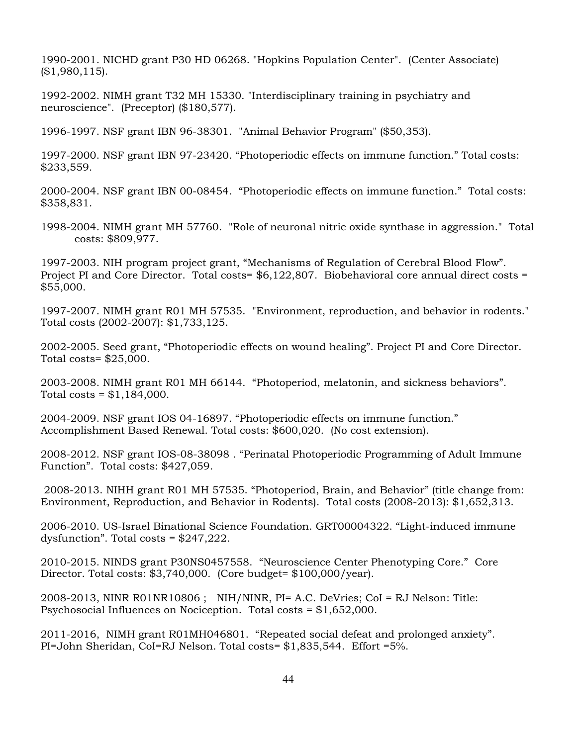1990-2001. NICHD grant P30 HD 06268. "Hopkins Population Center". (Center Associate) (\$1,980,115).

1992-2002. NIMH grant T32 MH 15330. "Interdisciplinary training in psychiatry and neuroscience". (Preceptor) (\$180,577).

1996-1997. NSF grant IBN 96-38301. "Animal Behavior Program" (\$50,353).

1997-2000. NSF grant IBN 97-23420. "Photoperiodic effects on immune function." Total costs: \$233,559.

2000-2004. NSF grant IBN 00-08454. "Photoperiodic effects on immune function." Total costs: \$358,831.

1998-2004. NIMH grant MH 57760. "Role of neuronal nitric oxide synthase in aggression." Total costs: \$809,977.

1997-2003. NIH program project grant, "Mechanisms of Regulation of Cerebral Blood Flow". Project PI and Core Director. Total costs= \$6,122,807. Biobehavioral core annual direct costs = \$55,000.

1997-2007. NIMH grant R01 MH 57535. "Environment, reproduction, and behavior in rodents." Total costs (2002-2007): \$1,733,125.

2002-2005. Seed grant, "Photoperiodic effects on wound healing". Project PI and Core Director. Total costs= \$25,000.

2003-2008. NIMH grant R01 MH 66144. "Photoperiod, melatonin, and sickness behaviors". Total costs =  $$1,184,000$ .

2004-2009. NSF grant IOS 04-16897. "Photoperiodic effects on immune function." Accomplishment Based Renewal. Total costs: \$600,020. (No cost extension).

2008-2012. NSF grant IOS-08-38098 . "Perinatal Photoperiodic Programming of Adult Immune Function". Total costs: \$427,059.

2008-2013. NIHH grant R01 MH 57535. "Photoperiod, Brain, and Behavior" (title change from: Environment, Reproduction, and Behavior in Rodents). Total costs (2008-2013): \$1,652,313.

2006-2010. US-Israel Binational Science Foundation. GRT00004322. "Light-induced immune dysfunction". Total costs = \$247,222.

2010-2015. NINDS grant P30NS0457558. "Neuroscience Center Phenotyping Core." Core Director. Total costs: \$3,740,000. (Core budget= \$100,000/year).

2008-2013, NINR R01NR10806 ; NIH/NINR, PI= A.C. DeVries; CoI = RJ Nelson: Title: Psychosocial Influences on Nociception. Total costs = \$1,652,000.

2011-2016, NIMH grant R01MH046801. "Repeated social defeat and prolonged anxiety". PI=John Sheridan, CoI=RJ Nelson. Total costs= \$1,835,544. Effort =5%.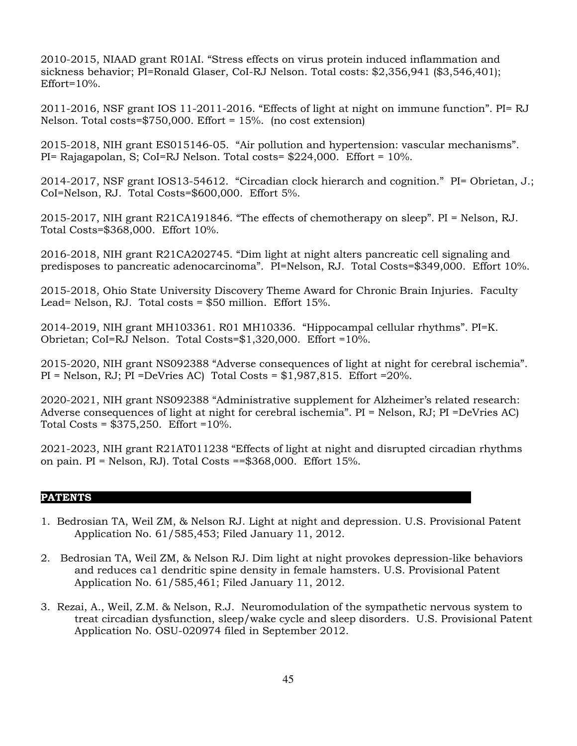2010-2015, NIAAD grant R01AI. "Stress effects on virus protein induced inflammation and sickness behavior; PI=Ronald Glaser, CoI-RJ Nelson. Total costs: \$2,356,941 (\$3,546,401);  $Effort=10%$ .

2011-2016, NSF grant IOS 11-2011-2016. "Effects of light at night on immune function". PI= RJ Nelson. Total costs= $$750,000$ . Effort = 15%. (no cost extension)

2015-2018, NIH grant ES015146-05. "Air pollution and hypertension: vascular mechanisms". PI= Rajagapolan, S; CoI=RJ Nelson. Total costs= \$224,000. Effort = 10%.

2014-2017, NSF grant IOS13-54612. "Circadian clock hierarch and cognition." PI= Obrietan, J.; CoI=Nelson, RJ. Total Costs=\$600,000. Effort 5%.

2015-2017, NIH grant R21CA191846. "The effects of chemotherapy on sleep". PI = Nelson, RJ. Total Costs=\$368,000. Effort 10%.

2016-2018, NIH grant R21CA202745. "Dim light at night alters pancreatic cell signaling and predisposes to pancreatic adenocarcinoma". PI=Nelson, RJ. Total Costs=\$349,000. Effort 10%.

2015-2018, Ohio State University Discovery Theme Award for Chronic Brain Injuries. Faculty Lead= Nelson, RJ. Total costs = \$50 million. Effort 15%.

2014-2019, NIH grant MH103361. R01 MH10336. "Hippocampal cellular rhythms". PI=K. Obrietan; CoI=RJ Nelson. Total Costs=\$1,320,000. Effort =10%.

2015-2020, NIH grant NS092388 "Adverse consequences of light at night for cerebral ischemia". PI = Nelson, RJ; PI =DeVries AC) Total Costs = \$1,987,815. Effort =20%.

2020-2021, NIH grant NS092388 "Administrative supplement for Alzheimer's related research: Adverse consequences of light at night for cerebral ischemia". PI = Nelson, RJ; PI =DeVries AC) Total Costs =  $$375,250$ . Effort =  $10\%$ .

2021-2023, NIH grant R21AT011238 "Effects of light at night and disrupted circadian rhythms on pain. PI = Nelson, RJ). Total Costs ==\$368,000. Effort 15%.

## **PATENTS \_\_\_\_\_\_\_\_\_\_\_\_\_\_\_\_\_\_\_\_\_\_\_\_\_\_\_\_\_\_\_\_\_\_\_\_\_\_\_\_\_\_\_\_\_\_\_\_\_\_\_\_\_\_\_\_\_\_\_\_\_**

- 1. Bedrosian TA, Weil ZM, & Nelson RJ. Light at night and depression. U.S. Provisional Patent Application No. 61/585,453; Filed January 11, 2012.
- 2. Bedrosian TA, Weil ZM, & Nelson RJ. Dim light at night provokes depression-like behaviors and reduces ca1 dendritic spine density in female hamsters. U.S. Provisional Patent Application No. 61/585,461; Filed January 11, 2012.
- 3. Rezai, A., Weil, Z.M. & Nelson, R.J. Neuromodulation of the sympathetic nervous system to treat circadian dysfunction, sleep/wake cycle and sleep disorders. U.S. Provisional Patent Application No. OSU-020974 filed in September 2012.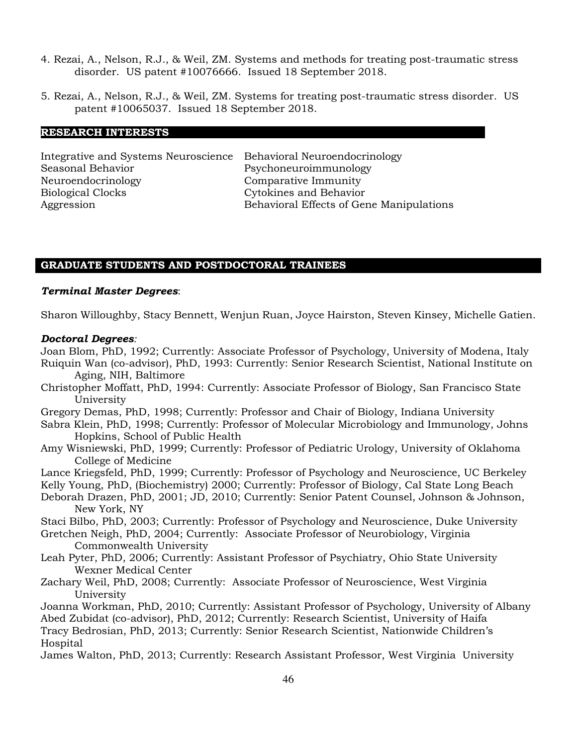- 4. Rezai, A., Nelson, R.J., & Weil, ZM. Systems and methods for treating post-traumatic stress disorder. US patent #10076666. Issued 18 September 2018.
- 5. Rezai, A., Nelson, R.J., & Weil, ZM. Systems for treating post-traumatic stress disorder. US patent #10065037. Issued 18 September 2018.

#### **RESEARCH INTERESTS\_\_\_\_\_\_\_\_\_\_\_\_\_\_\_\_\_\_\_\_\_\_\_\_\_\_\_\_\_\_\_\_\_\_\_\_\_\_\_\_\_\_\_\_\_\_\_\_\_\_\_\_\_\_\_\_\_\_\_\_\_**

Integrative and Systems Neuroscience Behavioral Neuroendocrinology Seasonal Behavior **Prince Access** Psychoneuroimmunology Neuroendocrinology Comparative Immunity Biological Clocks Cytokines and Behavior

Behavioral Effects of Gene Manipulations

## **GRADUATE STUDENTS AND POSTDOCTORAL TRAINEES**

#### *Terminal Master Degrees*:

Sharon Willoughby, Stacy Bennett, Wenjun Ruan, Joyce Hairston, Steven Kinsey, Michelle Gatien.

#### *Doctoral Degrees:*

Joan Blom, PhD, 1992; Currently: Associate Professor of Psychology, University of Modena, Italy Ruiquin Wan (co-advisor), PhD, 1993: Currently: Senior Research Scientist, National Institute on Aging, NIH, Baltimore

- Christopher Moffatt, PhD, 1994: Currently: Associate Professor of Biology, San Francisco State University
- Gregory Demas, PhD, 1998; Currently: Professor and Chair of Biology, Indiana University

Sabra Klein, PhD, 1998; Currently: Professor of Molecular Microbiology and Immunology, Johns Hopkins, School of Public Health

Amy Wisniewski, PhD, 1999; Currently: Professor of Pediatric Urology, University of Oklahoma College of Medicine

Lance Kriegsfeld, PhD, 1999; Currently: Professor of Psychology and Neuroscience, UC Berkeley

Kelly Young, PhD, (Biochemistry) 2000; Currently: Professor of Biology, Cal State Long Beach

Deborah Drazen, PhD, 2001; JD, 2010; Currently: Senior Patent Counsel, Johnson & Johnson, New York, NY

Staci Bilbo, PhD, 2003; Currently: Professor of Psychology and Neuroscience, Duke University

- Gretchen Neigh, PhD, 2004; Currently: Associate Professor of Neurobiology, Virginia Commonwealth University
- Leah Pyter, PhD, 2006; Currently: Assistant Professor of Psychiatry, Ohio State University Wexner Medical Center
- Zachary Weil, PhD, 2008; Currently: Associate Professor of Neuroscience, West Virginia University

Joanna Workman, PhD, 2010; Currently: Assistant Professor of Psychology, University of Albany Abed Zubidat (co-advisor), PhD, 2012; Currently: Research Scientist, University of Haifa Tracy Bedrosian, PhD, 2013; Currently: Senior Research Scientist, Nationwide Children's Hospital

James Walton, PhD, 2013; Currently: Research Assistant Professor, West Virginia University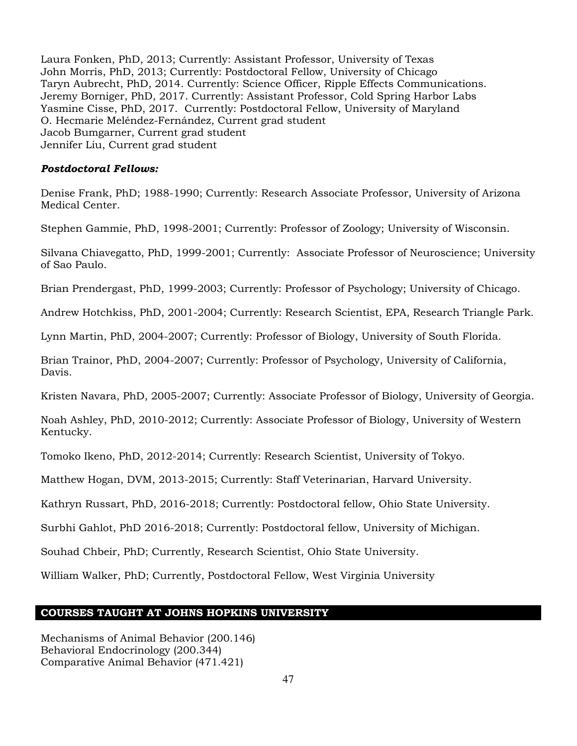Laura Fonken, PhD, 2013; Currently: Assistant Professor, University of Texas John Morris, PhD, 2013; Currently: Postdoctoral Fellow, University of Chicago Taryn Aubrecht, PhD, 2014. Currently: Science Officer, Ripple Effects Communications. Jeremy Borniger, PhD, 2017. Currently: Assistant Professor, Cold Spring Harbor Labs Yasmine Cisse, PhD, 2017. Currently: Postdoctoral Fellow, University of Maryland O. Hecmarie Meléndez-Fernández, Current grad student Jacob Bumgarner, Current grad student Jennifer Liu, Current grad student

#### *Postdoctoral Fellows:*

Denise Frank, PhD; 1988-1990; Currently: Research Associate Professor, University of Arizona Medical Center.

Stephen Gammie, PhD, 1998-2001; Currently: Professor of Zoology; University of Wisconsin.

Silvana Chiavegatto, PhD, 1999-2001; Currently: Associate Professor of Neuroscience; University of Sao Paulo.

Brian Prendergast, PhD, 1999-2003; Currently: Professor of Psychology; University of Chicago.

Andrew Hotchkiss, PhD, 2001-2004; Currently: Research Scientist, EPA, Research Triangle Park.

Lynn Martin, PhD, 2004-2007; Currently: Professor of Biology, University of South Florida.

Brian Trainor, PhD, 2004-2007; Currently: Professor of Psychology, University of California, Davis.

Kristen Navara, PhD, 2005-2007; Currently: Associate Professor of Biology, University of Georgia.

Noah Ashley, PhD, 2010-2012; Currently: Associate Professor of Biology, University of Western Kentucky.

Tomoko Ikeno, PhD, 2012-2014; Currently: Research Scientist, University of Tokyo.

Matthew Hogan, DVM, 2013-2015; Currently: Staff Veterinarian, Harvard University.

Kathryn Russart, PhD, 2016-2018; Currently: Postdoctoral fellow, Ohio State University.

Surbhi Gahlot, PhD 2016-2018; Currently: Postdoctoral fellow, University of Michigan.

Souhad Chbeir, PhD; Currently, Research Scientist, Ohio State University.

William Walker, PhD; Currently, Postdoctoral Fellow, West Virginia University

#### **COURSES TAUGHT AT JOHNS HOPKINS UNIVERSITY**

Mechanisms of Animal Behavior (200.146) Behavioral Endocrinology (200.344) Comparative Animal Behavior (471.421)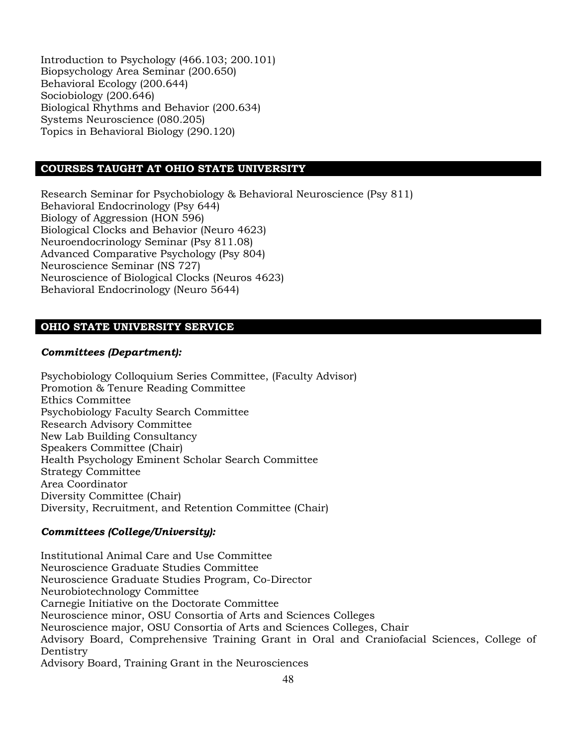Introduction to Psychology (466.103; 200.101) Biopsychology Area Seminar (200.650) Behavioral Ecology (200.644) Sociobiology (200.646) Biological Rhythms and Behavior (200.634) Systems Neuroscience (080.205) Topics in Behavioral Biology (290.120)

## **COURSES TAUGHT AT OHIO STATE UNIVERSITY**

Research Seminar for Psychobiology & Behavioral Neuroscience (Psy 811) Behavioral Endocrinology (Psy 644) Biology of Aggression (HON 596) Biological Clocks and Behavior (Neuro 4623) Neuroendocrinology Seminar (Psy 811.08) Advanced Comparative Psychology (Psy 804) Neuroscience Seminar (NS 727) Neuroscience of Biological Clocks (Neuros 4623) Behavioral Endocrinology (Neuro 5644)

## **OHIO STATE UNIVERSITY SERVICE**

#### *Committees (Department):*

Psychobiology Colloquium Series Committee, (Faculty Advisor) Promotion & Tenure Reading Committee Ethics Committee Psychobiology Faculty Search Committee Research Advisory Committee New Lab Building Consultancy Speakers Committee (Chair) Health Psychology Eminent Scholar Search Committee Strategy Committee Area Coordinator Diversity Committee (Chair) Diversity, Recruitment, and Retention Committee (Chair)

#### *Committees (College/University):*

Institutional Animal Care and Use Committee Neuroscience Graduate Studies Committee Neuroscience Graduate Studies Program, Co-Director Neurobiotechnology Committee Carnegie Initiative on the Doctorate Committee Neuroscience minor, OSU Consortia of Arts and Sciences Colleges Neuroscience major, OSU Consortia of Arts and Sciences Colleges, Chair Advisory Board, Comprehensive Training Grant in Oral and Craniofacial Sciences, College of Dentistry Advisory Board, Training Grant in the Neurosciences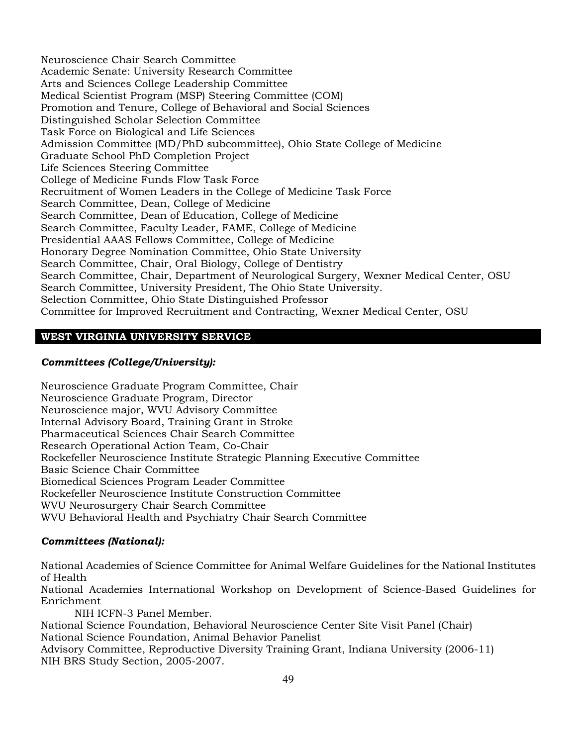Neuroscience Chair Search Committee Academic Senate: University Research Committee Arts and Sciences College Leadership Committee Medical Scientist Program (MSP) Steering Committee (COM) Promotion and Tenure, College of Behavioral and Social Sciences Distinguished Scholar Selection Committee Task Force on Biological and Life Sciences Admission Committee (MD/PhD subcommittee), Ohio State College of Medicine Graduate School PhD Completion Project Life Sciences Steering Committee College of Medicine Funds Flow Task Force Recruitment of Women Leaders in the College of Medicine Task Force Search Committee, Dean, College of Medicine Search Committee, Dean of Education, College of Medicine Search Committee, Faculty Leader, FAME, College of Medicine Presidential AAAS Fellows Committee, College of Medicine Honorary Degree Nomination Committee, Ohio State University Search Committee, Chair, Oral Biology, College of Dentistry Search Committee, Chair, Department of Neurological Surgery, Wexner Medical Center, OSU Search Committee, University President, The Ohio State University. Selection Committee, Ohio State Distinguished Professor Committee for Improved Recruitment and Contracting, Wexner Medical Center, OSU

# **WEST VIRGINIA UNIVERSITY SERVICE**

## *Committees (College/University):*

Neuroscience Graduate Program Committee, Chair Neuroscience Graduate Program, Director Neuroscience major, WVU Advisory Committee Internal Advisory Board, Training Grant in Stroke Pharmaceutical Sciences Chair Search Committee Research Operational Action Team, Co-Chair Rockefeller Neuroscience Institute Strategic Planning Executive Committee Basic Science Chair Committee Biomedical Sciences Program Leader Committee Rockefeller Neuroscience Institute Construction Committee WVU Neurosurgery Chair Search Committee WVU Behavioral Health and Psychiatry Chair Search Committee

## *Committees (National):*

National Academies of Science Committee for Animal Welfare Guidelines for the National Institutes of Health

National Academies International Workshop on Development of Science-Based Guidelines for Enrichment

NIH ICFN-3 Panel Member. National Science Foundation, Behavioral Neuroscience Center Site Visit Panel (Chair) National Science Foundation, Animal Behavior Panelist Advisory Committee, Reproductive Diversity Training Grant, Indiana University (2006-11) NIH BRS Study Section, 2005-2007.